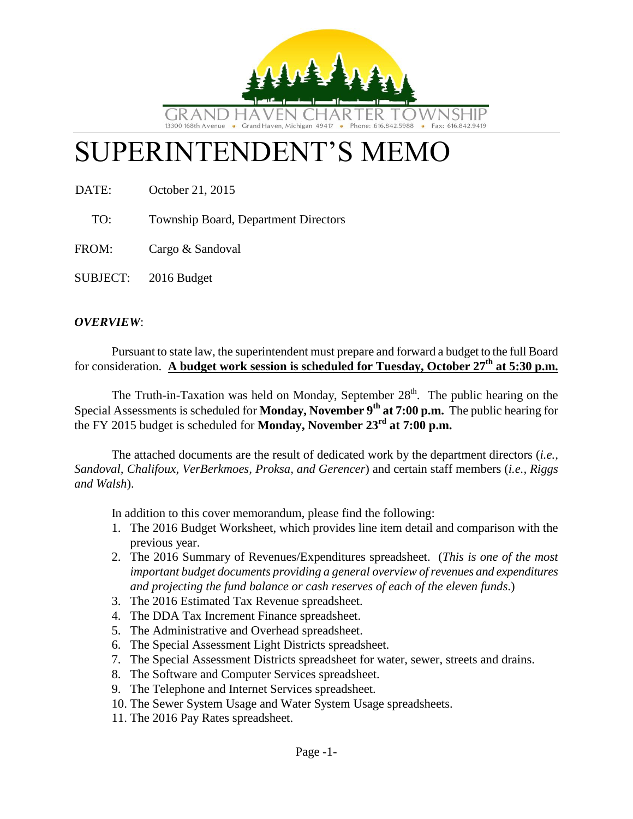

# SUPERINTENDENT'S MEMO

DATE: October 21, 2015

TO: Township Board, Department Directors

FROM: Cargo & Sandoval

SUBJECT: 2016 Budget

### *OVERVIEW*:

Pursuant to state law, the superintendent must prepare and forward a budget to the full Board for consideration. **A budget work session is scheduled for Tuesday, October 27th at 5:30 p.m.**

The Truth-in-Taxation was held on Monday, September  $28<sup>th</sup>$ . The public hearing on the Special Assessments is scheduled for **Monday, November 9 th at 7:00 p.m.** The public hearing for the FY 2015 budget is scheduled for **Monday, November 23rd at 7:00 p.m.**

The attached documents are the result of dedicated work by the department directors (*i.e., Sandoval, Chalifoux, VerBerkmoes, Proksa, and Gerencer*) and certain staff members (*i.e., Riggs and Walsh*).

In addition to this cover memorandum, please find the following:

- 1. The 2016 Budget Worksheet, which provides line item detail and comparison with the previous year.
- 2. The 2016 Summary of Revenues/Expenditures spreadsheet. (*This is one of the most important budget documents providing a general overview of revenues and expenditures and projecting the fund balance or cash reserves of each of the eleven funds*.)
- 3. The 2016 Estimated Tax Revenue spreadsheet.
- 4. The DDA Tax Increment Finance spreadsheet.
- 5. The Administrative and Overhead spreadsheet.
- 6. The Special Assessment Light Districts spreadsheet.
- 7. The Special Assessment Districts spreadsheet for water, sewer, streets and drains.
- 8. The Software and Computer Services spreadsheet.
- 9. The Telephone and Internet Services spreadsheet.
- 10. The Sewer System Usage and Water System Usage spreadsheets.
- 11. The 2016 Pay Rates spreadsheet.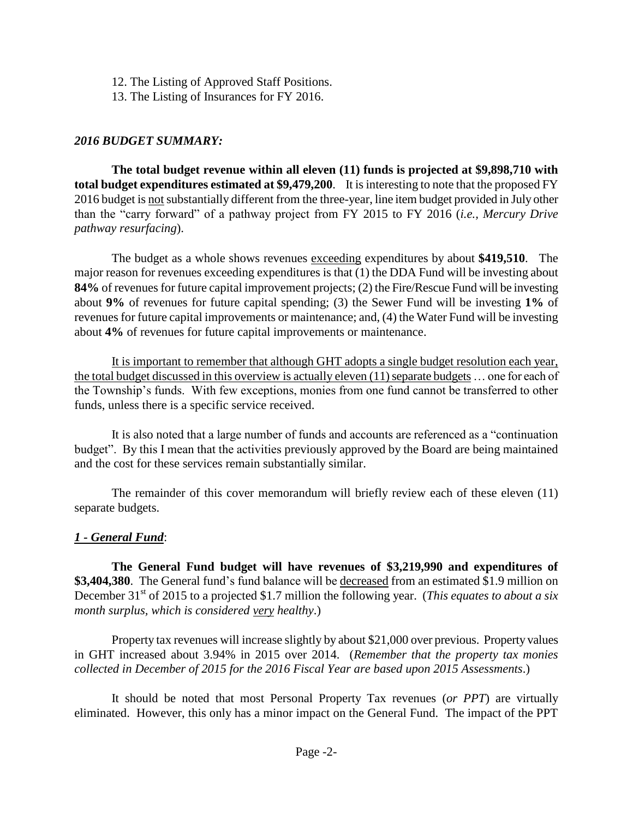- 12. The Listing of Approved Staff Positions.
- 13. The Listing of Insurances for FY 2016.

### *2016 BUDGET SUMMARY:*

**The total budget revenue within all eleven (11) funds is projected at \$9,898,710 with total budget expenditures estimated at \$9,479,200**. It is interesting to note that the proposed FY 2016 budget is not substantially different from the three-year, line item budget provided in July other than the "carry forward" of a pathway project from FY 2015 to FY 2016 (*i.e., Mercury Drive pathway resurfacing*).

The budget as a whole shows revenues exceeding expenditures by about **\$419,510**. The major reason for revenues exceeding expenditures is that (1) the DDA Fund will be investing about **84%** of revenues for future capital improvement projects; (2) the Fire/Rescue Fund will be investing about **9%** of revenues for future capital spending; (3) the Sewer Fund will be investing **1%** of revenues for future capital improvements or maintenance; and, (4) the Water Fund will be investing about **4%** of revenues for future capital improvements or maintenance.

It is important to remember that although GHT adopts a single budget resolution each year, the total budget discussed in this overview is actually eleven (11) separate budgets … one for each of the Township's funds. With few exceptions, monies from one fund cannot be transferred to other funds, unless there is a specific service received.

It is also noted that a large number of funds and accounts are referenced as a "continuation budget". By this I mean that the activities previously approved by the Board are being maintained and the cost for these services remain substantially similar.

The remainder of this cover memorandum will briefly review each of these eleven (11) separate budgets.

### *1 - General Fund*:

**The General Fund budget will have revenues of \$3,219,990 and expenditures of \$3,404,380**. The General fund's fund balance will be decreased from an estimated \$1.9 million on December 31<sup>st</sup> of 2015 to a projected \$1.7 million the following year. (*This equates to about a six month surplus, which is considered very healthy*.)

Property tax revenues will increase slightly by about \$21,000 over previous. Property values in GHT increased about 3.94% in 2015 over 2014. (*Remember that the property tax monies collected in December of 2015 for the 2016 Fiscal Year are based upon 2015 Assessments*.)

It should be noted that most Personal Property Tax revenues (*or PPT*) are virtually eliminated. However, this only has a minor impact on the General Fund. The impact of the PPT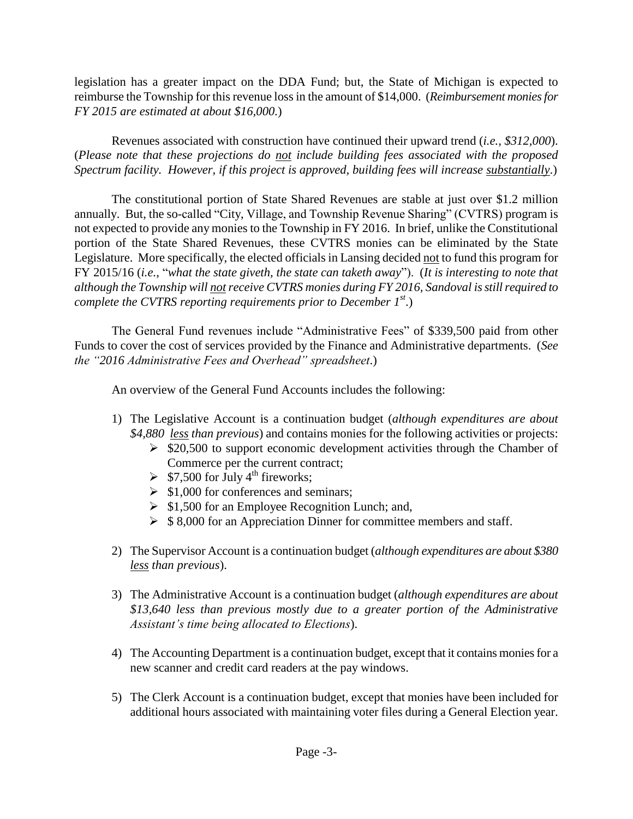legislation has a greater impact on the DDA Fund; but, the State of Michigan is expected to reimburse the Township for this revenue loss in the amount of \$14,000. (*Reimbursement monies for FY 2015 are estimated at about \$16,000.*)

Revenues associated with construction have continued their upward trend (*i.e., \$312,000*). (*Please note that these projections do not include building fees associated with the proposed Spectrum facility. However, if this project is approved, building fees will increase substantially*.)

The constitutional portion of State Shared Revenues are stable at just over \$1.2 million annually. But, the so-called "City, Village, and Township Revenue Sharing" (CVTRS) program is not expected to provide any monies to the Township in FY 2016. In brief, unlike the Constitutional portion of the State Shared Revenues, these CVTRS monies can be eliminated by the State Legislature. More specifically, the elected officials in Lansing decided not to fund this program for FY 2015/16 (*i.e.,* "*what the state giveth, the state can taketh away*"). (*It is interesting to note that although the Township will notreceive CVTRS monies during FY 2016, Sandoval is still required to complete the CVTRS reporting requirements prior to December 1st*.)

The General Fund revenues include "Administrative Fees" of \$339,500 paid from other Funds to cover the cost of services provided by the Finance and Administrative departments. (*See the "2016 Administrative Fees and Overhead" spreadsheet*.)

An overview of the General Fund Accounts includes the following:

- 1) The Legislative Account is a continuation budget (*although expenditures are about \$4,880 less than previous*) and contains monies for the following activities or projects:
	- $\ge$  \$20,500 to support economic development activities through the Chamber of Commerce per the current contract;
	- $\geq$  \$7,500 for July 4<sup>th</sup> fireworks;
	- $\geq$  \$1,000 for conferences and seminars;
	- $\triangleright$  \$1,500 for an Employee Recognition Lunch; and,
	- $\triangleright$  \$ 8,000 for an Appreciation Dinner for committee members and staff.
- 2) The Supervisor Account is a continuation budget (*although expenditures are about \$380 less than previous*).
- 3) The Administrative Account is a continuation budget (*although expenditures are about \$13,640 less than previous mostly due to a greater portion of the Administrative Assistant's time being allocated to Elections*).
- 4) The Accounting Department is a continuation budget, except that it contains monies for a new scanner and credit card readers at the pay windows.
- 5) The Clerk Account is a continuation budget, except that monies have been included for additional hours associated with maintaining voter files during a General Election year.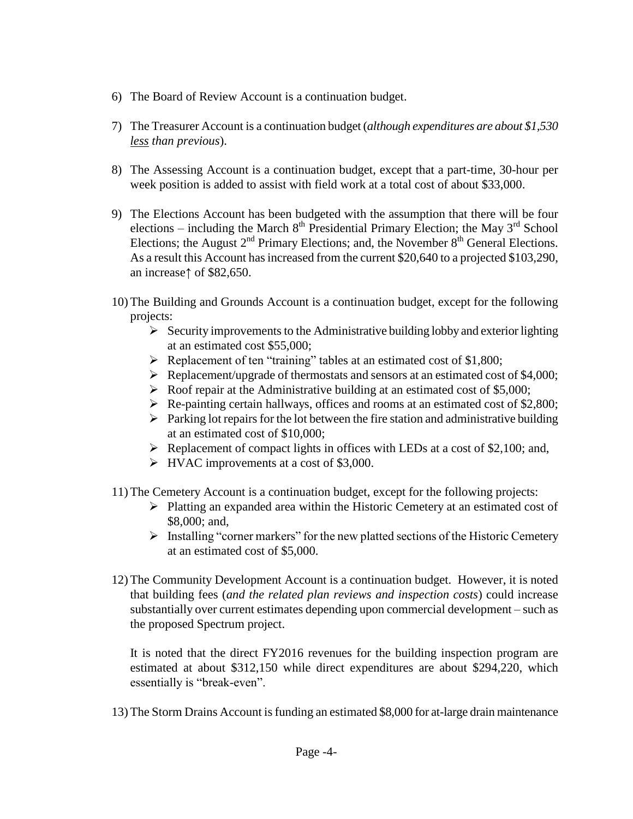- 6) The Board of Review Account is a continuation budget.
- 7) The Treasurer Account is a continuation budget (*although expenditures are about \$1,530 less than previous*).
- 8) The Assessing Account is a continuation budget, except that a part-time, 30-hour per week position is added to assist with field work at a total cost of about \$33,000.
- 9) The Elections Account has been budgeted with the assumption that there will be four elections – including the March  $8<sup>th</sup>$  Presidential Primary Election; the May  $3<sup>rd</sup>$  School Elections; the August  $2<sup>nd</sup>$  Primary Elections; and, the November  $8<sup>th</sup>$  General Elections. As a result this Account has increased from the current \$20,640 to a projected \$103,290, an increase↑ of \$82,650.
- 10) The Building and Grounds Account is a continuation budget, except for the following projects:
	- $\triangleright$  Security improvements to the Administrative building lobby and exterior lighting at an estimated cost \$55,000;
	- Replacement of ten "training" tables at an estimated cost of \$1,800;
	- P Replacement/upgrade of thermostats and sensors at an estimated cost of \$4,000;
	- Roof repair at the Administrative building at an estimated cost of \$5,000;
	- $\triangleright$  Re-painting certain hallways, offices and rooms at an estimated cost of \$2,800;
	- $\triangleright$  Parking lot repairs for the lot between the fire station and administrative building at an estimated cost of \$10,000;
	- $\triangleright$  Replacement of compact lights in offices with LEDs at a cost of \$2,100; and,
	- HVAC improvements at a cost of \$3,000.
- 11) The Cemetery Account is a continuation budget, except for the following projects:
	- $\triangleright$  Platting an expanded area within the Historic Cemetery at an estimated cost of \$8,000; and,
	- $\triangleright$  Installing "corner markers" for the new platted sections of the Historic Cemetery at an estimated cost of \$5,000.
- 12) The Community Development Account is a continuation budget. However, it is noted that building fees (*and the related plan reviews and inspection costs*) could increase substantially over current estimates depending upon commercial development – such as the proposed Spectrum project.

It is noted that the direct FY2016 revenues for the building inspection program are estimated at about \$312,150 while direct expenditures are about \$294,220, which essentially is "break-even".

13) The Storm Drains Account is funding an estimated \$8,000 for at-large drain maintenance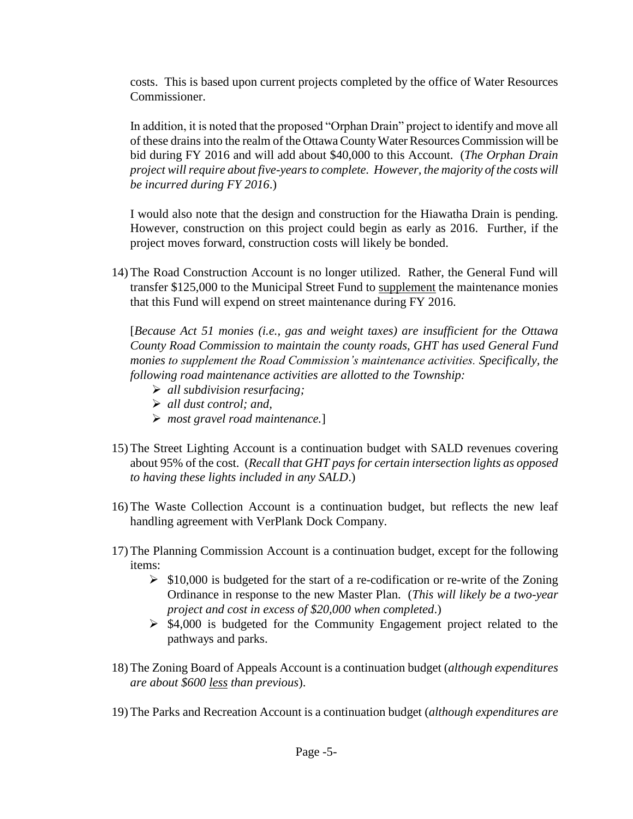costs. This is based upon current projects completed by the office of Water Resources Commissioner.

In addition, it is noted that the proposed "Orphan Drain" project to identify and move all of these drains into the realm of the Ottawa County Water Resources Commission will be bid during FY 2016 and will add about \$40,000 to this Account. (*The Orphan Drain project will require about five-years to complete. However, the majority of the costs will be incurred during FY 2016*.)

I would also note that the design and construction for the Hiawatha Drain is pending. However, construction on this project could begin as early as 2016. Further, if the project moves forward, construction costs will likely be bonded.

14) The Road Construction Account is no longer utilized. Rather, the General Fund will transfer \$125,000 to the Municipal Street Fund to supplement the maintenance monies that this Fund will expend on street maintenance during FY 2016.

[*Because Act 51 monies (i.e., gas and weight taxes) are insufficient for the Ottawa County Road Commission to maintain the county roads, GHT has used General Fund monies to supplement the Road Commission's maintenance activities. Specifically, the following road maintenance activities are allotted to the Township:*

- *all subdivision resurfacing;*
- *all dust control; and,*
- *most gravel road maintenance.*]
- 15) The Street Lighting Account is a continuation budget with SALD revenues covering about 95% of the cost. (*Recall that GHT pays for certain intersection lights as opposed to having these lights included in any SALD*.)
- 16) The Waste Collection Account is a continuation budget, but reflects the new leaf handling agreement with VerPlank Dock Company.
- 17) The Planning Commission Account is a continuation budget, except for the following items:
	- $\geq$  \$10,000 is budgeted for the start of a re-codification or re-write of the Zoning Ordinance in response to the new Master Plan. (*This will likely be a two-year project and cost in excess of \$20,000 when completed*.)
	- $\ge$  \$4,000 is budgeted for the Community Engagement project related to the pathways and parks.
- 18) The Zoning Board of Appeals Account is a continuation budget (*although expenditures are about \$600 less than previous*).
- 19) The Parks and Recreation Account is a continuation budget (*although expenditures are*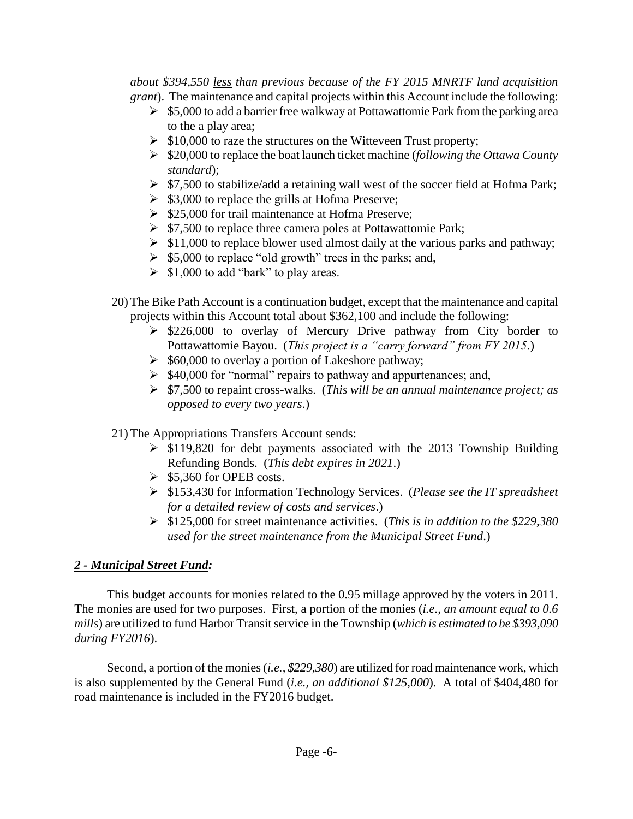*about \$394,550 less than previous because of the FY 2015 MNRTF land acquisition grant*). The maintenance and capital projects within this Account include the following:

- $\geq$  \$5,000 to add a barrier free walkway at Pottawattomie Park from the parking area to the a play area;
- $\geq$  \$10,000 to raze the structures on the Witteveen Trust property;
- \$20,000 to replace the boat launch ticket machine (*following the Ottawa County standard*);
- $\triangleright$  \$7,500 to stabilize/add a retaining wall west of the soccer field at Hofma Park;
- $\triangleright$  \$3,000 to replace the grills at Hofma Preserve;
- $\geq$  \$25,000 for trail maintenance at Hofma Preserve;
- $\triangleright$  \$7,500 to replace three camera poles at Pottawattomie Park:
- $\geq$  \$11,000 to replace blower used almost daily at the various parks and pathway;
- $\geq$  \$5,000 to replace "old growth" trees in the parks; and,
- $\triangleright$  \$1,000 to add "bark" to play areas.
- 20) The Bike Path Account is a continuation budget, except that the maintenance and capital projects within this Account total about \$362,100 and include the following:
	- $\geq$  \$226,000 to overlay of Mercury Drive pathway from City border to Pottawattomie Bayou. (*This project is a "carry forward" from FY 2015*.)
	- $\geq$  \$60,000 to overlay a portion of Lakeshore pathway;
	- $\geq$  \$40,000 for "normal" repairs to pathway and appurtenances; and,
	- \$7,500 to repaint cross-walks. (*This will be an annual maintenance project; as opposed to every two years*.)

21) The Appropriations Transfers Account sends:

- $\geq$  \$119,820 for debt payments associated with the 2013 Township Building Refunding Bonds. (*This debt expires in 2021*.)
- $\geq$  \$5,360 for OPEB costs.
- \$153,430 for Information Technology Services. (*Please see the IT spreadsheet for a detailed review of costs and services*.)
- \$125,000 for street maintenance activities. (*This is in addition to the \$229,380 used for the street maintenance from the Municipal Street Fund*.)

### *2 - Municipal Street Fund:*

This budget accounts for monies related to the 0.95 millage approved by the voters in 2011. The monies are used for two purposes. First, a portion of the monies (*i.e., an amount equal to 0.6 mills*) are utilized to fund Harbor Transit service in the Township (*which is estimated to be \$393,090 during FY2016*).

Second, a portion of the monies (*i.e., \$229,380*) are utilized for road maintenance work, which is also supplemented by the General Fund (*i.e., an additional \$125,000*). A total of \$404,480 for road maintenance is included in the FY2016 budget.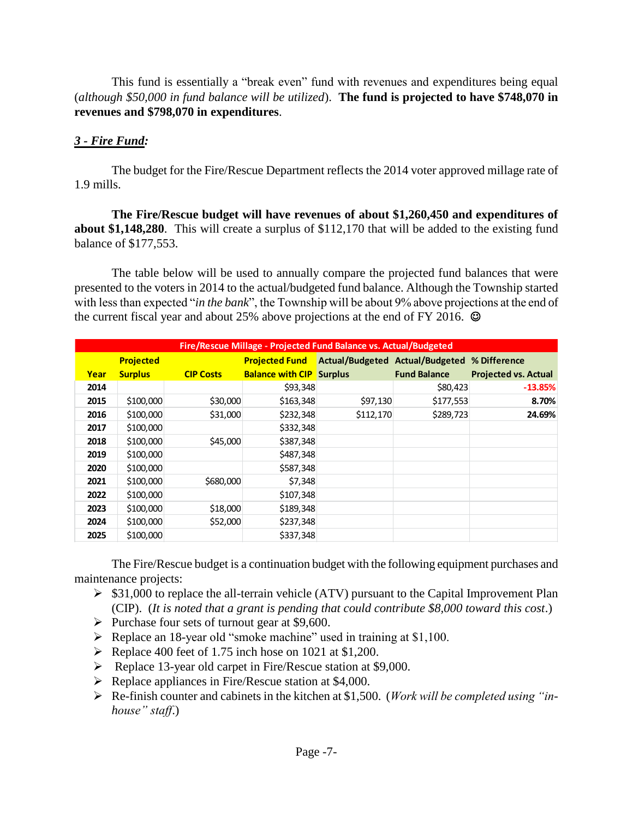This fund is essentially a "break even" fund with revenues and expenditures being equal (*although \$50,000 in fund balance will be utilized*). **The fund is projected to have \$748,070 in revenues and \$798,070 in expenditures**.

### *3 - Fire Fund:*

The budget for the Fire/Rescue Department reflects the 2014 voter approved millage rate of 1.9 mills.

**The Fire/Rescue budget will have revenues of about \$1,260,450 and expenditures of about \$1,148,280**. This will create a surplus of \$112,170 that will be added to the existing fund balance of \$177,553.

The table below will be used to annually compare the projected fund balances that were presented to the voters in 2014 to the actual/budgeted fund balance. Although the Township started with less than expected "*in the bank*", the Township will be about 9% above projections at the end of the current fiscal year and about 25% above projections at the end of FY 2016.  $\odot$ 

|      | Fire/Rescue Millage - Projected Fund Balance vs. Actual/Budgeted |                  |                                 |                                              |                     |                             |  |  |  |  |  |
|------|------------------------------------------------------------------|------------------|---------------------------------|----------------------------------------------|---------------------|-----------------------------|--|--|--|--|--|
|      | <b>Projected</b>                                                 |                  | <b>Projected Fund</b>           | Actual/Budgeted Actual/Budgeted % Difference |                     |                             |  |  |  |  |  |
| Year | <b>Surplus</b>                                                   | <b>CIP Costs</b> | <b>Balance with CIP</b> Surplus |                                              | <b>Fund Balance</b> | <b>Projected vs. Actual</b> |  |  |  |  |  |
| 2014 |                                                                  |                  | \$93,348                        |                                              | \$80,423            | $-13.85%$                   |  |  |  |  |  |
| 2015 | \$100,000                                                        | \$30,000         | \$163,348                       | \$97,130                                     | \$177,553           | 8.70%                       |  |  |  |  |  |
| 2016 | \$100,000                                                        | \$31,000         | \$232,348                       | \$112,170                                    | \$289,723           | 24.69%                      |  |  |  |  |  |
| 2017 | \$100,000                                                        |                  | \$332,348                       |                                              |                     |                             |  |  |  |  |  |
| 2018 | \$100,000                                                        | \$45,000         | \$387,348                       |                                              |                     |                             |  |  |  |  |  |
| 2019 | \$100,000                                                        |                  | \$487,348                       |                                              |                     |                             |  |  |  |  |  |
| 2020 | \$100,000                                                        |                  | \$587,348                       |                                              |                     |                             |  |  |  |  |  |
| 2021 | \$100,000                                                        | \$680,000        | \$7,348                         |                                              |                     |                             |  |  |  |  |  |
| 2022 | \$100,000                                                        |                  | \$107,348                       |                                              |                     |                             |  |  |  |  |  |
| 2023 | \$100,000                                                        | \$18,000         | \$189,348                       |                                              |                     |                             |  |  |  |  |  |
| 2024 | \$100,000                                                        | \$52,000         | \$237,348                       |                                              |                     |                             |  |  |  |  |  |
| 2025 | \$100,000                                                        |                  | \$337,348                       |                                              |                     |                             |  |  |  |  |  |

The Fire/Rescue budget is a continuation budget with the following equipment purchases and maintenance projects:

- $\triangleright$  \$31,000 to replace the all-terrain vehicle (ATV) pursuant to the Capital Improvement Plan (CIP). (*It is noted that a grant is pending that could contribute \$8,000 toward this cost*.)
- $\triangleright$  Purchase four sets of turnout gear at \$9,600.
- $\triangleright$  Replace an 18-year old "smoke machine" used in training at \$1,100.
- $\blacktriangleright$  Replace 400 feet of 1.75 inch hose on 1021 at \$1,200.
- Replace 13-year old carpet in Fire/Rescue station at \$9,000.
- $\triangleright$  Replace appliances in Fire/Rescue station at \$4,000.
- Re-finish counter and cabinets in the kitchen at \$1,500. (*Work will be completed using "inhouse" staff*.)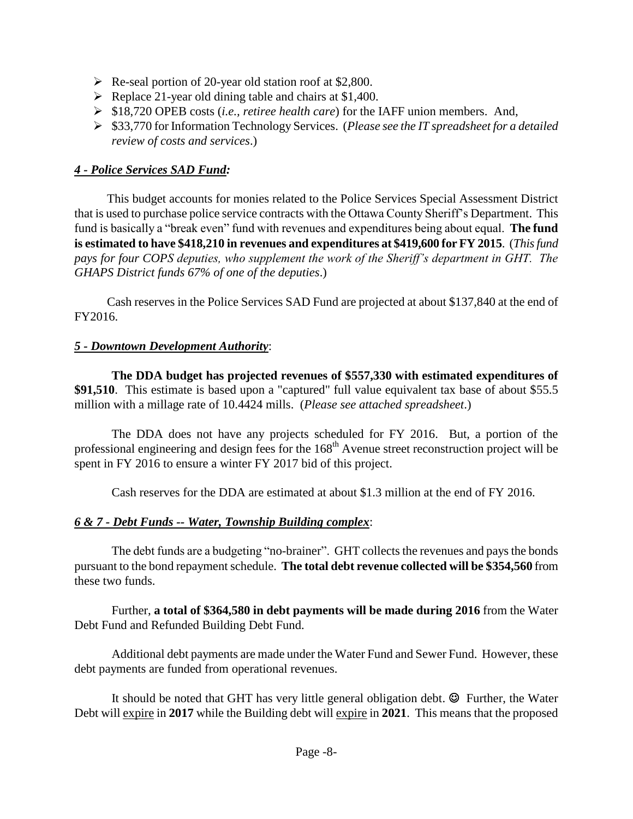- $\triangleright$  Re-seal portion of 20-year old station roof at \$2,800.
- $\triangleright$  Replace 21-year old dining table and chairs at \$1,400.
- \$18,720 OPEB costs (*i.e., retiree health care*) for the IAFF union members. And,
- \$33,770 for Information Technology Services. (*Please see the IT spreadsheet for a detailed review of costs and services*.)

### *4 - Police Services SAD Fund:*

This budget accounts for monies related to the Police Services Special Assessment District that is used to purchase police service contracts with the Ottawa County Sheriff's Department. This fund is basically a "break even" fund with revenues and expenditures being about equal. **The fund is estimated to have \$418,210 in revenues and expenditures at \$419,600 for FY 2015**. (*This fund pays for four COPS deputies, who supplement the work of the Sheriff's department in GHT. The GHAPS District funds 67% of one of the deputies*.)

Cash reserves in the Police Services SAD Fund are projected at about \$137,840 at the end of FY2016.

### *5 - Downtown Development Authority*:

**The DDA budget has projected revenues of \$557,330 with estimated expenditures of \$91,510**. This estimate is based upon a "captured" full value equivalent tax base of about \$55.5 million with a millage rate of 10.4424 mills. (*Please see attached spreadsheet*.)

The DDA does not have any projects scheduled for FY 2016. But, a portion of the professional engineering and design fees for the 168<sup>th</sup> Avenue street reconstruction project will be spent in FY 2016 to ensure a winter FY 2017 bid of this project.

Cash reserves for the DDA are estimated at about \$1.3 million at the end of FY 2016.

### *6 & 7 - Debt Funds -- Water, Township Building complex*:

The debt funds are a budgeting "no-brainer". GHT collects the revenues and paysthe bonds pursuant to the bond repayment schedule. **The total debt revenue collected will be \$354,560** from these two funds.

Further, **a total of \$364,580 in debt payments will be made during 2016** from the Water Debt Fund and Refunded Building Debt Fund.

Additional debt payments are made under the Water Fund and Sewer Fund. However, these debt payments are funded from operational revenues.

It should be noted that GHT has very little general obligation debt.  $\odot$  Further, the Water Debt will expire in **2017** while the Building debt will expire in **2021**. This means that the proposed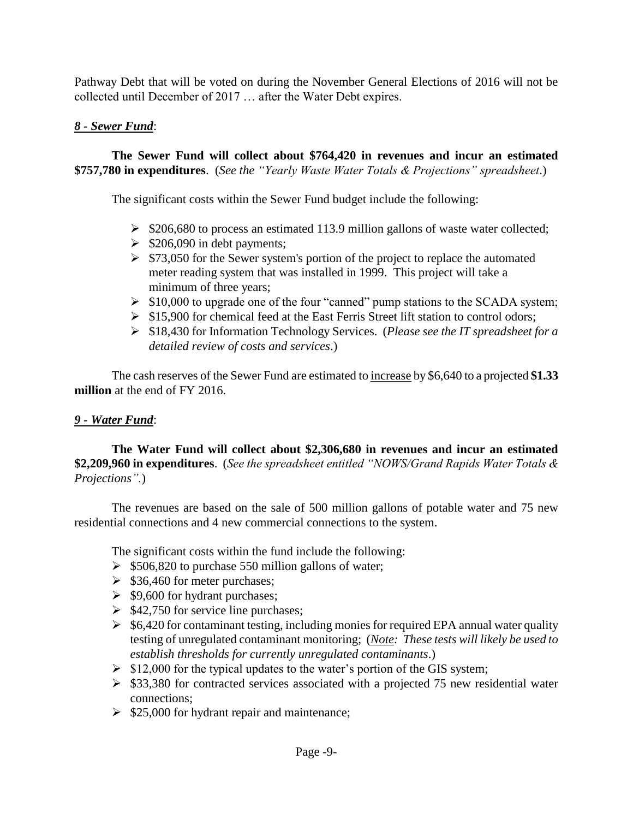Pathway Debt that will be voted on during the November General Elections of 2016 will not be collected until December of 2017 … after the Water Debt expires.

### *8 - Sewer Fund*:

**The Sewer Fund will collect about \$764,420 in revenues and incur an estimated \$757,780 in expenditures**. (*See the "Yearly Waste Water Totals & Projections" spreadsheet*.)

The significant costs within the Sewer Fund budget include the following:

- $\geq$  \$206,680 to process an estimated 113.9 million gallons of waste water collected;
- $\geq$  \$206,090 in debt payments;
- $\geq$  \$73,050 for the Sewer system's portion of the project to replace the automated meter reading system that was installed in 1999. This project will take a minimum of three years;
- $\triangleright$  \$10,000 to upgrade one of the four "canned" pump stations to the SCADA system;
- $\triangleright$  \$15,900 for chemical feed at the East Ferris Street lift station to control odors;
- \$18,430 for Information Technology Services. (*Please see the IT spreadsheet for a detailed review of costs and services*.)

The cash reserves of the Sewer Fund are estimated to increase by \$6,640 to a projected **\$1.33 million** at the end of FY 2016.

### *9 - Water Fund*:

**The Water Fund will collect about \$2,306,680 in revenues and incur an estimated \$2,209,960 in expenditures**. (*See the spreadsheet entitled "NOWS/Grand Rapids Water Totals & Projections".*)

The revenues are based on the sale of 500 million gallons of potable water and 75 new residential connections and 4 new commercial connections to the system.

The significant costs within the fund include the following:

- $\geq$  \$506,820 to purchase 550 million gallons of water;
- $\geq$  \$36,460 for meter purchases;
- $\geq$  \$9,600 for hydrant purchases;
- $\geq$  \$42,750 for service line purchases;
- $\geq$  \$6,420 for contaminant testing, including monies for required EPA annual water quality testing of unregulated contaminant monitoring; (*Note: These tests will likely be used to establish thresholds for currently unregulated contaminants*.)
- $\triangleright$  \$12,000 for the typical updates to the water's portion of the GIS system;
- $\ge$  \$33,380 for contracted services associated with a projected 75 new residential water connections;
- $\geq$  \$25,000 for hydrant repair and maintenance;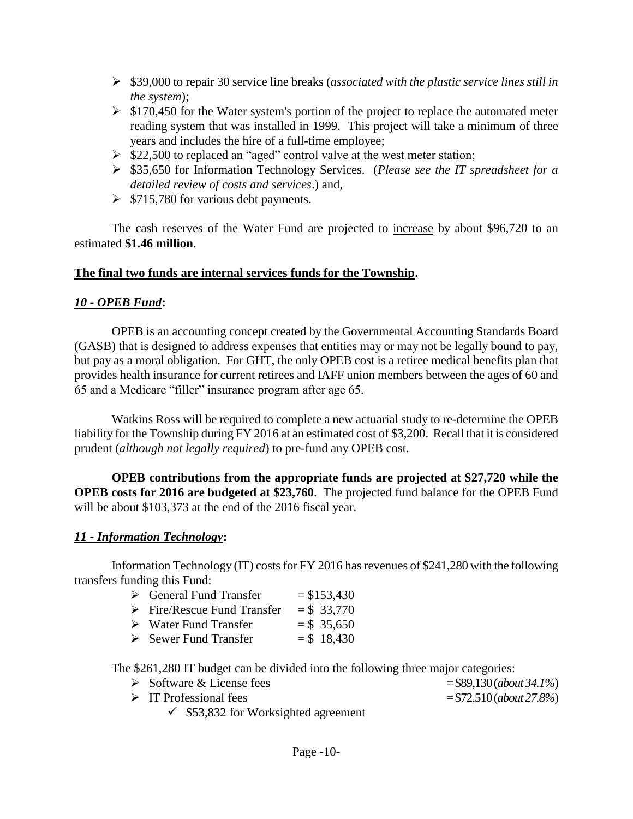- \$39,000 to repair 30 service line breaks (*associated with the plastic service lines still in the system*);
- $\geq$  \$170,450 for the Water system's portion of the project to replace the automated meter reading system that was installed in 1999. This project will take a minimum of three years and includes the hire of a full-time employee;
- $\geq$  \$22,500 to replaced an "aged" control valve at the west meter station;
- \$35,650 for Information Technology Services. (*Please see the IT spreadsheet for a detailed review of costs and services*.) and,
- $\geq$  \$715,780 for various debt payments.

The cash reserves of the Water Fund are projected to increase by about \$96,720 to an estimated **\$1.46 million**.

### **The final two funds are internal services funds for the Township.**

### *10 - OPEB Fund***:**

OPEB is an accounting concept created by the Governmental Accounting Standards Board (GASB) that is designed to address expenses that entities may or may not be legally bound to pay, but pay as a moral obligation. For GHT, the only OPEB cost is a retiree medical benefits plan that provides health insurance for current retirees and IAFF union members between the ages of 60 and 65 and a Medicare "filler" insurance program after age 65.

Watkins Ross will be required to complete a new actuarial study to re-determine the OPEB liability for the Township during FY 2016 at an estimated cost of \$3,200. Recall that it is considered prudent (*although not legally required*) to pre-fund any OPEB cost.

**OPEB contributions from the appropriate funds are projected at \$27,720 while the OPEB costs for 2016 are budgeted at \$23,760**. The projected fund balance for the OPEB Fund will be about \$103,373 at the end of the 2016 fiscal year.

### *11 - Information Technology***:**

Information Technology (IT) costs for FY 2016 has revenues of \$241,280 with the following transfers funding this Fund:

- $\triangleright$  Fire/Rescue Fund Transfer = \$ 33,770
- $\triangleright$  Water Fund Transfer = \$ 35,650
- $\geq$  Sewer Fund Transfer  $=$  \$ 18.430

The \$261,280 IT budget can be divided into the following three major categories:

- $\triangleright$  Software & License fees  $= $89,130 \, (about 34.1\%)$
- $\triangleright$  IT Professional fees  $= $72,510 \, (about 27.8\%)$ 
	- $\checkmark$  \$53,832 for Worksighted agreement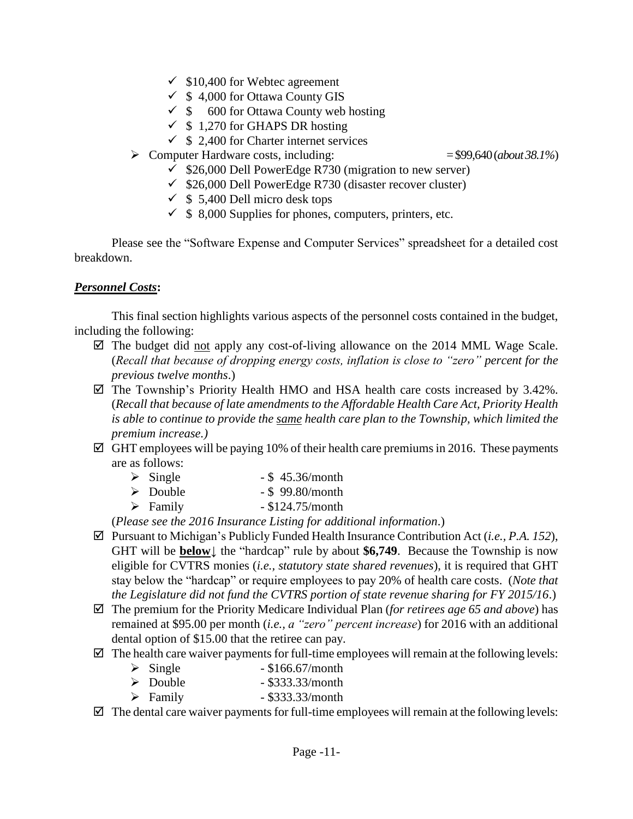- $\checkmark$  \$10,400 for Webtec agreement
- $\checkmark$  \$ 4,000 for Ottawa County GIS
- $\checkmark$  \$ 600 for Ottawa County web hosting
- $\checkmark$  \$ 1,270 for GHAPS DR hosting
- $\checkmark$  \$ 2,400 for Charter internet services
- Computer Hardware costs, including: = \$99,640(*about 38.1%*)

- $\checkmark$  \$26,000 Dell PowerEdge R730 (migration to new server)
- $\checkmark$  \$26,000 Dell PowerEdge R730 (disaster recover cluster)
- $\checkmark$  \$ 5,400 Dell micro desk tops
- $\checkmark$  \$ 8,000 Supplies for phones, computers, printers, etc.

Please see the "Software Expense and Computer Services" spreadsheet for a detailed cost breakdown.

### *Personnel Costs***:**

This final section highlights various aspects of the personnel costs contained in the budget, including the following:

- $\boxtimes$  The budget did <u>not</u> apply any cost-of-living allowance on the 2014 MML Wage Scale. (*Recall that because of dropping energy costs, inflation is close to "zero" percent for the previous twelve months*.)
- $\boxtimes$  The Township's Priority Health HMO and HSA health care costs increased by 3.42%. (*Recall that because of late amendments to the Affordable Health Care Act, Priority Health is able to continue to provide the same health care plan to the Township, which limited the premium increase.)*
- $\boxtimes$  GHT employees will be paying 10% of their health care premiums in 2016. These payments are as follows:
	- $\geq$  Single \$ 45.36/month
	- $\geq$  Double \$ 99.80/month
	- $\triangleright$  Family \$124.75/month

(*Please see the 2016 Insurance Listing for additional information*.)

- Pursuant to Michigan's Publicly Funded Health Insurance Contribution Act (*i.e., P.A. 152*), GHT will be **below↓** the "hardcap" rule by about **\$6,749**. Because the Township is now eligible for CVTRS monies (*i.e., statutory state shared revenues*), it is required that GHT stay below the "hardcap" or require employees to pay 20% of health care costs. (*Note that the Legislature did not fund the CVTRS portion of state revenue sharing for FY 2015/16*.)
- The premium for the Priority Medicare Individual Plan (*for retirees age 65 and above*) has remained at \$95.00 per month (*i.e., a "zero" percent increase*) for 2016 with an additional dental option of \$15.00 that the retiree can pay.
- $\boxtimes$  The health care waiver payments for full-time employees will remain at the following levels:
	- $\triangleright$  Single \$166.67/month
	- $\triangleright$  Double \$333.33/month
	- $\triangleright$  Family \$333.33/month

 $\boxtimes$  The dental care waiver payments for full-time employees will remain at the following levels: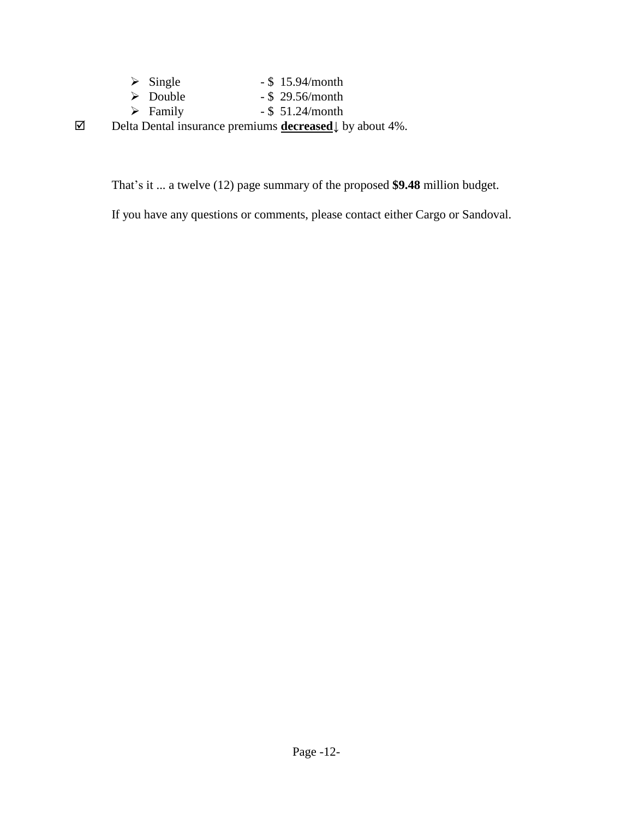| $\triangleright$ Single |  | $-$ \$ 15.94/month |
|-------------------------|--|--------------------|
|-------------------------|--|--------------------|

- $\geq$  Double \$ 29.56/month
- $\triangleright$  Family \$ 51.24/month

Delta Dental insurance premiums **decreased↓** by about 4%.

That's it ... a twelve (12) page summary of the proposed **\$9.48** million budget.

If you have any questions or comments, please contact either Cargo or Sandoval.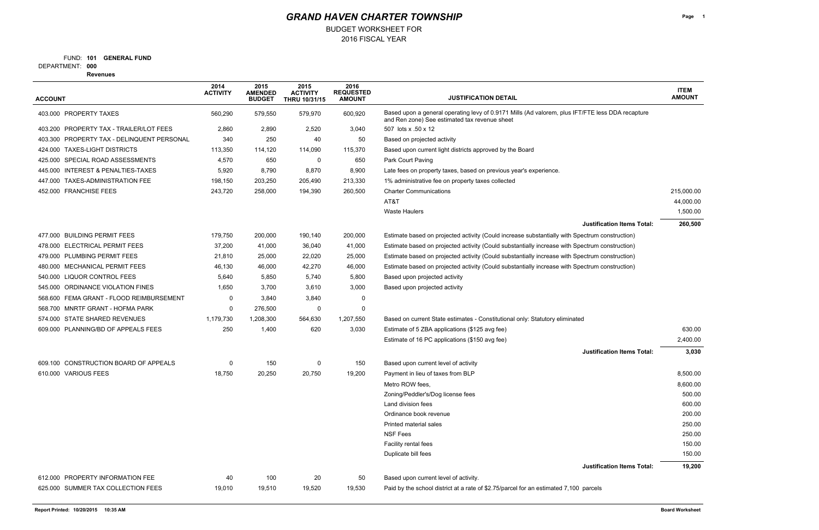2016 FISCAL YEAR BUDGET WORKSHEET FOR

FUND: 101 **GENERAL FUND** 

**000** DEPARTMENT:

**Revenues**

| <b>ACCOUNT</b>                             | 2014<br><b>ACTIVITY</b> | 2015<br><b>AMENDED</b><br><b>BUDGET</b> | 2015<br><b>ACTIVITY</b><br><b>THRU 10/31/15</b> | 2016<br><b>REQUESTED</b><br><b>AMOUNT</b> | <b>JUSTIFICATION DETAIL</b>                                                                                                                       | <b>ITEM</b><br><b>AMOUNT</b> |
|--------------------------------------------|-------------------------|-----------------------------------------|-------------------------------------------------|-------------------------------------------|---------------------------------------------------------------------------------------------------------------------------------------------------|------------------------------|
| 403.000 PROPERTY TAXES                     | 560,290                 | 579,550                                 | 579,970                                         | 600,920                                   | Based upon a general operating levy of 0.9171 Mills (Ad valorem, plus IFT/FTE less DDA recapture<br>and Ren zone) See estimated tax revenue sheet |                              |
| 403.200 PROPERTY TAX - TRAILER/LOT FEES    | 2,860                   | 2,890                                   | 2,520                                           | 3,040                                     | 507 lots x .50 x 12                                                                                                                               |                              |
| 403.300 PROPERTY TAX - DELINQUENT PERSONAL | 340                     | 250                                     | 40                                              | 50                                        | Based on projected activity                                                                                                                       |                              |
| 424.000 TAXES-LIGHT DISTRICTS              | 113,350                 | 114,120                                 | 114,090                                         | 115,370                                   | Based upon current light districts approved by the Board                                                                                          |                              |
| 425.000 SPECIAL ROAD ASSESSMENTS           | 4,570                   | 650                                     | 0                                               | 650                                       | Park Court Paving                                                                                                                                 |                              |
| 445.000 INTEREST & PENALTIES-TAXES         | 5,920                   | 8,790                                   | 8,870                                           | 8,900                                     | Late fees on property taxes, based on previous year's experience.                                                                                 |                              |
| 447.000 TAXES-ADMINISTRATION FEE           | 198,150                 | 203,250                                 | 205,490                                         | 213,330                                   | 1% administrative fee on property taxes collected                                                                                                 |                              |
| 452.000 FRANCHISE FEES                     | 243,720                 | 258,000                                 | 194,390                                         | 260,500                                   | <b>Charter Communications</b>                                                                                                                     | 215,000.00                   |
|                                            |                         |                                         |                                                 |                                           | AT&T                                                                                                                                              | 44,000.00                    |
|                                            |                         |                                         |                                                 |                                           | <b>Waste Haulers</b>                                                                                                                              | 1,500.00                     |
|                                            |                         |                                         |                                                 |                                           | <b>Justification Items Total:</b>                                                                                                                 | 260,500                      |
| 477,000 BUILDING PERMIT FEES               | 179,750                 | 200,000                                 | 190,140                                         | 200,000                                   | Estimate based on projected activity (Could increase substantially with Spectrum construction)                                                    |                              |
| 478.000 ELECTRICAL PERMIT FEES             | 37,200                  | 41,000                                  | 36,040                                          | 41,000                                    | Estimate based on projected activity (Could substantially increase with Spectrum construction)                                                    |                              |
| 479.000 PLUMBING PERMIT FEES               | 21,810                  | 25,000                                  | 22,020                                          | 25,000                                    | Estimate based on projected activity (Could substantially increase with Spectrum construction)                                                    |                              |
| 480.000 MECHANICAL PERMIT FEES             | 46,130                  | 46,000                                  | 42,270                                          | 46,000                                    | Estimate based on projected activity (Could substantially increase with Spectrum construction)                                                    |                              |
| 540.000 LIQUOR CONTROL FEES                | 5,640                   | 5,850                                   | 5,740                                           | 5,800                                     | Based upon projected activity                                                                                                                     |                              |
| 545.000 ORDINANCE VIOLATION FINES          | 1,650                   | 3,700                                   | 3,610                                           | 3,000                                     | Based upon projected activity                                                                                                                     |                              |
| 568.600 FEMA GRANT - FLOOD REIMBURSEMENT   | 0                       | 3,840                                   | 3,840                                           | 0                                         |                                                                                                                                                   |                              |
| 568.700 MNRTF GRANT - HOFMA PARK           | 0                       | 276,500                                 | 0                                               | 0                                         |                                                                                                                                                   |                              |
| 574.000 STATE SHARED REVENUES              | 1,179,730               | 1,208,300                               | 564,630                                         | 1,207,550                                 | Based on current State estimates - Constitutional only: Statutory eliminated                                                                      |                              |
| 609.000 PLANNING/BD OF APPEALS FEES        | 250                     | 1,400                                   | 620                                             | 3,030                                     | Estimate of 5 ZBA applications (\$125 avg fee)                                                                                                    | 630.00                       |
|                                            |                         |                                         |                                                 |                                           | Estimate of 16 PC applications (\$150 avg fee)                                                                                                    | 2,400.00                     |
|                                            |                         |                                         |                                                 |                                           | <b>Justification Items Total:</b>                                                                                                                 | 3,030                        |
| 609.100 CONSTRUCTION BOARD OF APPEALS      | 0                       | 150                                     | 0                                               | 150                                       | Based upon current level of activity                                                                                                              |                              |
| 610.000 VARIOUS FEES                       | 18,750                  | 20,250                                  | 20,750                                          | 19,200                                    | Payment in lieu of taxes from BLP                                                                                                                 | 8,500.00                     |
|                                            |                         |                                         |                                                 |                                           | Metro ROW fees,                                                                                                                                   | 8,600.00                     |
|                                            |                         |                                         |                                                 |                                           | Zoning/Peddler's/Dog license fees                                                                                                                 | 500.00                       |
|                                            |                         |                                         |                                                 |                                           | Land division fees                                                                                                                                | 600.00                       |
|                                            |                         |                                         |                                                 |                                           | Ordinance book revenue                                                                                                                            | 200.00                       |
|                                            |                         |                                         |                                                 |                                           | Printed material sales                                                                                                                            | 250.00                       |
|                                            |                         |                                         |                                                 |                                           | <b>NSF Fees</b>                                                                                                                                   | 250.00                       |
|                                            |                         |                                         |                                                 |                                           | Facility rental fees                                                                                                                              | 150.00                       |
|                                            |                         |                                         |                                                 |                                           | Duplicate bill fees                                                                                                                               | 150.00                       |
|                                            |                         |                                         |                                                 |                                           | <b>Justification Items Total:</b>                                                                                                                 | 19,200                       |
| 612.000 PROPERTY INFORMATION FEE           | 40                      | 100                                     | 20                                              | 50                                        | Based upon current level of activity.                                                                                                             |                              |
| 625.000 SUMMER TAX COLLECTION FEES         | 19,010                  | 19,510                                  | 19,520                                          | 19,530                                    | Paid by the school district at a rate of \$2.75/parcel for an estimated 7,100 parcels                                                             |                              |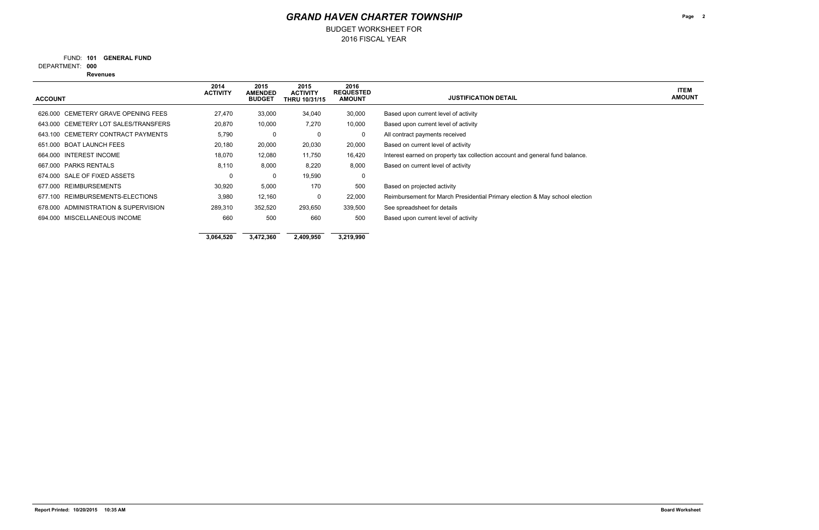2016 FISCAL YEAR BUDGET WORKSHEET FOR

FUND: 101 **GENERAL FUND** 

**000** DEPARTMENT:

**Revenues**

**Page 2**

**ITEM AMOUNT**

| <b>ACCOUNT</b>                         | 2014<br><b>ACTIVITY</b> | 2015<br><b>AMENDED</b><br><b>BUDGET</b> | 2015<br><b>ACTIVITY</b><br><b>THRU 10/31/15</b> | 2016<br><b>REQUESTED</b><br><b>AMOUNT</b> | <b>JUSTIFICATION DETAIL</b>                                                  |
|----------------------------------------|-------------------------|-----------------------------------------|-------------------------------------------------|-------------------------------------------|------------------------------------------------------------------------------|
| CEMETERY GRAVE OPENING FEES<br>626.000 | 27,470                  | 33,000                                  | 34,040                                          | 30,000                                    | Based upon current level of activity                                         |
| 643.000 CEMETERY LOT SALES/TRANSFERS   | 20,870                  | 10,000                                  | 7,270                                           | 10,000                                    | Based upon current level of activity                                         |
| 643.100 CEMETERY CONTRACT PAYMENTS     | 5,790                   | 0                                       | 0                                               | 0                                         | All contract payments received                                               |
| 651,000 BOAT LAUNCH FEES               | 20,180                  | 20,000                                  | 20,030                                          | 20,000                                    | Based on current level of activity                                           |
| 664.000 INTEREST INCOME                | 18,070                  | 12,080                                  | 11,750                                          | 16,420                                    | Interest earned on property tax collection account and general fund balance. |
| 667,000 PARKS RENTALS                  | 8,110                   | 8,000                                   | 8,220                                           | 8,000                                     | Based on current level of activity                                           |
| 674,000 SALE OF FIXED ASSETS           | 0                       | 0                                       | 19,590                                          | 0                                         |                                                                              |
| 677.000 REIMBURSEMENTS                 | 30,920                  | 5,000                                   | 170                                             | 500                                       | Based on projected activity                                                  |
| 677.100 REIMBURSEMENTS-ELECTIONS       | 3,980                   | 12,160                                  | 0                                               | 22,000                                    | Reimbursement for March Presidential Primary election & May school election  |
| 678,000 ADMINISTRATION & SUPERVISION   | 289,310                 | 352,520                                 | 293,650                                         | 339,500                                   | See spreadsheet for details                                                  |
| 694.000 MISCELLANEOUS INCOME           | 660                     | 500                                     | 660                                             | 500                                       | Based upon current level of activity                                         |
|                                        | 3,064,520               | 3,472,360                               | 2,409,950                                       | 3,219,990                                 |                                                                              |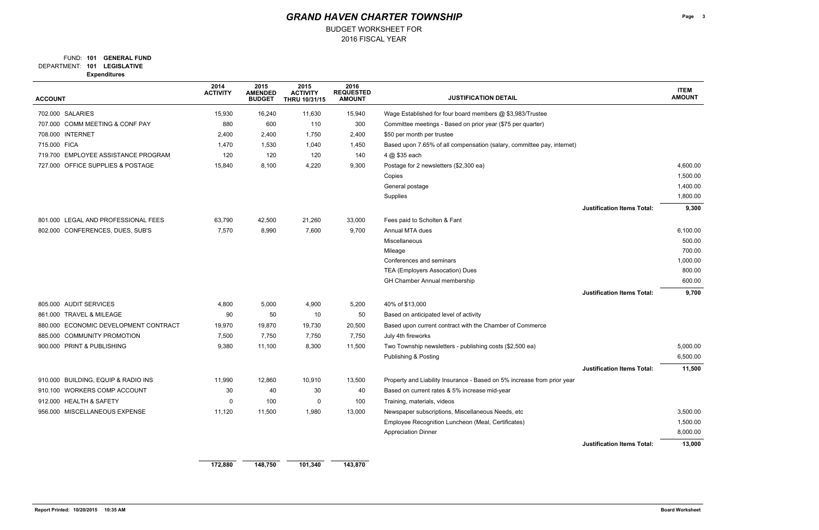### FUND: 101 **GENERAL FUND**

BUDGET WORKSHEET FOR

**101 LEGISLATIVE** DEPARTMENT:

**Expenditures**

**Page 3**

| <b>ACCOUNT</b>                        | 2014<br><b>ACTIVITY</b> | 2015<br><b>AMENDED</b><br><b>BUDGET</b> | 2015<br><b>ACTIVITY</b><br>THRU 10/31/15 | 2016<br><b>REQUESTED</b><br><b>AMOUNT</b> | <b>JUSTIFICATION DETAIL</b>                                             |                                   | <b>ITEM</b><br><b>AMOUNT</b> |
|---------------------------------------|-------------------------|-----------------------------------------|------------------------------------------|-------------------------------------------|-------------------------------------------------------------------------|-----------------------------------|------------------------------|
| 702.000 SALARIES                      | 15,930                  | 16,240                                  | 11,630                                   | 15,940                                    | Wage Established for four board members @ \$3,983/Trustee               |                                   |                              |
| 707.000 COMM MEETING & CONF PAY       | 880                     | 600                                     | 110                                      | 300                                       | Committee meetings - Based on prior year (\$75 per quarter)             |                                   |                              |
| 708.000 INTERNET                      | 2,400                   | 2,400                                   | 1,750                                    | 2,400                                     | \$50 per month per trustee                                              |                                   |                              |
| 715.000 FICA                          | 1,470                   | 1,530                                   | 1,040                                    | 1,450                                     | Based upon 7.65% of all compensation (salary, committee pay, internet)  |                                   |                              |
| 719.700 EMPLOYEE ASSISTANCE PROGRAM   | 120                     | 120                                     | 120                                      | 140                                       | 4 @ \$35 each                                                           |                                   |                              |
| 727.000 OFFICE SUPPLIES & POSTAGE     | 15,840                  | 8,100                                   | 4,220                                    | 9,300                                     | Postage for 2 newsletters (\$2,300 ea)                                  |                                   | 4,600.00                     |
|                                       |                         |                                         |                                          |                                           | Copies                                                                  |                                   | 1,500.00                     |
|                                       |                         |                                         |                                          |                                           | General postage                                                         |                                   | 1,400.00                     |
|                                       |                         |                                         |                                          |                                           | Supplies                                                                |                                   | 1,800.00                     |
|                                       |                         |                                         |                                          |                                           |                                                                         | <b>Justification Items Total:</b> | 9,300                        |
| 801.000 LEGAL AND PROFESSIONAL FEES   | 63,790                  | 42,500                                  | 21,260                                   | 33,000                                    | Fees paid to Scholten & Fant                                            |                                   |                              |
| 802.000 CONFERENCES, DUES, SUB'S      | 7,570                   | 8,990                                   | 7,600                                    | 9,700                                     | Annual MTA dues                                                         |                                   | 6,100.00                     |
|                                       |                         |                                         |                                          |                                           | Miscellaneous                                                           |                                   | 500.00                       |
|                                       |                         |                                         |                                          |                                           | Mileage                                                                 |                                   | 700.00                       |
|                                       |                         |                                         |                                          |                                           | Conferences and seminars                                                |                                   | 1,000.00                     |
|                                       |                         |                                         |                                          |                                           | TEA (Employers Assocation) Dues                                         |                                   | 800.00                       |
|                                       |                         |                                         |                                          |                                           | GH Chamber Annual membership                                            |                                   | 600.00                       |
|                                       |                         |                                         |                                          |                                           |                                                                         | <b>Justification Items Total:</b> | 9,700                        |
| 805.000 AUDIT SERVICES                | 4,800                   | 5,000                                   | 4,900                                    | 5,200                                     | 40% of \$13,000                                                         |                                   |                              |
| 861.000 TRAVEL & MILEAGE              | 90                      | 50                                      | 10                                       | 50                                        | Based on anticipated level of activity                                  |                                   |                              |
| 880.000 ECONOMIC DEVELOPMENT CONTRACT | 19,970                  | 19,870                                  | 19,730                                   | 20,500                                    | Based upon current contract with the Chamber of Commerce                |                                   |                              |
| 885.000 COMMUNITY PROMOTION           | 7,500                   | 7,750                                   | 7,750                                    | 7,750                                     | July 4th fireworks                                                      |                                   |                              |
| 900.000 PRINT & PUBLISHING            | 9,380                   | 11,100                                  | 8,300                                    | 11,500                                    | Two Township newsletters - publishing costs (\$2,500 ea)                |                                   | 5,000.00                     |
|                                       |                         |                                         |                                          |                                           | Publishing & Posting                                                    |                                   | 6,500.00                     |
|                                       |                         |                                         |                                          |                                           |                                                                         | <b>Justification Items Total:</b> | 11,500                       |
| 910.000 BUILDING, EQUIP & RADIO INS   | 11,990                  | 12,860                                  | 10,910                                   | 13,500                                    | Property and Liability Insurance - Based on 5% increase from prior year |                                   |                              |
| 910.100 WORKERS COMP ACCOUNT          | 30                      | 40                                      | $30\,$                                   | 40                                        | Based on current rates & 5% increase mid-year                           |                                   |                              |
| 912.000 HEALTH & SAFETY               | $\Omega$                | 100                                     | 0                                        | 100                                       | Training, materials, videos                                             |                                   |                              |
| 956.000 MISCELLANEOUS EXPENSE         | 11,120                  | 11,500                                  | 1,980                                    | 13,000                                    | Newspaper subscriptions, Miscellaneous Needs, etc                       |                                   | 3,500.00                     |
|                                       |                         |                                         |                                          |                                           | Employee Recognition Luncheon (Meal, Certificates)                      |                                   | 1,500.00                     |
|                                       |                         |                                         |                                          |                                           | <b>Appreciation Dinner</b>                                              |                                   | 8,000.00                     |
|                                       |                         |                                         |                                          |                                           |                                                                         | <b>Justification Items Total:</b> | 13,000                       |
|                                       | 172,880                 | 148,750                                 | 101,340                                  | 143,870                                   |                                                                         |                                   |                              |

|                    | 11 EM<br><b>AMOUNT</b> |
|--------------------|------------------------|
|                    |                        |
|                    |                        |
|                    |                        |
|                    |                        |
|                    | 4,600.00               |
|                    | 1,500.00               |
|                    | 1,400.00               |
|                    | 1,800.00               |
| ation Items Total: | 9,300                  |
|                    |                        |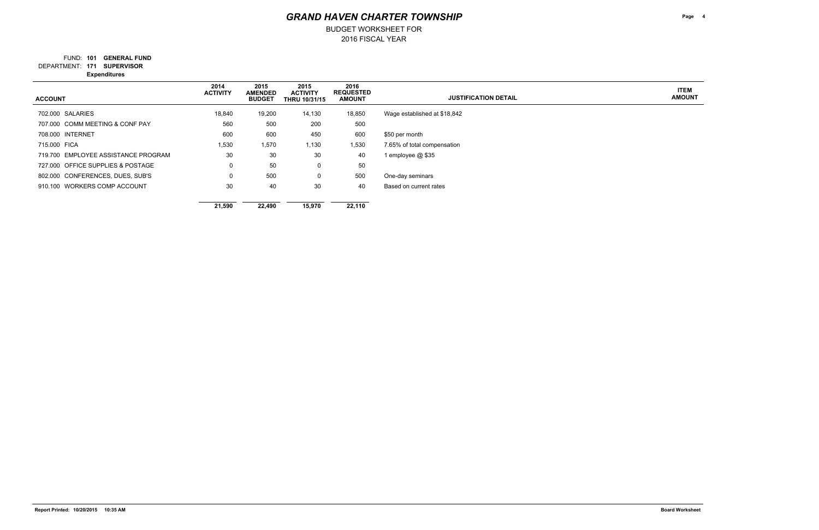2016 FISCAL YEAR BUDGET WORKSHEET FOR

FUND: 101 **GENERAL FUND** 

**171 SUPERVISOR** DEPARTMENT:

**Expenditures**

**Page 4**

**ITEM AMOUNT**

| <b>ACCOUNT</b>                      | 2014<br><b>ACTIVITY</b> | 2015<br><b>AMENDED</b><br><b>BUDGET</b> | 2015<br><b>ACTIVITY</b><br><b>THRU 10/31/15</b> | 2016<br><b>REQUESTED</b><br><b>AMOUNT</b> | <b>JUSTIFICATION DETAIL</b>  |
|-------------------------------------|-------------------------|-----------------------------------------|-------------------------------------------------|-------------------------------------------|------------------------------|
| 702.000 SALARIES                    | 18,840                  | 19,200                                  | 14,130                                          | 18,850                                    | Wage established at \$18,842 |
| 707.000 COMM MEETING & CONF PAY     | 560                     | 500                                     | 200                                             | 500                                       |                              |
| 708.000 INTERNET                    | 600                     | 600                                     | 450                                             | 600                                       | \$50 per month               |
| 715,000 FICA                        | 1,530                   | 1,570                                   | 1,130                                           | 1,530                                     | 7.65% of total compensation  |
| 719.700 EMPLOYEE ASSISTANCE PROGRAM | 30                      | 30                                      | 30                                              | 40                                        | 1 employee @ \$35            |
| 727,000 OFFICE SUPPLIES & POSTAGE   | 0                       | 50                                      | 0                                               | 50                                        |                              |
| 802.000 CONFERENCES, DUES, SUB'S    | 0                       | 500                                     | $\mathbf 0$                                     | 500                                       | One-day seminars             |
| 910.100 WORKERS COMP ACCOUNT        | 30                      | 40                                      | 30                                              | 40                                        | Based on current rates       |
|                                     | 21,590                  | 22,490                                  | 15,970                                          | 22,110                                    |                              |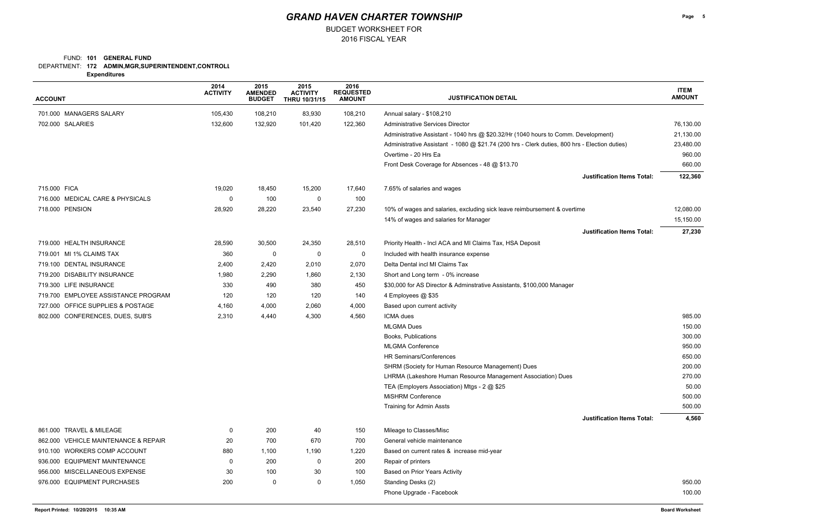### DEPARTMENT: **172 ADMIN,MGR,SUPERINTENDENT,CONTROLL** FUND: 101 **GENERAL FUND**

BUDGET WORKSHEET FOR

**Expenditures**

| <b>ACCOUNT</b>                       | 2014<br><b>ACTIVITY</b> | 2015<br><b>AMENDED</b><br><b>BUDGET</b> | 2015<br><b>ACTIVITY</b><br><b>THRU 10/31/15</b> | 2016<br><b>REQUESTED</b><br><b>AMOUNT</b> | <b>JUSTIFICATION DETAIL</b>                                                                   | <b>ITEM</b><br><b>AMOUNT</b> |
|--------------------------------------|-------------------------|-----------------------------------------|-------------------------------------------------|-------------------------------------------|-----------------------------------------------------------------------------------------------|------------------------------|
| 701.000 MANAGERS SALARY              | 105,430                 | 108,210                                 | 83,930                                          | 108,210                                   | Annual salary - \$108,210                                                                     |                              |
| 702.000 SALARIES                     | 132,600                 | 132,920                                 | 101,420                                         | 122,360                                   | <b>Administrative Services Director</b>                                                       | 76,130.00                    |
|                                      |                         |                                         |                                                 |                                           | Administrative Assistant - 1040 hrs @ \$20.32/Hr (1040 hours to Comm. Development)            | 21,130.00                    |
|                                      |                         |                                         |                                                 |                                           | Administrative Assistant - 1080 @ \$21.74 (200 hrs - Clerk duties, 800 hrs - Election duties) | 23,480.00                    |
|                                      |                         |                                         |                                                 |                                           | Overtime - 20 Hrs Ea                                                                          | 960.00                       |
|                                      |                         |                                         |                                                 |                                           | Front Desk Coverage for Absences - 48 @ \$13.70                                               | 660.00                       |
|                                      |                         |                                         |                                                 |                                           | <b>Justification Items Total:</b>                                                             | 122,360                      |
| 715.000 FICA                         | 19,020                  | 18,450                                  | 15,200                                          | 17,640                                    | 7.65% of salaries and wages                                                                   |                              |
| 716.000 MEDICAL CARE & PHYSICALS     | 0                       | 100                                     | 0                                               | 100                                       |                                                                                               |                              |
| 718.000 PENSION                      | 28,920                  | 28,220                                  | 23,540                                          | 27,230                                    | 10% of wages and salaries, excluding sick leave reimbursement & overtime                      | 12,080.00                    |
|                                      |                         |                                         |                                                 |                                           | 14% of wages and salaries for Manager                                                         | 15,150.00                    |
|                                      |                         |                                         |                                                 |                                           | <b>Justification Items Total:</b>                                                             | 27,230                       |
| 719.000 HEALTH INSURANCE             | 28,590                  | 30,500                                  | 24,350                                          | 28,510                                    | Priority Health - Incl ACA and MI Claims Tax, HSA Deposit                                     |                              |
| 719.001 MI 1% CLAIMS TAX             | 360                     | 0                                       | 0                                               | 0                                         | Included with health insurance expense                                                        |                              |
| 719.100 DENTAL INSURANCE             | 2,400                   | 2,420                                   | 2,010                                           | 2,070                                     | Delta Dental incl MI Claims Tax                                                               |                              |
| 719.200 DISABILITY INSURANCE         | 1,980                   | 2,290                                   | 1,860                                           | 2,130                                     | Short and Long term - 0% increase                                                             |                              |
| 719.300 LIFE INSURANCE               | 330                     | 490                                     | 380                                             | 450                                       | \$30,000 for AS Director & Adminstrative Assistants, \$100,000 Manager                        |                              |
| 719.700 EMPLOYEE ASSISTANCE PROGRAM  | 120                     | 120                                     | 120                                             | 140                                       | 4 Employees @ \$35                                                                            |                              |
| 727.000 OFFICE SUPPLIES & POSTAGE    | 4,160                   | 4,000                                   | 2,060                                           | 4,000                                     | Based upon current activity                                                                   |                              |
| 802.000 CONFERENCES, DUES, SUB'S     | 2,310                   | 4,440                                   | 4,300                                           | 4,560                                     | ICMA dues                                                                                     | 985.00                       |
|                                      |                         |                                         |                                                 |                                           | <b>MLGMA Dues</b>                                                                             | 150.00                       |
|                                      |                         |                                         |                                                 |                                           | Books, Publications                                                                           | 300.00                       |
|                                      |                         |                                         |                                                 |                                           | <b>MLGMA Conference</b>                                                                       | 950.00                       |
|                                      |                         |                                         |                                                 |                                           | HR Seminars/Conferences                                                                       | 650.00                       |
|                                      |                         |                                         |                                                 |                                           | SHRM (Society for Human Resource Management) Dues                                             | 200.00                       |
|                                      |                         |                                         |                                                 |                                           | LHRMA (Lakeshore Human Resource Management Association) Dues                                  | 270.00                       |
|                                      |                         |                                         |                                                 |                                           | TEA (Employers Association) Mtgs - 2 @ \$25                                                   | 50.00                        |
|                                      |                         |                                         |                                                 |                                           | <b>MiSHRM Conference</b>                                                                      | 500.00                       |
|                                      |                         |                                         |                                                 |                                           | Training for Admin Assts                                                                      | 500.00                       |
|                                      |                         |                                         |                                                 |                                           | <b>Justification Items Total:</b>                                                             | 4,560                        |
| 861.000 TRAVEL & MILEAGE             | 0                       | 200                                     | 40                                              | 150                                       | Mileage to Classes/Misc                                                                       |                              |
| 862.000 VEHICLE MAINTENANCE & REPAIR | 20                      | 700                                     | 670                                             | 700                                       | General vehicle maintenance                                                                   |                              |
| 910.100 WORKERS COMP ACCOUNT         | 880                     | 1,100                                   | 1,190                                           | 1,220                                     | Based on current rates & increase mid-year                                                    |                              |
| 936.000 EQUIPMENT MAINTENANCE        | 0                       | 200                                     | 0                                               | 200                                       | Repair of printers                                                                            |                              |
| 956.000 MISCELLANEOUS EXPENSE        | 30                      | 100                                     | 30                                              | 100                                       | Based on Prior Years Activity                                                                 |                              |
| 976.000 EQUIPMENT PURCHASES          | 200                     | $\mathbf 0$                             | 0                                               | 1,050                                     | Standing Desks (2)                                                                            | 950.00                       |
|                                      |                         |                                         |                                                 |                                           | Phone Upgrade - Facebook                                                                      | 100.00                       |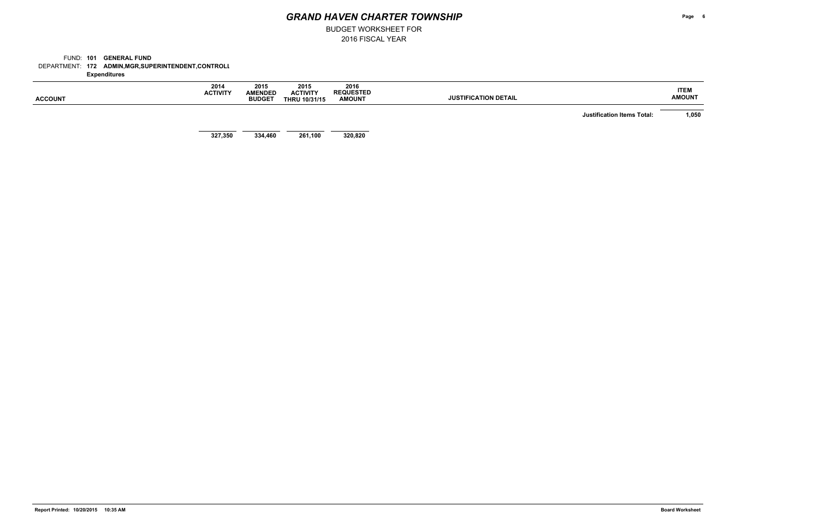2016 FISCAL YEAR BUDGET WORKSHEET FOR

DEPARTMENT: **172 ADMIN,MGR,SUPERINTENDENT,CONTROLL** FUND: 101 **GENERAL FUND Expenditures**

| <b>ACCOUNT</b> | 2014<br><b>ACTIVITY</b> | 2015<br><b>AMENDED</b><br><b>BUDGET</b> | 2015<br><b>ACTIVITY</b><br><b>THRU 10/31/15</b> | 2016<br><b>REQUESTED</b><br><b>AMOUNT</b> | <b>JUSTIFICATION DETAIL</b>       | <b>ITEM</b><br><b>AMOUNT</b> |
|----------------|-------------------------|-----------------------------------------|-------------------------------------------------|-------------------------------------------|-----------------------------------|------------------------------|
|                |                         |                                         |                                                 |                                           | <b>Justification Items Total:</b> | 1,050                        |
|                | 327,350                 | 334,460                                 | 261,100                                         | 320,820                                   |                                   |                              |

**Page 6**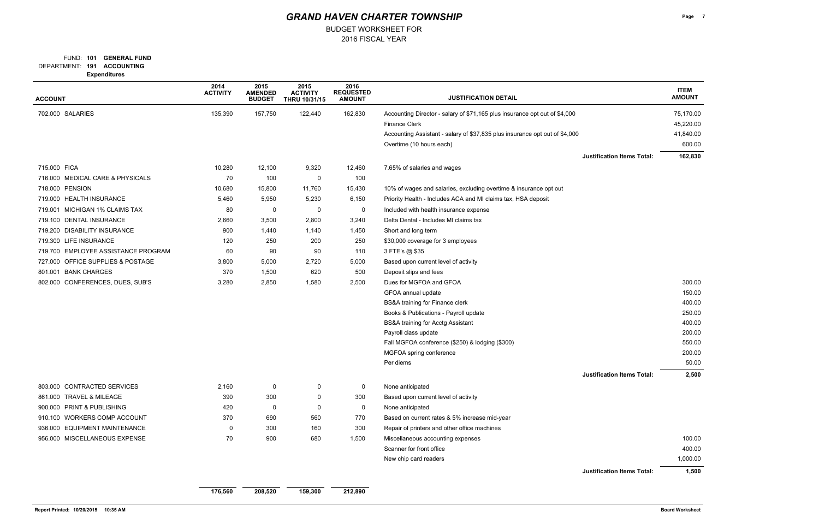### FUND: 101 **GENERAL FUND**

BUDGET WORKSHEET FOR

**191 ACCOUNTING** DEPARTMENT:

**Expenditures**

| <b>ACCOUNT</b>                      | 2014<br><b>ACTIVITY</b> | 2015<br><b>AMENDED</b><br><b>BUDGET</b> | 2015<br><b>ACTIVITY</b><br>THRU 10/31/15 | 2016<br><b>REQUESTED</b><br><b>AMOUNT</b> | <b>JUSTIFICATION DETAIL</b>                                                 | <b>ITEM</b><br><b>AMOUNT</b> |
|-------------------------------------|-------------------------|-----------------------------------------|------------------------------------------|-------------------------------------------|-----------------------------------------------------------------------------|------------------------------|
| 702.000 SALARIES                    | 135,390                 | 157,750                                 | 122,440                                  | 162,830                                   | Accounting Director - salary of \$71,165 plus insurance opt out of \$4,000  | 75,170.00                    |
|                                     |                         |                                         |                                          |                                           | <b>Finance Clerk</b>                                                        | 45,220.00                    |
|                                     |                         |                                         |                                          |                                           | Accounting Assistant - salary of \$37,835 plus insurance opt out of \$4,000 | 41,840.00                    |
|                                     |                         |                                         |                                          |                                           | Overtime (10 hours each)                                                    | 600.00                       |
|                                     |                         |                                         |                                          |                                           | <b>Justification Items Total:</b>                                           | 162,830                      |
| 715.000 FICA                        | 10,280                  | 12,100                                  | 9,320                                    | 12,460                                    | 7.65% of salaries and wages                                                 |                              |
| 716.000 MEDICAL CARE & PHYSICALS    | 70                      | 100                                     | 0                                        | 100                                       |                                                                             |                              |
| 718.000 PENSION                     | 10,680                  | 15,800                                  | 11,760                                   | 15,430                                    | 10% of wages and salaries, excluding overtime & insurance opt out           |                              |
| 719.000 HEALTH INSURANCE            | 5,460                   | 5,950                                   | 5,230                                    | 6,150                                     | Priority Health - Includes ACA and MI claims tax, HSA deposit               |                              |
| 719.001 MICHIGAN 1% CLAIMS TAX      | 80                      | $\mathbf 0$                             | $\mathbf{0}$                             | 0                                         | Included with health insurance expense                                      |                              |
| 719.100 DENTAL INSURANCE            | 2,660                   | 3,500                                   | 2,800                                    | 3,240                                     | Delta Dental - Includes MI claims tax                                       |                              |
| 719.200 DISABILITY INSURANCE        | 900                     | 1,440                                   | 1,140                                    | 1,450                                     | Short and long term                                                         |                              |
| 719.300 LIFE INSURANCE              | 120                     | 250                                     | 200                                      | 250                                       | \$30,000 coverage for 3 employees                                           |                              |
| 719.700 EMPLOYEE ASSISTANCE PROGRAM | 60                      | 90                                      | 90                                       | 110                                       | 3 FTE's @ \$35                                                              |                              |
| 727.000 OFFICE SUPPLIES & POSTAGE   | 3,800                   | 5,000                                   | 2,720                                    | 5,000                                     | Based upon current level of activity                                        |                              |
| 801.001 BANK CHARGES                | 370                     | 1,500                                   | 620                                      | 500                                       | Deposit slips and fees                                                      |                              |
| 802.000 CONFERENCES, DUES, SUB'S    | 3,280                   | 2,850                                   | 1,580                                    | 2,500                                     | Dues for MGFOA and GFOA                                                     | 300.00                       |
|                                     |                         |                                         |                                          |                                           | GFOA annual update                                                          | 150.00                       |
|                                     |                         |                                         |                                          |                                           | BS&A training for Finance clerk                                             | 400.00                       |
|                                     |                         |                                         |                                          |                                           | Books & Publications - Payroll update                                       | 250.00                       |
|                                     |                         |                                         |                                          |                                           | <b>BS&amp;A training for Acctg Assistant</b>                                | 400.00                       |
|                                     |                         |                                         |                                          |                                           | Payroll class update                                                        | 200.00                       |
|                                     |                         |                                         |                                          |                                           | Fall MGFOA conference (\$250) & lodging (\$300)                             | 550.00                       |
|                                     |                         |                                         |                                          |                                           | MGFOA spring conference                                                     | 200.00                       |
|                                     |                         |                                         |                                          |                                           | Per diems                                                                   | 50.00                        |
|                                     |                         |                                         |                                          |                                           | <b>Justification Items Total:</b>                                           | 2,500                        |
| 803.000 CONTRACTED SERVICES         | 2,160                   | 0                                       | 0                                        | 0                                         | None anticipated                                                            |                              |
| 861.000 TRAVEL & MILEAGE            | 390                     | 300                                     | 0                                        | 300                                       | Based upon current level of activity                                        |                              |
| 900.000 PRINT & PUBLISHING          | 420                     | $\mathbf 0$                             | 0                                        | $\mathbf 0$                               | None anticipated                                                            |                              |
| 910.100 WORKERS COMP ACCOUNT        | 370                     | 690                                     | 560                                      | 770                                       | Based on current rates & 5% increase mid-year                               |                              |
| 936.000 EQUIPMENT MAINTENANCE       | 0                       | 300                                     | 160                                      | 300                                       | Repair of printers and other office machines                                |                              |
| 956.000 MISCELLANEOUS EXPENSE       | 70                      | 900                                     | 680                                      | 1,500                                     | Miscellaneous accounting expenses                                           | 100.00                       |
|                                     |                         |                                         |                                          |                                           | Scanner for front office                                                    | 400.00                       |
|                                     |                         |                                         |                                          |                                           | New chip card readers                                                       | 1,000.00                     |
|                                     |                         |                                         |                                          |                                           | <b>Justification Items Total:</b>                                           | 1,500                        |
|                                     | 176,560                 | 208,520                                 | 159,300                                  | 212,890                                   |                                                                             |                              |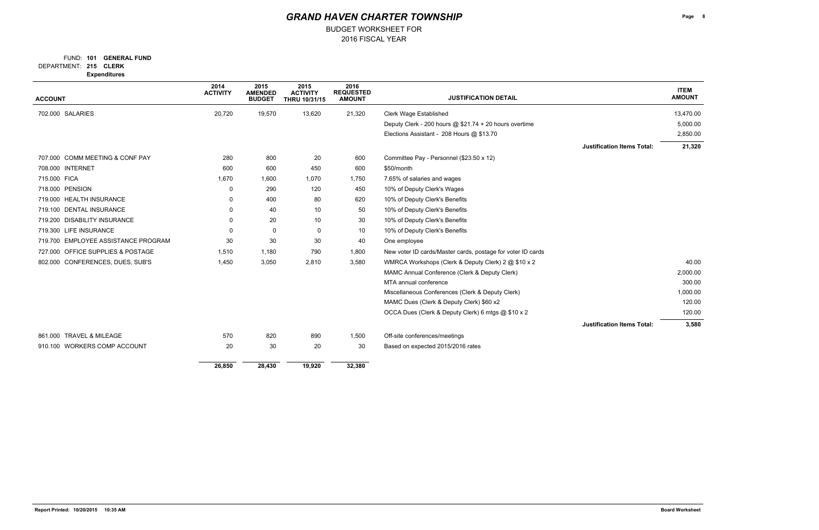### FUND: 101 **GENERAL FUND**

BUDGET WORKSHEET FOR

**215 CLERK** DEPARTMENT:

**Expenditures**

| <b>ACCOUNT</b>                      | 2014<br><b>ACTIVITY</b> | 2015<br><b>AMENDED</b><br><b>BUDGET</b> | 2015<br><b>ACTIVITY</b><br>THRU 10/31/15 | 2016<br><b>REQUESTED</b><br><b>AMOUNT</b> | <b>JUSTIFICATION DETAIL</b>                                 |                                   | <b>ITEM</b><br><b>AMOUNT</b> |
|-------------------------------------|-------------------------|-----------------------------------------|------------------------------------------|-------------------------------------------|-------------------------------------------------------------|-----------------------------------|------------------------------|
|                                     |                         |                                         |                                          |                                           |                                                             |                                   |                              |
| 702.000 SALARIES                    | 20,720                  | 19,570                                  | 13,620                                   | 21,320                                    | <b>Clerk Wage Established</b>                               |                                   | 13,470.00                    |
|                                     |                         |                                         |                                          |                                           | Deputy Clerk - 200 hours @ \$21.74 + 20 hours overtime      |                                   | 5,000.00                     |
|                                     |                         |                                         |                                          |                                           | Elections Assistant - 208 Hours @ \$13.70                   |                                   | 2,850.00                     |
|                                     |                         |                                         |                                          |                                           |                                                             | <b>Justification Items Total:</b> | 21,320                       |
| 707.000 COMM MEETING & CONF PAY     | 280                     | 800                                     | 20                                       | 600                                       | Committee Pay - Personnel (\$23.50 x 12)                    |                                   |                              |
| 708.000 INTERNET                    | 600                     | 600                                     | 450                                      | 600                                       | \$50/month                                                  |                                   |                              |
| 715.000 FICA                        | 1,670                   | 1,600                                   | 1,070                                    | 1,750                                     | 7.65% of salaries and wages                                 |                                   |                              |
| 718.000 PENSION                     | 0                       | 290                                     | 120                                      | 450                                       | 10% of Deputy Clerk's Wages                                 |                                   |                              |
| 719.000 HEALTH INSURANCE            | 0                       | 400                                     | 80                                       | 620                                       | 10% of Deputy Clerk's Benefits                              |                                   |                              |
| 719.100 DENTAL INSURANCE            | $\Omega$                | 40                                      | 10                                       | 50                                        | 10% of Deputy Clerk's Benefits                              |                                   |                              |
| 719.200 DISABILITY INSURANCE        | 0                       | 20                                      | 10                                       | 30                                        | 10% of Deputy Clerk's Benefits                              |                                   |                              |
| 719.300 LIFE INSURANCE              | 0                       | $\mathbf 0$                             | $\mathbf 0$                              | 10                                        | 10% of Deputy Clerk's Benefits                              |                                   |                              |
| 719.700 EMPLOYEE ASSISTANCE PROGRAM | 30                      | 30                                      | 30                                       | 40                                        | One employee                                                |                                   |                              |
| 727.000 OFFICE SUPPLIES & POSTAGE   | 1,510                   | 1,180                                   | 790                                      | 1,800                                     | New voter ID cards/Master cards, postage for voter ID cards |                                   |                              |
| 802.000 CONFERENCES, DUES, SUB'S    | 1,450                   | 3,050                                   | 2,810                                    | 3,580                                     | WMRCA Workshops (Clerk & Deputy Clerk) 2 @ \$10 x 2         |                                   | 40.00                        |
|                                     |                         |                                         |                                          |                                           | MAMC Annual Conference (Clerk & Deputy Clerk)               |                                   | 2,000.00                     |
|                                     |                         |                                         |                                          |                                           | MTA annual conference                                       |                                   | 300.00                       |
|                                     |                         |                                         |                                          |                                           | Miscellaneous Conferences (Clerk & Deputy Clerk)            |                                   | 1,000.00                     |
|                                     |                         |                                         |                                          |                                           | MAMC Dues (Clerk & Deputy Clerk) \$60 x2                    |                                   | 120.00                       |
|                                     |                         |                                         |                                          |                                           | OCCA Dues (Clerk & Deputy Clerk) 6 mtgs @ \$10 x 2          |                                   | 120.00                       |
|                                     |                         |                                         |                                          |                                           |                                                             | <b>Justification Items Total:</b> | 3,580                        |
| 861.000 TRAVEL & MILEAGE            | 570                     | 820                                     | 890                                      | 1,500                                     | Off-site conferences/meetings                               |                                   |                              |
| 910.100 WORKERS COMP ACCOUNT        | 20                      | 30                                      | 20                                       | 30                                        | Based on expected 2015/2016 rates                           |                                   |                              |
|                                     | 26,850                  | 28,430                                  | 19,920                                   | 32,380                                    |                                                             |                                   |                              |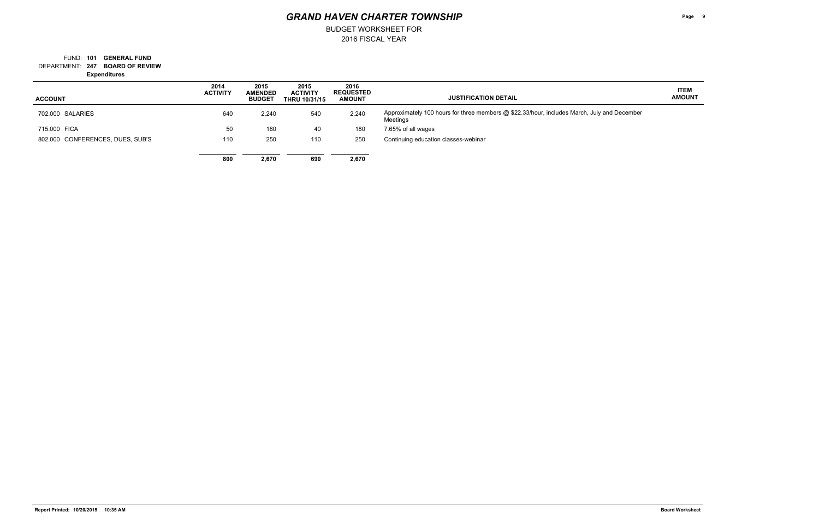## FUND: 101 **GENERAL FUND**

BUDGET WORKSHEET FOR

**247 BOARD OF REVIEW** DEPARTMENT:

**Expenditures**

**Page 9**

### **ITEM AMOUNT**

 $v$  and December

| <b>ACCOUNT</b>                   | 2014<br><b>ACTIVITY</b> | 2015<br><b>AMENDED</b><br><b>BUDGET</b> | 2015<br><b>ACTIVITY</b><br><b>THRU 10/31/15</b> | 2016<br><b>REQUESTED</b><br><b>AMOUNT</b> | <b>JUSTIFICATION DETAIL</b>                                                                       |
|----------------------------------|-------------------------|-----------------------------------------|-------------------------------------------------|-------------------------------------------|---------------------------------------------------------------------------------------------------|
|                                  |                         |                                         |                                                 |                                           |                                                                                                   |
| 702,000 SALARIES                 | 640                     | 2,240                                   | 540                                             | 2,240                                     | Approximately 100 hours for three members @ \$22.33/hour, includes March, July<br><b>Meetings</b> |
| 715,000 FICA                     | 50                      | 180                                     | 40                                              | 180                                       | 7.65% of all wages                                                                                |
| 802.000 CONFERENCES, DUES, SUB'S | 110                     | 250                                     | 110                                             | 250                                       | Continuing education classes-webinar                                                              |
|                                  | 800                     | 2,670                                   | 690                                             | 2,670                                     |                                                                                                   |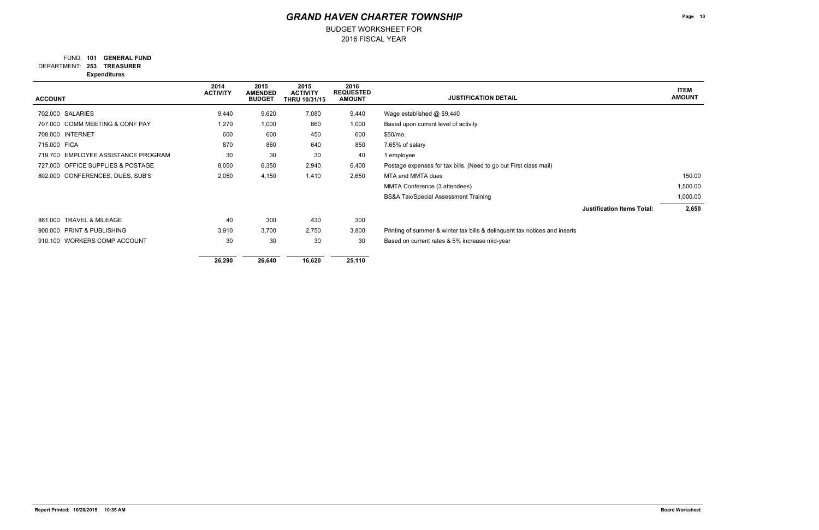### FUND: 101 **GENERAL FUND**

BUDGET WORKSHEET FOR

**253 TREASURER** DEPARTMENT: **Expenditures**

| <b>ACCOUNT</b>                      | 2014<br><b>ACTIVITY</b> | 2015<br><b>AMENDED</b><br><b>BUDGET</b> | 2015<br><b>ACTIVITY</b><br><b>THRU 10/31/15</b> | 2016<br><b>REQUESTED</b><br><b>AMOUNT</b> | <b>JUSTIFICATION DETAIL</b>                                                | <b>ITEM</b><br><b>AMOUNT</b> |
|-------------------------------------|-------------------------|-----------------------------------------|-------------------------------------------------|-------------------------------------------|----------------------------------------------------------------------------|------------------------------|
| 702.000 SALARIES                    | 9,440                   | 9,620                                   | 7,080                                           | 9,440                                     | Wage established $@$ \$9,440                                               |                              |
| 707.000 COMM MEETING & CONF PAY     | 1,270                   | 1,000                                   | 860                                             | 1,000                                     | Based upon current level of activity                                       |                              |
| 708.000 INTERNET                    | 600                     | 600                                     | 450                                             | 600                                       | \$50/mo.                                                                   |                              |
| 715.000 FICA                        | 870                     | 860                                     | 640                                             | 850                                       | 7.65% of salary                                                            |                              |
| 719.700 EMPLOYEE ASSISTANCE PROGRAM | 30                      | 30                                      | 30                                              | 40                                        | 1 employee                                                                 |                              |
| 727.000 OFFICE SUPPLIES & POSTAGE   | 8,050                   | 6,350                                   | 2,940                                           | 6,400                                     | Postage expenses for tax bills. (Need to go out First class mail)          |                              |
| 802.000 CONFERENCES, DUES, SUB'S    | 2,050                   | 4,150                                   | 1,410                                           | 2,650                                     | MTA and MMTA dues                                                          | 150.00                       |
|                                     |                         |                                         |                                                 |                                           | MMTA Conference (3 attendees)                                              | 1,500.00                     |
|                                     |                         |                                         |                                                 |                                           | <b>BS&amp;A Tax/Special Assessment Training</b>                            | 1,000.00                     |
|                                     |                         |                                         |                                                 |                                           | <b>Justification Items Total:</b>                                          | 2,650                        |
| 861.000 TRAVEL & MILEAGE            | 40                      | 300                                     | 430                                             | 300                                       |                                                                            |                              |
| 900.000 PRINT & PUBLISHING          | 3,910                   | 3,700                                   | 2,750                                           | 3,800                                     | Printing of summer & winter tax bills & delinquent tax notices and inserts |                              |
| 910.100 WORKERS COMP ACCOUNT        | 30                      | 30                                      | 30                                              | 30                                        | Based on current rates & 5% increase mid-year                              |                              |
|                                     | 26,290                  | 26,640                                  | 16,620                                          | 25,110                                    |                                                                            |                              |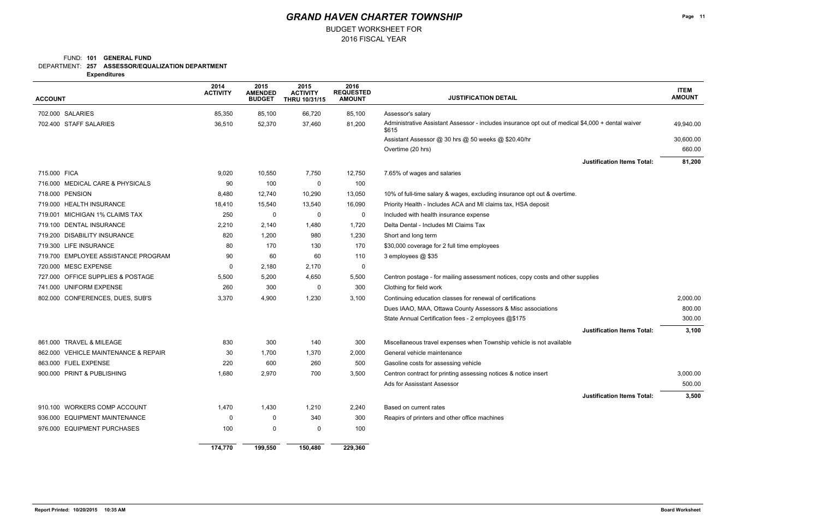### FUND: 101 **GENERAL FUND**

BUDGET WORKSHEET FOR

**257 ASSESSOR/EQUALIZATION DEPARTMENT** DEPARTMENT:

**Expenditures**

| <b>ACCOUNT</b>                       | 2014<br><b>ACTIVITY</b> | 2015<br><b>AMENDED</b><br><b>BUDGET</b> | 2015<br><b>ACTIVITY</b><br><b>THRU 10/31/15</b> | 2016<br><b>REQUESTED</b><br><b>AMOUNT</b> | <b>JUSTIFICATION DETAIL</b>                                                                                |           |
|--------------------------------------|-------------------------|-----------------------------------------|-------------------------------------------------|-------------------------------------------|------------------------------------------------------------------------------------------------------------|-----------|
| 702.000 SALARIES                     | 85,350                  | 85,100                                  | 66,720                                          | 85,100                                    | Assessor's salary                                                                                          |           |
| 702.400 STAFF SALARIES               | 36,510                  | 52,370                                  | 37,460                                          | 81,200                                    | Administrative Assistant Assessor - includes insurance opt out of medical \$4,000 + dental waiver<br>\$615 | 49,940.00 |
|                                      |                         |                                         |                                                 |                                           | Assistant Assessor @ 30 hrs @ 50 weeks @ \$20.40/hr                                                        | 30,600.00 |
|                                      |                         |                                         |                                                 |                                           | Overtime (20 hrs)                                                                                          | 660.00    |
|                                      |                         |                                         |                                                 |                                           | <b>Justification Items Total:</b>                                                                          | 81,200    |
| 715.000 FICA                         | 9,020                   | 10,550                                  | 7,750                                           | 12,750                                    | 7.65% of wages and salaries                                                                                |           |
| 716.000 MEDICAL CARE & PHYSICALS     | 90                      | 100                                     | 0                                               | 100                                       |                                                                                                            |           |
| 718.000 PENSION                      | 8,480                   | 12,740                                  | 10,290                                          | 13,050                                    | 10% of full-time salary & wages, excluding insurance opt out & overtime.                                   |           |
| 719.000 HEALTH INSURANCE             | 18,410                  | 15,540                                  | 13,540                                          | 16,090                                    | Priority Health - Includes ACA and MI claims tax, HSA deposit                                              |           |
| 719.001 MICHIGAN 1% CLAIMS TAX       | 250                     | 0                                       | 0                                               | 0                                         | Included with health insurance expense                                                                     |           |
| DENTAL INSURANCE<br>719.100          | 2,210                   | 2,140                                   | 1,480                                           | 1,720                                     | Delta Dental - Includes MI Claims Tax                                                                      |           |
| 719.200 DISABILITY INSURANCE         | 820                     | 1,200                                   | 980                                             | 1,230                                     | Short and long term                                                                                        |           |
| 719.300 LIFE INSURANCE               | 80                      | 170                                     | 130                                             | 170                                       | \$30,000 coverage for 2 full time employees                                                                |           |
| 719.700 EMPLOYEE ASSISTANCE PROGRAM  | 90                      | 60                                      | 60                                              | 110                                       | 3 employees @ \$35                                                                                         |           |
| 720.000 MESC EXPENSE                 | 0                       | 2,180                                   | 2,170                                           | $\mathbf 0$                               |                                                                                                            |           |
| 727.000 OFFICE SUPPLIES & POSTAGE    | 5,500                   | 5,200                                   | 4,650                                           | 5,500                                     | Centron postage - for mailing assessment notices, copy costs and other supplies                            |           |
| 741.000 UNIFORM EXPENSE              | 260                     | 300                                     | $\mathbf 0$                                     | 300                                       | Clothing for field work                                                                                    |           |
| 802.000 CONFERENCES, DUES, SUB'S     | 3,370                   | 4,900                                   | 1,230                                           | 3,100                                     | Continuing education classes for renewal of certifications                                                 | 2,000.00  |
|                                      |                         |                                         |                                                 |                                           | Dues IAAO, MAA, Ottawa County Assessors & Misc associations                                                | 800.00    |
|                                      |                         |                                         |                                                 |                                           | State Annual Certification fees - 2 employees @\$175                                                       | 300.00    |
|                                      |                         |                                         |                                                 |                                           | <b>Justification Items Total:</b>                                                                          | 3,100     |
| 861.000 TRAVEL & MILEAGE             | 830                     | 300                                     | 140                                             | 300                                       | Miscellaneous travel expenses when Township vehicle is not available                                       |           |
| 862.000 VEHICLE MAINTENANCE & REPAIR | 30                      | 1,700                                   | 1,370                                           | 2,000                                     | General vehicle maintenance                                                                                |           |
| 863.000 FUEL EXPENSE                 | 220                     | 600                                     | 260                                             | 500                                       | Gasoline costs for assessing vehicle                                                                       |           |
| 900.000 PRINT & PUBLISHING           | 1,680                   | 2,970                                   | 700                                             | 3,500                                     | Centron contract for printing assessing notices & notice insert                                            | 3,000.00  |
|                                      |                         |                                         |                                                 |                                           | Ads for Assisstant Assessor                                                                                | 500.00    |
|                                      |                         |                                         |                                                 |                                           | <b>Justification Items Total:</b>                                                                          | 3,500     |
| 910.100 WORKERS COMP ACCOUNT         | 1,470                   | 1,430                                   | 1,210                                           | 2,240                                     | Based on current rates                                                                                     |           |
| 936.000 EQUIPMENT MAINTENANCE        | 0                       | 0                                       | 340                                             | 300                                       | Reapirs of printers and other office machines                                                              |           |
| 976.000 EQUIPMENT PURCHASES          | 100                     | 0                                       | 0                                               | 100                                       |                                                                                                            |           |
|                                      | 174,770                 | 199,550                                 | 150,480                                         | 229,360                                   |                                                                                                            |           |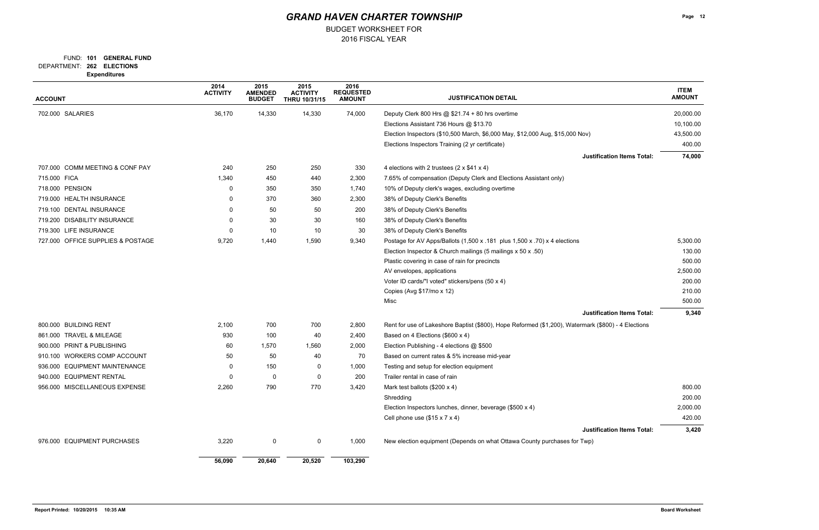### FUND: 101 **GENERAL FUND**

BUDGET WORKSHEET FOR

**262 ELECTIONS** DEPARTMENT: **Expenditures**

| <b>ACCOUNT</b>                          | 2014<br><b>ACTIVITY</b> | 2015<br><b>AMENDED</b><br><b>BUDGET</b> | 2015<br><b>ACTIVITY</b><br><b>THRU 10/31/15</b> | 2016<br><b>REQUESTED</b><br><b>AMOUNT</b> | <b>JUSTIFICATION DETAIL</b>                                                                         | <b>ITEM</b><br><b>AMOUNT</b> |
|-----------------------------------------|-------------------------|-----------------------------------------|-------------------------------------------------|-------------------------------------------|-----------------------------------------------------------------------------------------------------|------------------------------|
| 702.000 SALARIES                        | 36,170                  | 14,330                                  | 14,330                                          | 74,000                                    | Deputy Clerk 800 Hrs @ \$21.74 + 80 hrs overtime                                                    | 20,000.00                    |
|                                         |                         |                                         |                                                 |                                           | Elections Assistant 736 Hours @ \$13.70                                                             | 10,100.00                    |
|                                         |                         |                                         |                                                 |                                           | Election Inspectors (\$10,500 March, \$6,000 May, \$12,000 Aug, \$15,000 Nov)                       | 43,500.00                    |
|                                         |                         |                                         |                                                 |                                           | Elections Inspectors Training (2 yr certificate)                                                    | 400.00                       |
|                                         |                         |                                         |                                                 |                                           | <b>Justification Items Total:</b>                                                                   | 74,000                       |
| 707.000 COMM MEETING & CONF PAY         | 240                     | 250                                     | 250                                             | 330                                       | 4 elections with 2 trustees $(2 \times $41 \times 4)$                                               |                              |
| 715.000 FICA                            | 1,340                   | 450                                     | 440                                             | 2,300                                     | 7.65% of compensation (Deputy Clerk and Elections Assistant only)                                   |                              |
| 718.000 PENSION                         | 0                       | 350                                     | 350                                             | 1,740                                     | 10% of Deputy clerk's wages, excluding overtime                                                     |                              |
| 719.000 HEALTH INSURANCE                | 0                       | 370                                     | 360                                             | 2,300                                     | 38% of Deputy Clerk's Benefits                                                                      |                              |
| 719.100 DENTAL INSURANCE                | 0                       | 50                                      | 50                                              | 200                                       | 38% of Deputy Clerk's Benefits                                                                      |                              |
| 719.200 DISABILITY INSURANCE            |                         | 30                                      | 30                                              | 160                                       | 38% of Deputy Clerk's Benefits                                                                      |                              |
| 719.300 LIFE INSURANCE                  | 0                       | 10                                      | 10                                              | 30                                        | 38% of Deputy Clerk's Benefits                                                                      |                              |
| 727.000 OFFICE SUPPLIES & POSTAGE       | 9,720                   | 1,440                                   | 1,590                                           | 9,340                                     | Postage for AV Apps/Ballots (1,500 x .181 plus 1,500 x .70) x 4 elections                           | 5,300.00                     |
|                                         |                         |                                         |                                                 |                                           | Election Inspector & Church mailings (5 mailings x 50 x .50)                                        | 130.00                       |
|                                         |                         |                                         |                                                 |                                           | Plastic covering in case of rain for precincts                                                      | 500.00                       |
|                                         |                         |                                         |                                                 |                                           | AV envelopes, applications                                                                          | 2,500.00                     |
|                                         |                         |                                         |                                                 |                                           | Voter ID cards/"I voted" stickers/pens (50 x 4)                                                     | 200.00                       |
|                                         |                         |                                         |                                                 |                                           | Copies (Avg \$17/mo x 12)                                                                           | 210.00                       |
|                                         |                         |                                         |                                                 |                                           | Misc                                                                                                | 500.00                       |
|                                         |                         |                                         |                                                 |                                           | <b>Justification Items Total:</b>                                                                   | 9,340                        |
| 800.000 BUILDING RENT                   | 2,100                   | 700                                     | 700                                             | 2,800                                     | Rent for use of Lakeshore Baptist (\$800), Hope Reformed (\$1,200), Watermark (\$800) - 4 Elections |                              |
| 861.000 TRAVEL & MILEAGE                | 930                     | 100                                     | 40                                              | 2,400                                     | Based on 4 Elections (\$600 x 4)                                                                    |                              |
| 900.000 PRINT & PUBLISHING              | 60                      | 1,570                                   | 1,560                                           | 2,000                                     | Election Publishing - 4 elections @ \$500                                                           |                              |
| 910.100 WORKERS COMP ACCOUNT            | 50                      | 50                                      | 40                                              | 70                                        | Based on current rates & 5% increase mid-year                                                       |                              |
| <b>EQUIPMENT MAINTENANCE</b><br>936.000 | 0                       | 150                                     | 0                                               | 1,000                                     | Testing and setup for election equipment                                                            |                              |
| 940.000 EQUIPMENT RENTAL                | 0                       | 0                                       | $\Omega$                                        | 200                                       | Trailer rental in case of rain                                                                      |                              |
| 956.000 MISCELLANEOUS EXPENSE           | 2,260                   | 790                                     | 770                                             | 3,420                                     | Mark test ballots (\$200 x 4)                                                                       | 800.00                       |
|                                         |                         |                                         |                                                 |                                           | Shredding                                                                                           | 200.00                       |
|                                         |                         |                                         |                                                 |                                           | Election Inspectors lunches, dinner, beverage (\$500 x 4)                                           | 2,000.00                     |
|                                         |                         |                                         |                                                 |                                           | Cell phone use $($15 \times 7 \times 4)$                                                            | 420.00                       |
|                                         |                         |                                         |                                                 |                                           | <b>Justification Items Total:</b>                                                                   | 3,420                        |
| 976.000 EQUIPMENT PURCHASES             | 3,220                   | $\mathbf 0$                             | $\mathbf 0$                                     | 1,000                                     | New election equipment (Depends on what Ottawa County purchases for Twp)                            |                              |
|                                         | 56,090                  | 20,640                                  | 20,520                                          | 103,290                                   |                                                                                                     |                              |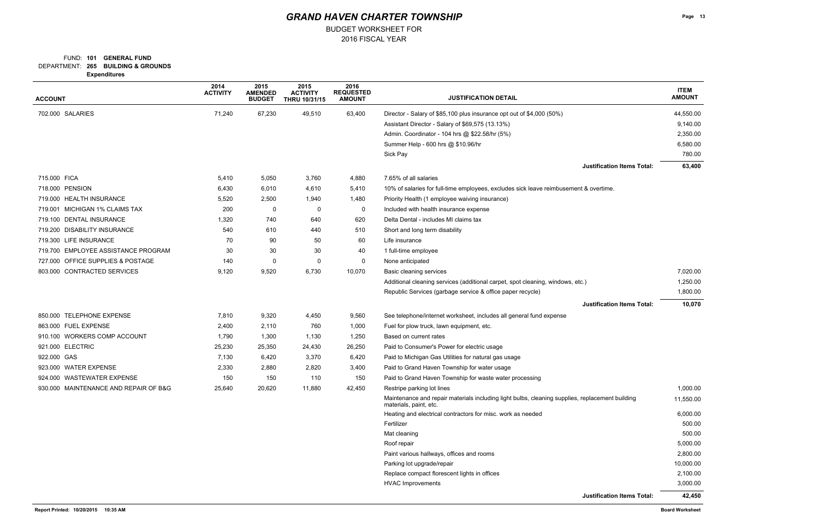### FUND: 101 **GENERAL FUND**

BUDGET WORKSHEET FOR

**265 BUILDING & GROUNDS** DEPARTMENT:

**Expenditures**

| <b>ACCOUNT</b>                        | 2014<br><b>ACTIVITY</b> | 2015<br><b>AMENDED</b><br><b>BUDGET</b> | 2015<br><b>ACTIVITY</b><br>THRU 10/31/15 | 2016<br><b>REQUESTED</b><br><b>AMOUNT</b> | <b>JUSTIFICATION DETAIL</b>                                                                                               |                        |
|---------------------------------------|-------------------------|-----------------------------------------|------------------------------------------|-------------------------------------------|---------------------------------------------------------------------------------------------------------------------------|------------------------|
| 702.000 SALARIES                      | 71,240                  | 67,230                                  | 49,510                                   | 63,400                                    | Director - Salary of \$85,100 plus insurance opt out of \$4,000 (50%)                                                     | 44,550.00              |
|                                       |                         |                                         |                                          |                                           | Assistant Director - Salary of \$69,575 (13.13%)                                                                          | 9,140.00               |
|                                       |                         |                                         |                                          |                                           | Admin. Coordinator - 104 hrs @ \$22.58/hr (5%)                                                                            | 2,350.00               |
|                                       |                         |                                         |                                          |                                           | Summer Help - 600 hrs @ \$10.96/hr                                                                                        | 6,580.00               |
|                                       |                         |                                         |                                          |                                           | Sick Pay                                                                                                                  | 780.00                 |
|                                       |                         |                                         |                                          |                                           | <b>Justification Items Total:</b>                                                                                         | 63,400                 |
| 715.000 FICA                          | 5,410                   | 5,050                                   | 3,760                                    | 4,880                                     | 7.65% of all salaries                                                                                                     |                        |
| 718.000 PENSION                       | 6,430                   | 6,010                                   | 4,610                                    | 5,410                                     | 10% of salaries for full-time employees, excludes sick leave reimbusement & overtime.                                     |                        |
| 719.000 HEALTH INSURANCE              | 5,520                   | 2,500                                   | 1,940                                    | 1,480                                     | Priority Health (1 employee waiving insurance)                                                                            |                        |
| 719.001 MICHIGAN 1% CLAIMS TAX        | 200                     | 0                                       | 0                                        | 0                                         | Included with health insurance expense                                                                                    |                        |
| 719.100 DENTAL INSURANCE              | 1,320                   | 740                                     | 640                                      | 620                                       | Delta Dental - includes MI claims tax                                                                                     |                        |
| 719.200 DISABILITY INSURANCE          | 540                     | 610                                     | 440                                      | 510                                       | Short and long term disability                                                                                            |                        |
| 719.300 LIFE INSURANCE                | 70                      | 90                                      | 50                                       | 60                                        | Life insurance                                                                                                            |                        |
| 719.700 EMPLOYEE ASSISTANCE PROGRAM   | 30                      | 30                                      | 30                                       | 40                                        | 1 full-time employee                                                                                                      |                        |
| 727.000 OFFICE SUPPLIES & POSTAGE     | 140                     | 0                                       | 0                                        | 0                                         | None anticipated                                                                                                          |                        |
| 803.000 CONTRACTED SERVICES           | 9,120                   | 9,520                                   | 6,730                                    | 10,070                                    | Basic cleaning services                                                                                                   | 7,020.00               |
|                                       |                         |                                         |                                          |                                           | Additional cleaning services (additional carpet, spot cleaning, windows, etc.)                                            | 1,250.00               |
|                                       |                         |                                         |                                          |                                           | Republic Services (garbage service & office paper recycle)                                                                | 1,800.00               |
|                                       |                         |                                         |                                          |                                           | <b>Justification Items Total:</b>                                                                                         | 10,070                 |
| 850.000 TELEPHONE EXPENSE             | 7,810                   | 9,320                                   | 4,450                                    | 9,560                                     | See telephone/internet worksheet, includes all general fund expense                                                       |                        |
| 863.000 FUEL EXPENSE                  | 2,400                   | 2,110                                   | 760                                      | 1,000                                     | Fuel for plow truck, lawn equipment, etc.                                                                                 |                        |
| 910.100 WORKERS COMP ACCOUNT          | 1,790                   | 1,300                                   | 1,130                                    | 1,250                                     | Based on current rates                                                                                                    |                        |
| 921.000 ELECTRIC                      | 25,230                  | 25,350                                  | 24,430                                   | 26,250                                    | Paid to Consumer's Power for electric usage                                                                               |                        |
| 922.000 GAS                           | 7,130                   | 6,420                                   | 3,370                                    | 6,420                                     | Paid to Michigan Gas Utilities for natural gas usage                                                                      |                        |
| 923.000 WATER EXPENSE                 | 2,330                   | 2,880                                   | 2,820                                    | 3,400                                     | Paid to Grand Haven Township for water usage                                                                              |                        |
| 924.000 WASTEWATER EXPENSE            | 150                     | 150                                     | 110                                      | 150                                       | Paid to Grand Haven Township for waste water processing                                                                   |                        |
| 930.000 MAINTENANCE AND REPAIR OF B&G | 25,640                  | 20,620                                  | 11,880                                   | 42,450                                    | Restripe parking lot lines                                                                                                | 1,000.00               |
|                                       |                         |                                         |                                          |                                           | Maintenance and repair materials including light bulbs, cleaning supplies, replacement building<br>materials, paint, etc. | 11,550.00              |
|                                       |                         |                                         |                                          |                                           | Heating and electrical contractors for misc. work as needed                                                               | 6,000.00               |
|                                       |                         |                                         |                                          |                                           | Fertilizer                                                                                                                | 500.00                 |
|                                       |                         |                                         |                                          |                                           | Mat cleaning                                                                                                              | 500.00                 |
|                                       |                         |                                         |                                          |                                           | Roof repair                                                                                                               | 5,000.00               |
|                                       |                         |                                         |                                          |                                           | Paint various hallways, offices and rooms                                                                                 | 2,800.00               |
|                                       |                         |                                         |                                          |                                           | Parking lot upgrade/repair                                                                                                | 10,000.00              |
|                                       |                         |                                         |                                          |                                           | Replace compact florescent lights in offices                                                                              | 2,100.00               |
|                                       |                         |                                         |                                          |                                           | <b>HVAC Improvements</b>                                                                                                  | 3,000.00               |
|                                       |                         |                                         |                                          |                                           | <b>Justification Items Total:</b>                                                                                         | 42,450                 |
| Report Printed: 10/20/2015 10:35 AM   |                         |                                         |                                          |                                           |                                                                                                                           | <b>Board Worksheet</b> |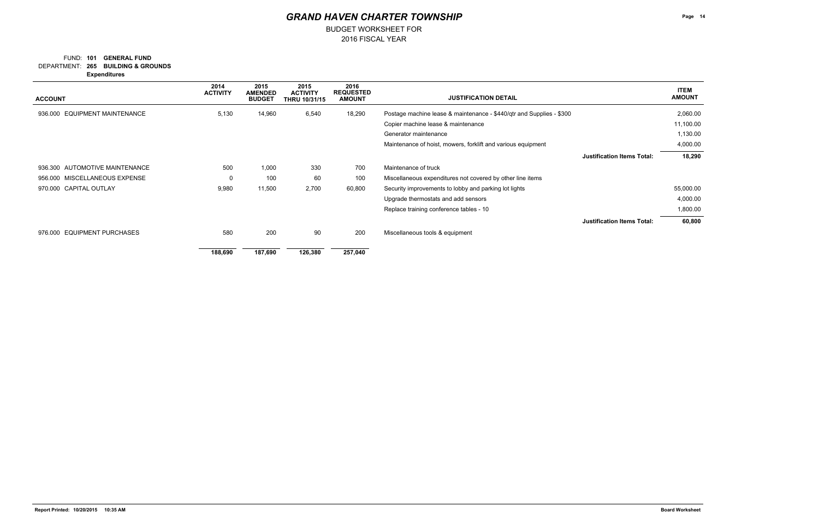### **265 BUILDING & GROUNDS** DEPARTMENT: FUND: 101 **GENERAL FUND**

2016 FISCAL YEAR

BUDGET WORKSHEET FOR

**Expenditures**

| <b>ACCOUNT</b>                          | 2014<br><b>ACTIVITY</b> | 2015<br><b>AMENDED</b><br><b>BUDGET</b> | 2015<br><b>ACTIVITY</b><br><b>THRU 10/31/15</b> | 2016<br><b>REQUESTED</b><br><b>AMOUNT</b> | <b>JUSTIFICATION DETAIL</b>                                          |                                   | <b>ITEM</b><br><b>AMOUNT</b> |
|-----------------------------------------|-------------------------|-----------------------------------------|-------------------------------------------------|-------------------------------------------|----------------------------------------------------------------------|-----------------------------------|------------------------------|
| <b>EQUIPMENT MAINTENANCE</b><br>936.000 | 5,130                   | 14,960                                  | 6,540                                           | 18,290                                    | Postage machine lease & maintenance - \$440/qtr and Supplies - \$300 |                                   | 2,060.00                     |
|                                         |                         |                                         |                                                 |                                           | Copier machine lease & maintenance                                   |                                   | 11,100.00                    |
|                                         |                         |                                         |                                                 |                                           | Generator maintenance                                                |                                   | 1,130.00                     |
|                                         |                         |                                         |                                                 |                                           | Maintenance of hoist, mowers, forklift and various equipment         |                                   | 4,000.00                     |
|                                         |                         |                                         |                                                 |                                           |                                                                      | <b>Justification Items Total:</b> | 18,290                       |
| 936.300 AUTOMOTIVE MAINTENANCE          | 500                     | 1,000                                   | 330                                             | 700                                       | Maintenance of truck                                                 |                                   |                              |
| 956.000 MISCELLANEOUS EXPENSE           | 0                       | 100                                     | 60                                              | 100                                       | Miscellaneous expenditures not covered by other line items           |                                   |                              |
| 970.000 CAPITAL OUTLAY                  | 9,980                   | 11,500                                  | 2,700                                           | 60,800                                    | Security improvements to lobby and parking lot lights                |                                   | 55,000.00                    |
|                                         |                         |                                         |                                                 |                                           | Upgrade thermostats and add sensors                                  |                                   | 4,000.00                     |
|                                         |                         |                                         |                                                 |                                           | Replace training conference tables - 10                              |                                   | 1,800.00                     |
|                                         |                         |                                         |                                                 |                                           |                                                                      | <b>Justification Items Total:</b> | 60,800                       |
| <b>EQUIPMENT PURCHASES</b><br>976.000   | 580                     | 200                                     | 90                                              | 200                                       | Miscellaneous tools & equipment                                      |                                   |                              |
|                                         | 188,690                 | 187,690                                 | 126,380                                         | 257,040                                   |                                                                      |                                   |                              |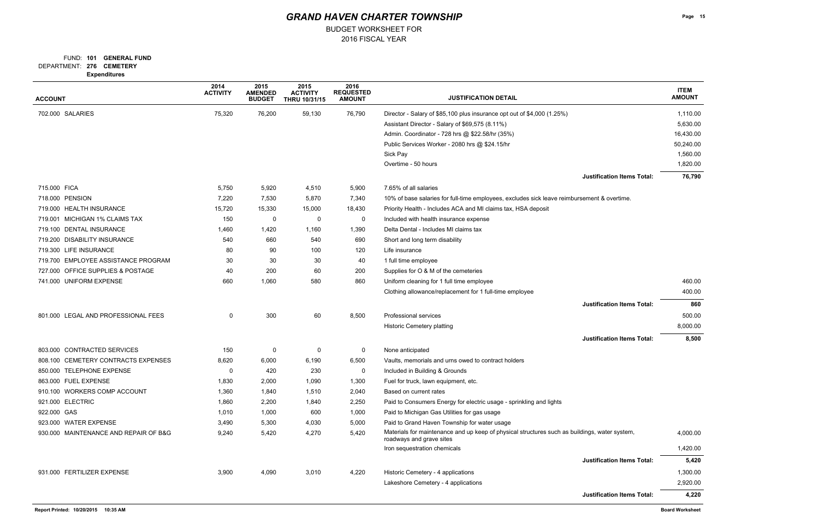### FUND: 101 **GENERAL FUND**

BUDGET WORKSHEET FOR

**276 CEMETERY** DEPARTMENT: **Expenditures**

| Experiulures                          | 2014            | 2015                            | 2015                             | 2016                              |                                                                                                                           |                              |
|---------------------------------------|-----------------|---------------------------------|----------------------------------|-----------------------------------|---------------------------------------------------------------------------------------------------------------------------|------------------------------|
| <b>ACCOUNT</b>                        | <b>ACTIVITY</b> | <b>AMENDED</b><br><b>BUDGET</b> | <b>ACTIVITY</b><br>THRU 10/31/15 | <b>REQUESTED</b><br><b>AMOUNT</b> | <b>JUSTIFICATION DETAIL</b>                                                                                               | <b>ITEM</b><br><b>AMOUNT</b> |
| 702.000 SALARIES                      | 75,320          | 76,200                          | 59,130                           | 76,790                            | Director - Salary of \$85,100 plus insurance opt out of \$4,000 (1.25%)                                                   | 1,110.00                     |
|                                       |                 |                                 |                                  |                                   | Assistant Director - Salary of \$69,575 (8.11%)                                                                           | 5,630.00                     |
|                                       |                 |                                 |                                  |                                   | Admin. Coordinator - 728 hrs @ \$22.58/hr (35%)                                                                           | 16,430.00                    |
|                                       |                 |                                 |                                  |                                   | Public Services Worker - 2080 hrs @ \$24.15/hr                                                                            | 50,240.00                    |
|                                       |                 |                                 |                                  |                                   | Sick Pay                                                                                                                  | 1,560.00                     |
|                                       |                 |                                 |                                  |                                   | Overtime - 50 hours                                                                                                       | 1,820.00                     |
|                                       |                 |                                 |                                  |                                   | <b>Justification Items Total:</b>                                                                                         | 76,790                       |
| 715.000 FICA                          | 5,750           | 5,920                           | 4,510                            | 5,900                             | 7.65% of all salaries                                                                                                     |                              |
| 718.000 PENSION                       | 7,220           | 7,530                           | 5,870                            | 7,340                             | 10% of base salaries for full-time employees, excludes sick leave reimbursement & overtime.                               |                              |
| 719.000 HEALTH INSURANCE              | 15,720          | 15,330                          | 15,000                           | 18,430                            | Priority Health - Includes ACA and MI claims tax, HSA deposit                                                             |                              |
| 719.001 MICHIGAN 1% CLAIMS TAX        | 150             | 0                               | 0                                | 0                                 | Included with health insurance expense                                                                                    |                              |
| 719.100 DENTAL INSURANCE              | 1,460           | 1,420                           | 1,160                            | 1,390                             | Delta Dental - Includes MI claims tax                                                                                     |                              |
| 719.200 DISABILITY INSURANCE          | 540             | 660                             | 540                              | 690                               | Short and long term disability                                                                                            |                              |
| 719.300 LIFE INSURANCE                | 80              | 90                              | 100                              | 120                               | Life insurance                                                                                                            |                              |
| 719.700 EMPLOYEE ASSISTANCE PROGRAM   | 30              | 30                              | 30                               | 40                                | 1 full time employee                                                                                                      |                              |
| 727.000 OFFICE SUPPLIES & POSTAGE     | 40              | 200                             | 60                               | 200                               | Supplies for O & M of the cemeteries                                                                                      |                              |
| 741.000 UNIFORM EXPENSE               | 660             | 1,060                           | 580                              | 860                               | Uniform cleaning for 1 full time employee                                                                                 |                              |
|                                       |                 |                                 |                                  |                                   | Clothing allowance/replacement for 1 full-time employee                                                                   | 400.00                       |
|                                       |                 |                                 |                                  |                                   | <b>Justification Items Total:</b>                                                                                         | 860                          |
| 801.000 LEGAL AND PROFESSIONAL FEES   | 0               | 300                             | 60                               | 8,500                             | Professional services                                                                                                     | 500.00                       |
|                                       |                 |                                 |                                  |                                   | Historic Cemetery platting                                                                                                | 8,000.00                     |
|                                       |                 |                                 |                                  |                                   | <b>Justification Items Total:</b>                                                                                         | 8,500                        |
| 803.000 CONTRACTED SERVICES           | 150             | 0                               | 0                                | 0                                 | None anticipated                                                                                                          |                              |
| 808.100 CEMETERY CONTRACTS EXPENSES   | 8,620           | 6,000                           | 6,190                            | 6,500                             | Vaults, memorials and urns owed to contract holders                                                                       |                              |
| 850.000 TELEPHONE EXPENSE             | $\Omega$        | 420                             | 230                              | 0                                 | Included in Building & Grounds                                                                                            |                              |
| 863.000 FUEL EXPENSE                  | 1,830           | 2,000                           | 1,090                            | 1,300                             | Fuel for truck, lawn equipment, etc.                                                                                      |                              |
| 910.100 WORKERS COMP ACCOUNT          | 1,360           | 1,840                           | 1,510                            | 2,040                             | Based on current rates                                                                                                    |                              |
| 921.000 ELECTRIC                      | 1,860           | 2,200                           | 1,840                            | 2,250                             | Paid to Consumers Energy for electric usage - sprinkling and lights                                                       |                              |
| 922.000 GAS                           | 1,010           | 1,000                           | 600                              | 1,000                             | Paid to Michigan Gas Utilities for gas usage                                                                              |                              |
| 923.000 WATER EXPENSE                 | 3,490           | 5,300                           | 4,030                            | 5,000                             | Paid to Grand Haven Township for water usage                                                                              |                              |
| 930.000 MAINTENANCE AND REPAIR OF B&G | 9,240           | 5,420                           | 4,270                            | 5,420                             | Materials for maintenance and up keep of physical structures such as buildings, water system,<br>roadways and grave sites | 4,000.00                     |
|                                       |                 |                                 |                                  |                                   | Iron sequestration chemicals                                                                                              | 1,420.00                     |
|                                       |                 |                                 |                                  |                                   | <b>Justification Items Total:</b>                                                                                         | 5,420                        |
| 931.000 FERTILIZER EXPENSE            | 3,900           | 4,090                           | 3,010                            | 4,220                             | Historic Cemetery - 4 applications                                                                                        | 1,300.00                     |
|                                       |                 |                                 |                                  |                                   | Lakeshore Cemetery - 4 applications                                                                                       | 2,920.00                     |
|                                       |                 |                                 |                                  |                                   | <b>Justification Items Total:</b>                                                                                         | 4,220                        |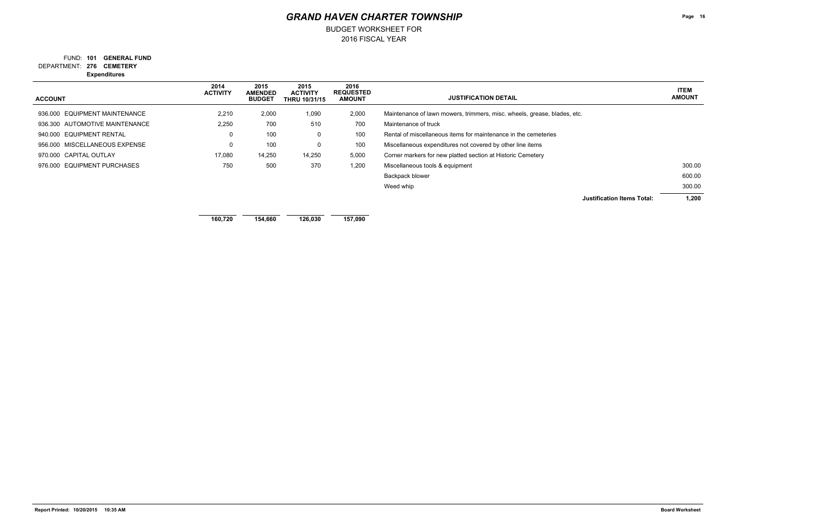**276 CEMETERY** DEPARTMENT: FUND: 101 **GENERAL FUND**  2016 FISCAL YEAR

BUDGET WORKSHEET FOR

**Expenditures**

| <b>ACCOUNT</b>                 | 2014<br><b>ACTIVITY</b> | 2015<br><b>AMENDED</b><br><b>BUDGET</b> | 2015<br><b>ACTIVITY</b><br><b>THRU 10/31/15</b> | 2016<br><b>REQUESTED</b><br><b>AMOUNT</b> | <b>JUSTIFICATION DETAIL</b>                                              | <b>ITEM</b><br><b>AMOUNT</b> |
|--------------------------------|-------------------------|-----------------------------------------|-------------------------------------------------|-------------------------------------------|--------------------------------------------------------------------------|------------------------------|
| 936.000 EQUIPMENT MAINTENANCE  | 2,210                   | 2,000                                   | 1,090                                           | 2,000                                     | Maintenance of lawn mowers, trimmers, misc. wheels, grease, blades, etc. |                              |
| 936.300 AUTOMOTIVE MAINTENANCE | 2,250                   | 700                                     | 510                                             | 700                                       | Maintenance of truck                                                     |                              |
| 940.000 EQUIPMENT RENTAL       | $\mathbf 0$             | 100                                     | 0                                               | 100                                       | Rental of miscellaneous items for maintenance in the cemeteries          |                              |
| 956.000 MISCELLANEOUS EXPENSE  | $\mathbf 0$             | 100                                     | 0                                               | 100                                       | Miscellaneous expenditures not covered by other line items               |                              |
| 970.000 CAPITAL OUTLAY         | 17,080                  | 14,250                                  | 14,250                                          | 5,000                                     | Corner markers for new platted section at Historic Cemetery              |                              |
| 976,000 EQUIPMENT PURCHASES    | 750                     | 500                                     | 370                                             | 1,200                                     | Miscellaneous tools & equipment                                          | 300.00                       |
|                                |                         |                                         |                                                 |                                           | Backpack blower                                                          | 600.00                       |
|                                |                         |                                         |                                                 |                                           | Weed whip                                                                | 300.00                       |
|                                |                         |                                         |                                                 |                                           | <b>Justification Items Total:</b>                                        | 1,200                        |
|                                | 160,720                 | 154,660                                 | 126,030                                         | 157,090                                   |                                                                          |                              |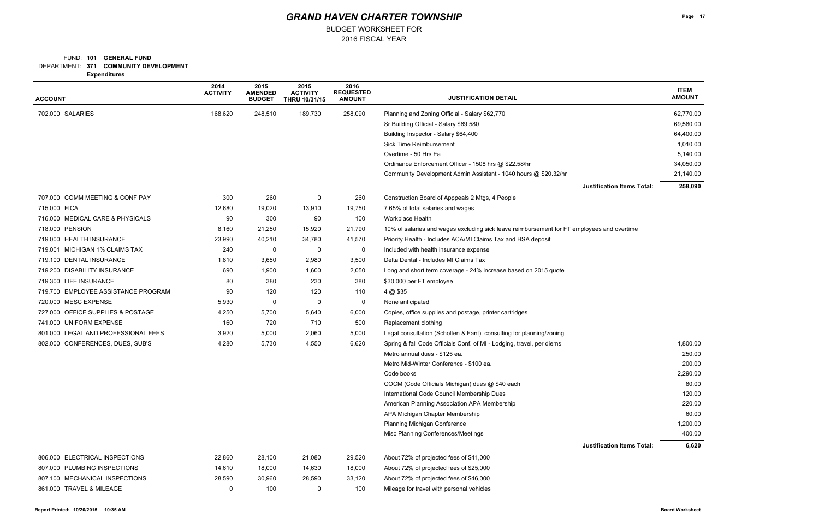### FUND: 101 **GENERAL FUND**

BUDGET WORKSHEET FOR

**371 COMMUNITY DEVELOPMENT** DEPARTMENT:

**Expenditures**

| <b>ACCOUNT</b>                      | 2014<br><b>ACTIVITY</b> | 2015<br><b>AMENDED</b><br><b>BUDGET</b> | 2015<br><b>ACTIVITY</b><br><b>THRU 10/31/15</b> | 2016<br><b>REQUESTED</b><br><b>AMOUNT</b> | <b>JUSTIFICATION DETAIL</b>                                                                |           |
|-------------------------------------|-------------------------|-----------------------------------------|-------------------------------------------------|-------------------------------------------|--------------------------------------------------------------------------------------------|-----------|
| 702.000 SALARIES                    | 168,620                 | 248,510                                 | 189,730                                         | 258,090                                   | Planning and Zoning Official - Salary \$62,770                                             | 62,770.00 |
|                                     |                         |                                         |                                                 |                                           | Sr Building Official - Salary \$69,580                                                     | 69,580.00 |
|                                     |                         |                                         |                                                 |                                           | Building Inspector - Salary \$64,400                                                       | 64,400.00 |
|                                     |                         |                                         |                                                 |                                           | <b>Sick Time Reimbursement</b>                                                             | 1,010.00  |
|                                     |                         |                                         |                                                 |                                           | Overtime - 50 Hrs Ea                                                                       | 5,140.00  |
|                                     |                         |                                         |                                                 |                                           | Ordinance Enforcement Officer - 1508 hrs @ \$22.58/hr                                      | 34,050.00 |
|                                     |                         |                                         |                                                 |                                           | Community Development Admin Assistant - 1040 hours @ \$20.32/hr                            | 21,140.00 |
|                                     |                         |                                         |                                                 |                                           | <b>Justification Items Total:</b>                                                          | 258,090   |
| 707.000 COMM MEETING & CONF PAY     | 300                     | 260                                     | 0                                               | 260                                       | Construction Board of Apppeals 2 Mtgs, 4 People                                            |           |
| 715.000 FICA                        | 12,680                  | 19,020                                  | 13,910                                          | 19,750                                    | 7.65% of total salaries and wages                                                          |           |
| 716.000 MEDICAL CARE & PHYSICALS    | 90                      | 300                                     | 90                                              | 100                                       | Workplace Health                                                                           |           |
| 718.000 PENSION                     | 8,160                   | 21,250                                  | 15,920                                          | 21,790                                    | 10% of salaries and wages excluding sick leave reimbursement for FT employees and overtime |           |
| 719.000 HEALTH INSURANCE            | 23,990                  | 40,210                                  | 34,780                                          | 41,570                                    | Priority Health - Includes ACA/MI Claims Tax and HSA deposit                               |           |
| 719.001 MICHIGAN 1% CLAIMS TAX      | 240                     | 0                                       | 0                                               | 0                                         | Included with health insurance expense                                                     |           |
| 719.100 DENTAL INSURANCE            | 1,810                   | 3,650                                   | 2,980                                           | 3,500                                     | Delta Dental - Includes MI Claims Tax                                                      |           |
| 719.200 DISABILITY INSURANCE        | 690                     | 1,900                                   | 1,600                                           | 2,050                                     | Long and short term coverage - 24% increase based on 2015 quote                            |           |
| 719.300 LIFE INSURANCE              | 80                      | 380                                     | 230                                             | 380                                       | \$30,000 per FT employee                                                                   |           |
| 719.700 EMPLOYEE ASSISTANCE PROGRAM | 90                      | 120                                     | 120                                             | 110                                       | 4 @ \$35                                                                                   |           |
| 720.000 MESC EXPENSE                | 5,930                   | 0                                       | 0                                               | 0                                         | None anticipated                                                                           |           |
| 727.000 OFFICE SUPPLIES & POSTAGE   | 4,250                   | 5,700                                   | 5,640                                           | 6,000                                     | Copies, office supplies and postage, printer cartridges                                    |           |
| 741.000 UNIFORM EXPENSE             | 160                     | 720                                     | 710                                             | 500                                       | Replacement clothing                                                                       |           |
| 801.000 LEGAL AND PROFESSIONAL FEES | 3,920                   | 5,000                                   | 2,060                                           | 5,000                                     | Legal consultation (Scholten & Fant), consulting for planning/zoning                       |           |
| 802.000 CONFERENCES, DUES, SUB'S    | 4,280                   | 5,730                                   | 4,550                                           | 6,620                                     | Spring & fall Code Officials Conf. of MI - Lodging, travel, per diems                      | 1,800.00  |
|                                     |                         |                                         |                                                 |                                           | Metro annual dues - \$125 ea.                                                              | 250.00    |
|                                     |                         |                                         |                                                 |                                           | Metro Mid-Winter Conference - \$100 ea.                                                    | 200.00    |
|                                     |                         |                                         |                                                 |                                           | Code books                                                                                 | 2,290.00  |
|                                     |                         |                                         |                                                 |                                           | COCM (Code Officials Michigan) dues @ \$40 each                                            | 80.00     |
|                                     |                         |                                         |                                                 |                                           | International Code Council Membership Dues                                                 | 120.00    |
|                                     |                         |                                         |                                                 |                                           | American Planning Association APA Membership                                               | 220.00    |
|                                     |                         |                                         |                                                 |                                           | APA Michigan Chapter Membership                                                            | 60.00     |
|                                     |                         |                                         |                                                 |                                           | Planning Michigan Conference                                                               | 1,200.00  |
|                                     |                         |                                         |                                                 |                                           | Misc Planning Conferences/Meetings                                                         | 400.00    |
|                                     |                         |                                         |                                                 |                                           | <b>Justification Items Total:</b>                                                          | 6,620     |
| 806.000 ELECTRICAL INSPECTIONS      | 22,860                  | 28,100                                  | 21,080                                          | 29,520                                    | About 72% of projected fees of \$41,000                                                    |           |
| 807.000 PLUMBING INSPECTIONS        | 14,610                  | 18,000                                  | 14,630                                          | 18,000                                    | About 72% of projected fees of \$25,000                                                    |           |
| 807.100 MECHANICAL INSPECTIONS      | 28,590                  | 30,960                                  | 28,590                                          | 33,120                                    | About 72% of projected fees of \$46,000                                                    |           |
| 861.000 TRAVEL & MILEAGE            | 0                       | 100                                     | 0                                               | 100                                       | Mileage for travel with personal vehicles                                                  |           |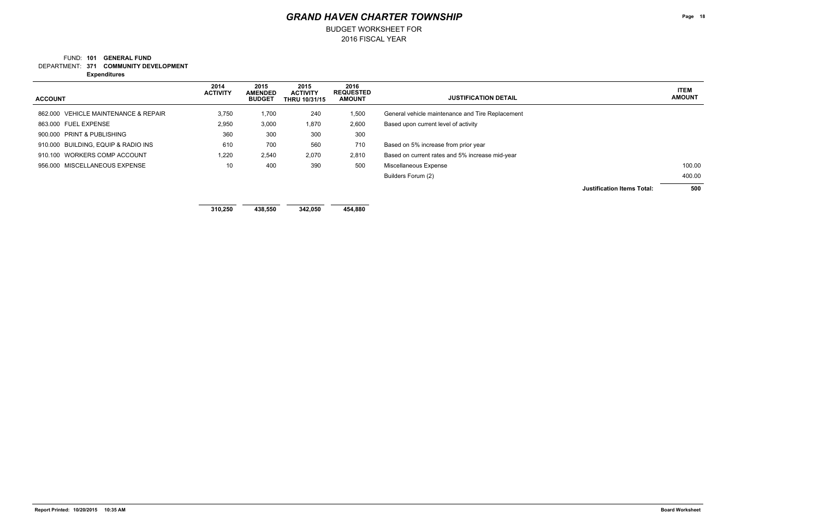### **371 COMMUNITY DEVELOPMENT** DEPARTMENT: FUND: 101 **GENERAL FUND**

2016 FISCAL YEAR

BUDGET WORKSHEET FOR

**Expenditures**

### **ITEM AMOUNT**

## *GRAND HAVEN CHARTER TOWNSHIP*

| <b>ACCOUNT</b>                       | 2014<br><b>ACTIVITY</b> | 2015<br><b>AMENDED</b><br><b>BUDGET</b> | 2015<br><b>ACTIVITY</b><br><b>THRU 10/31/15</b> | 2016<br><b>REQUESTED</b><br><b>AMOUNT</b> | <b>JUSTIFICATION DETAIL</b>                      |                                   | <b>ITEM</b><br><b>AMOUNT</b> |
|--------------------------------------|-------------------------|-----------------------------------------|-------------------------------------------------|-------------------------------------------|--------------------------------------------------|-----------------------------------|------------------------------|
| 862.000 VEHICLE MAINTENANCE & REPAIR | 3,750                   | 1,700                                   | 240                                             | 1,500                                     | General vehicle maintenance and Tire Replacement |                                   |                              |
| 863.000 FUEL EXPENSE                 | 2,950                   | 3,000                                   | 1,870                                           | 2,600                                     | Based upon current level of activity             |                                   |                              |
| 900.000 PRINT & PUBLISHING           | 360                     | 300                                     | 300                                             | 300                                       |                                                  |                                   |                              |
| 910.000 BUILDING, EQUIP & RADIO INS  | 610                     | 700                                     | 560                                             | 710                                       | Based on 5% increase from prior year             |                                   |                              |
| 910.100 WORKERS COMP ACCOUNT         | 1,220                   | 2,540                                   | 2,070                                           | 2,810                                     | Based on current rates and 5% increase mid-year  |                                   |                              |
| 956.000 MISCELLANEOUS EXPENSE        | 10                      | 400                                     | 390                                             | 500                                       | Miscellaneous Expense                            |                                   | 100.00                       |
|                                      |                         |                                         |                                                 |                                           | Builders Forum (2)                               |                                   | 400.00                       |
|                                      |                         |                                         |                                                 |                                           |                                                  | <b>Justification Items Total:</b> | 500                          |

**310,250 438,550 342,050 454,880**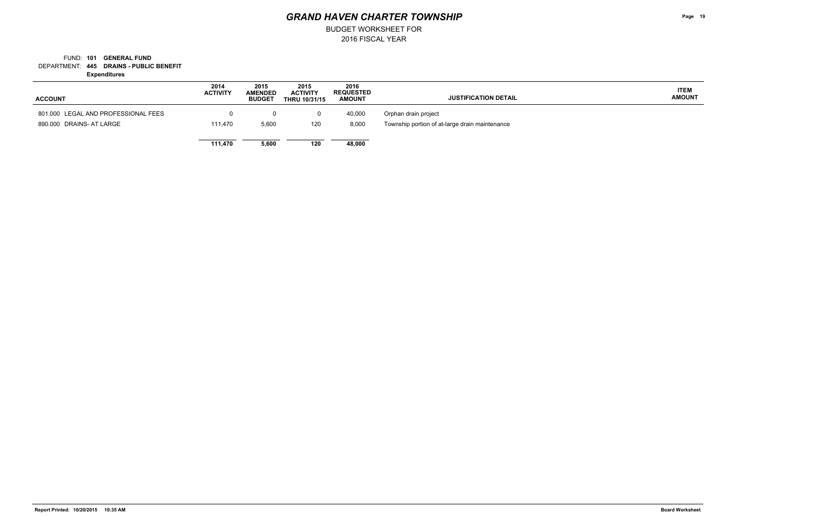### **445 DRAINS - PUBLIC BENEFIT** DEPARTMENT: FUND: 101 **GENERAL FUND**

2016 FISCAL YEAR

BUDGET WORKSHEET FOR

**Expenditures**

| <b>ACCOUNT</b>                      | 2014<br><b>ACTIVITY</b> | 2015<br><b>AMENDED</b><br><b>BUDGET</b> | 2015<br><b>ACTIVITY</b><br><b>THRU 10/31/15</b> | 2016<br><b>REQUESTED</b><br><b>AMOUNT</b> | <b>JUSTIFICATION DETAIL</b>                    |
|-------------------------------------|-------------------------|-----------------------------------------|-------------------------------------------------|-------------------------------------------|------------------------------------------------|
| 801.000 LEGAL AND PROFESSIONAL FEES | 0                       | 0                                       |                                                 | 40,000                                    | Orphan drain project                           |
| 890,000 DRAINS- AT LARGE            | 111.470                 | 5,600                                   | 120                                             | 8,000                                     | Township portion of at-large drain maintenance |
|                                     | 111.470                 | 5,600                                   | 120                                             | 48,000                                    |                                                |

**Page 19**

**ITEM AMOUNT**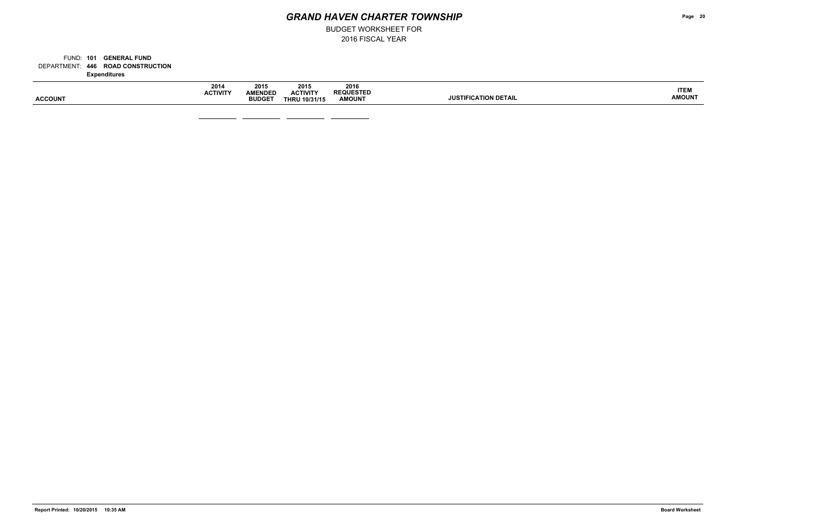BUDGET WORKSHEET FOR

**446 ROAD CONSTRUCTION** DEPARTMENT: FUND: 101 **GENERAL FUND Expenditures**

| <b>ACCOUNT</b> | 2014<br><b>ACTIVITY</b> | 2015<br><b>AMENDED</b><br><b>BUDGET</b> | 2015<br><b>ACTIVITY</b><br><b>THRU 10/31/15</b> | 2016<br><b>REQUESTED</b><br><b>AMOUNT</b> | <b>JUSTIFICATION DETAIL</b> |
|----------------|-------------------------|-----------------------------------------|-------------------------------------------------|-------------------------------------------|-----------------------------|
|                |                         |                                         |                                                 |                                           |                             |

 $\overline{\phantom{a}}$  and  $\overline{\phantom{a}}$ 

— —

**Page 20**

**ITEM AMOUNT**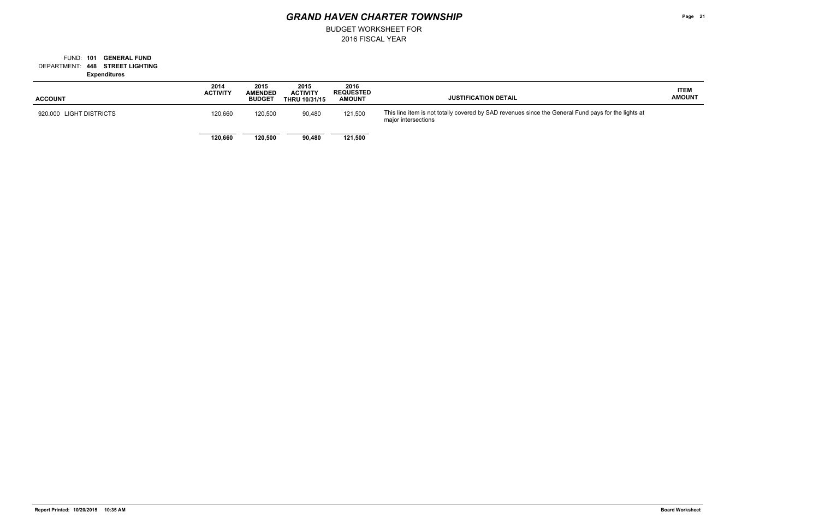BUDGET WORKSHEET FOR

### **448 STREET LIGHTING** DEPARTMENT: FUND: 101 **GENERAL FUND Expenditures**

**Page 21**

| <b>ACCOUNT</b>          | 2014<br><b>ACTIVITY</b> | 2015<br><b>AMENDED</b><br><b>BUDGET</b> | 2015<br><b>ACTIVITY</b><br><b>THRU 10/31/15</b> | 2016<br><b>REQUESTED</b><br><b>AMOUNT</b> | <b>JUSTIFICATION DETAIL</b>                                                                              |
|-------------------------|-------------------------|-----------------------------------------|-------------------------------------------------|-------------------------------------------|----------------------------------------------------------------------------------------------------------|
| 920.000 LIGHT DISTRICTS | 120,660                 | 120,500                                 | 90,480                                          | 121,500                                   | This line item is not totally covered by SAD revenues since the General Fund pays<br>major intersections |
|                         | 120,660                 | 120,500                                 | 90,480                                          | 121,500                                   |                                                                                                          |

### **ITEM AMOUNT**

s for the lights at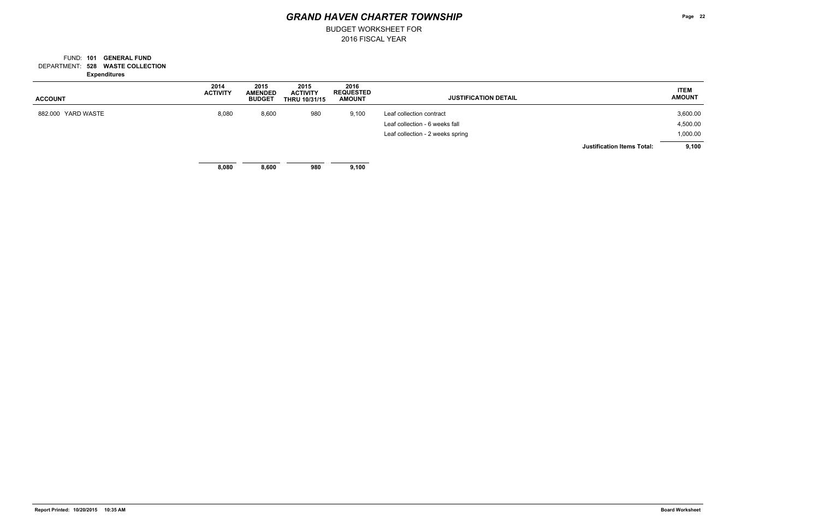BUDGET WORKSHEET FOR

### **528 WASTE COLLECTION** DEPARTMENT: FUND: 101 **GENERAL FUND Expenditures**

| <b>ACCOUNT</b>     | 2014<br><b>ACTIVITY</b> | 2015<br><b>AMENDED</b><br><b>BUDGET</b> | 2015<br><b>ACTIVITY</b><br><b>THRU 10/31/15</b> | 2016<br><b>REQUESTED</b><br><b>AMOUNT</b> | <b>JUSTIFICATION DETAIL</b>       | <b>ITEM</b><br><b>AMOUNT</b> |
|--------------------|-------------------------|-----------------------------------------|-------------------------------------------------|-------------------------------------------|-----------------------------------|------------------------------|
| 882.000 YARD WASTE | 8,080                   | 8,600                                   | 980                                             | 9,100                                     | Leaf collection contract          | 3,600.00                     |
|                    |                         |                                         |                                                 |                                           | Leaf collection - 6 weeks fall    | 4,500.00                     |
|                    |                         |                                         |                                                 |                                           | Leaf collection - 2 weeks spring  | 1,000.00                     |
|                    |                         |                                         |                                                 |                                           | <b>Justification Items Total:</b> | 9,100                        |
|                    | 8,080                   | 8,600                                   | 980                                             | 9,100                                     |                                   |                              |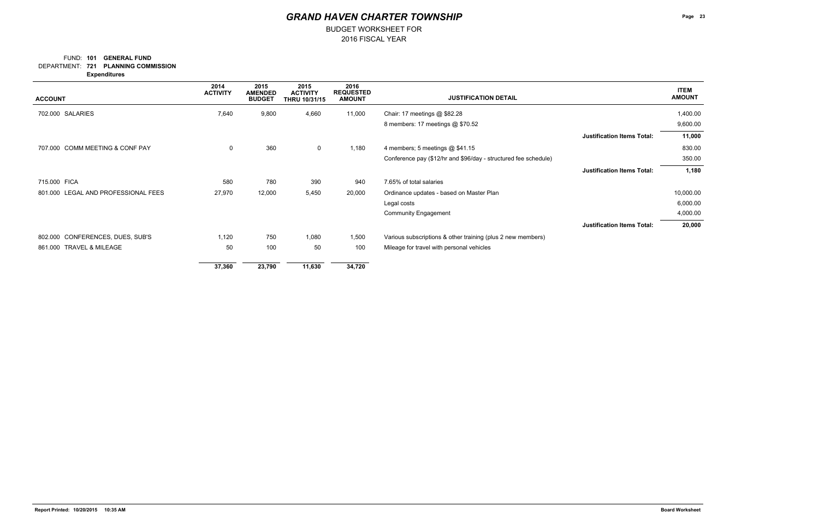### FUND: 101 **GENERAL FUND**

BUDGET WORKSHEET FOR

**721 PLANNING COMMISSION** DEPARTMENT:

**Expenditures**

| <b>ACCOUNT</b>                      | 2014<br><b>ACTIVITY</b> | 2015<br><b>AMENDED</b><br><b>BUDGET</b> | 2015<br><b>ACTIVITY</b><br>THRU 10/31/15 | 2016<br><b>REQUESTED</b><br><b>AMOUNT</b> | <b>JUSTIFICATION DETAIL</b>                                     | <b>ITEM</b><br><b>AMOUNT</b> |
|-------------------------------------|-------------------------|-----------------------------------------|------------------------------------------|-------------------------------------------|-----------------------------------------------------------------|------------------------------|
| 702.000 SALARIES                    | 7,640                   | 9,800                                   | 4,660                                    | 11,000                                    | Chair: 17 meetings @ \$82.28                                    | 1,400.00                     |
|                                     |                         |                                         |                                          |                                           | 8 members: 17 meetings @ \$70.52                                | 9,600.00                     |
|                                     |                         |                                         |                                          |                                           | <b>Justification Items Total:</b>                               | 11,000                       |
| 707.000 COMM MEETING & CONF PAY     | 0                       | 360                                     | $\mathbf 0$                              | 1,180                                     | 4 members; 5 meetings @ \$41.15                                 | 830.00                       |
|                                     |                         |                                         |                                          |                                           | Conference pay (\$12/hr and \$96/day - structured fee schedule) | 350.00                       |
|                                     |                         |                                         |                                          |                                           | <b>Justification Items Total:</b>                               | 1,180                        |
| 715.000 FICA                        | 580                     | 780                                     | 390                                      | 940                                       | 7.65% of total salaries                                         |                              |
| 801.000 LEGAL AND PROFESSIONAL FEES | 27,970                  | 12,000                                  | 5,450                                    | 20,000                                    | Ordinance updates - based on Master Plan                        | 10,000.00                    |
|                                     |                         |                                         |                                          |                                           | Legal costs                                                     | 6,000.00                     |
|                                     |                         |                                         |                                          |                                           | <b>Community Engagement</b>                                     | 4,000.00                     |
|                                     |                         |                                         |                                          |                                           | <b>Justification Items Total:</b>                               | 20,000                       |
| 802.000 CONFERENCES, DUES, SUB'S    | 1,120                   | 750                                     | 1,080                                    | 1,500                                     | Various subscriptions & other training (plus 2 new members)     |                              |
| TRAVEL & MILEAGE<br>861.000         | 50                      | 100                                     | 50                                       | 100                                       | Mileage for travel with personal vehicles                       |                              |
|                                     | 37,360                  | 23,790                                  | 11,630                                   | 34,720                                    |                                                                 |                              |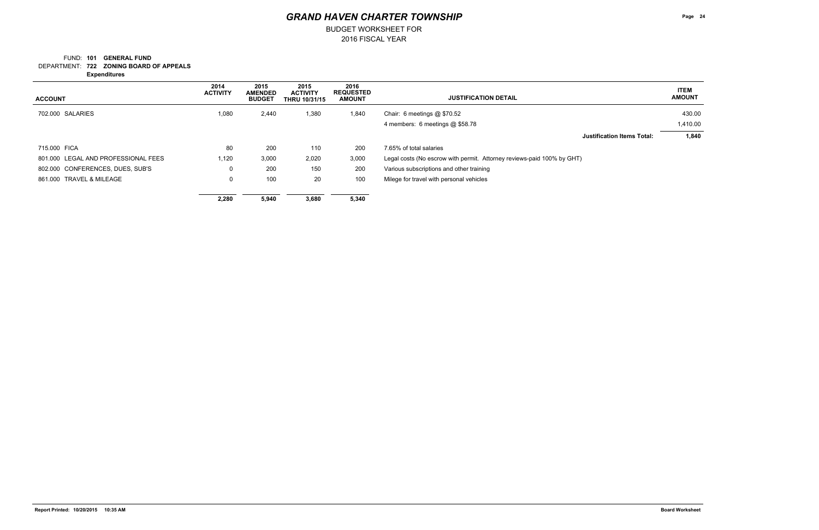### FUND: 101 **GENERAL FUND**

BUDGET WORKSHEET FOR

**722 ZONING BOARD OF APPEALS** DEPARTMENT:

**Expenditures**

| <b>ACCOUNT</b>                      | 2014<br><b>ACTIVITY</b> | 2015<br><b>AMENDED</b><br><b>BUDGET</b> | 2015<br><b>ACTIVITY</b><br><b>THRU 10/31/15</b> | 2016<br><b>REQUESTED</b><br><b>AMOUNT</b> | <b>JUSTIFICATION DETAIL</b>                                            | <b>ITEM</b><br><b>AMOUNT</b> |
|-------------------------------------|-------------------------|-----------------------------------------|-------------------------------------------------|-------------------------------------------|------------------------------------------------------------------------|------------------------------|
| 702.000 SALARIES                    | 1,080                   | 2,440                                   | 1,380                                           | 1,840                                     | Chair: 6 meetings @ \$70.52                                            | 430.00                       |
|                                     |                         |                                         |                                                 |                                           | 4 members: 6 meetings @ \$58.78                                        | 1,410.00                     |
|                                     |                         |                                         |                                                 |                                           | <b>Justification Items Total:</b>                                      | 1,840                        |
| 715,000 FICA                        | 80                      | 200                                     | 110                                             | 200                                       | 7.65% of total salaries                                                |                              |
| 801.000 LEGAL AND PROFESSIONAL FEES | 1,120                   | 3,000                                   | 2,020                                           | 3,000                                     | Legal costs (No escrow with permit. Attorney reviews-paid 100% by GHT) |                              |
| 802.000 CONFERENCES, DUES, SUB'S    | U                       | 200                                     | 150                                             | 200                                       | Various subscriptions and other training                               |                              |
| 861.000 TRAVEL & MILEAGE            | 0                       | 100                                     | 20                                              | 100                                       | Milege for travel with personal vehicles                               |                              |
|                                     | 2,280                   | 5,940                                   | 3,680                                           | 5,340                                     |                                                                        |                              |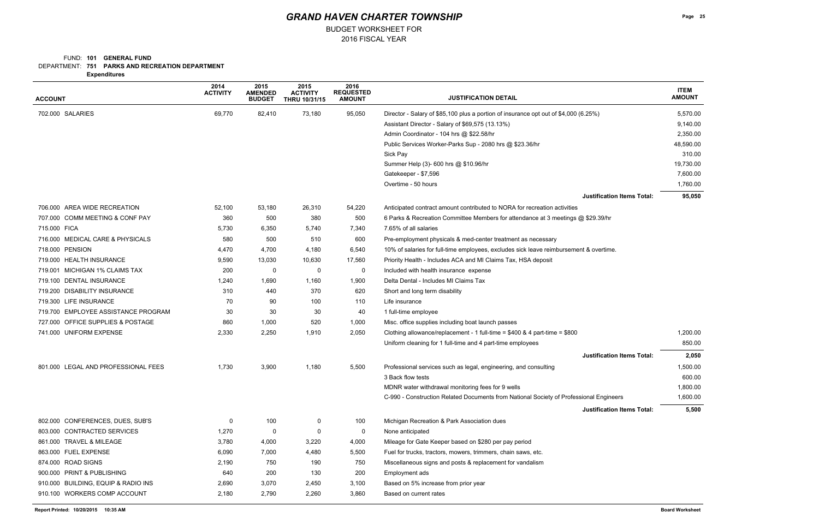### FUND: 101 **GENERAL FUND**

DEPARTMENT: **751 PARKS AND RECREATION DEPARTMENT** 

BUDGET WORKSHEET FOR

**Expenditures**

| <b>ACCOUNT</b>                      | 2014<br><b>ACTIVITY</b> | 2015<br><b>AMENDED</b><br><b>BUDGET</b> | 2015<br><b>ACTIVITY</b><br><b>THRU 10/31/15</b> | 2016<br><b>REQUESTED</b><br><b>AMOUNT</b> | <b>JUSTIFICATION DETAIL</b>                                                            | <b>ITEM</b><br><b>AMOUNT</b> |
|-------------------------------------|-------------------------|-----------------------------------------|-------------------------------------------------|-------------------------------------------|----------------------------------------------------------------------------------------|------------------------------|
| 702.000 SALARIES                    | 69,770                  | 82,410                                  | 73,180                                          | 95,050                                    | Director - Salary of \$85,100 plus a portion of insurance opt out of \$4,000 (6.25%)   | 5,570.00                     |
|                                     |                         |                                         |                                                 |                                           | Assistant Director - Salary of \$69,575 (13.13%)                                       | 9,140.00                     |
|                                     |                         |                                         |                                                 |                                           | Admin Coordinator - 104 hrs @ \$22.58/hr                                               | 2,350.00                     |
|                                     |                         |                                         |                                                 |                                           | Public Services Worker-Parks Sup - 2080 hrs @ \$23.36/hr                               | 48,590.00                    |
|                                     |                         |                                         |                                                 |                                           | Sick Pay                                                                               | 310.00                       |
|                                     |                         |                                         |                                                 |                                           | Summer Help (3)- 600 hrs @ \$10.96/hr                                                  | 19,730.00                    |
|                                     |                         |                                         |                                                 |                                           | Gatekeeper - \$7,596                                                                   | 7,600.00                     |
|                                     |                         |                                         |                                                 |                                           | Overtime - 50 hours                                                                    | 1,760.00                     |
|                                     |                         |                                         |                                                 |                                           | <b>Justification Items Total:</b>                                                      | 95,050                       |
| 706.000 AREA WIDE RECREATION        | 52,100                  | 53,180                                  | 26,310                                          | 54,220                                    | Anticipated contract amount contributed to NORA for recreation activities              |                              |
| 707.000 COMM MEETING & CONF PAY     | 360                     | 500                                     | 380                                             | 500                                       | 6 Parks & Recreation Committee Members for attendance at 3 meetings @ \$29.39/hr       |                              |
| 715.000 FICA                        | 5,730                   | 6,350                                   | 5,740                                           | 7,340                                     | 7.65% of all salaries                                                                  |                              |
| 716.000 MEDICAL CARE & PHYSICALS    | 580                     | 500                                     | 510                                             | 600                                       | Pre-employment physicals & med-center treatment as necessary                           |                              |
| 718.000 PENSION                     | 4,470                   | 4,700                                   | 4,180                                           | 6,540                                     | 10% of salaries for full-time employees, excludes sick leave reimbursement & overtime. |                              |
| 719.000 HEALTH INSURANCE            | 9,590                   | 13,030                                  | 10,630                                          | 17,560                                    | Priority Health - Includes ACA and MI Claims Tax, HSA deposit                          |                              |
| 719.001 MICHIGAN 1% CLAIMS TAX      | 200                     | 0                                       | 0                                               | 0                                         | Included with health insurance expense                                                 |                              |
| 719.100 DENTAL INSURANCE            | 1,240                   | 1,690                                   | 1,160                                           | 1,900                                     | Delta Dental - Includes MI Claims Tax                                                  |                              |
| 719.200 DISABILITY INSURANCE        | 310                     | 440                                     | 370                                             | 620                                       | Short and long term disability                                                         |                              |
| 719.300 LIFE INSURANCE              | 70                      | 90                                      | 100                                             | 110                                       | Life insurance                                                                         |                              |
| 719.700 EMPLOYEE ASSISTANCE PROGRAM | 30                      | 30                                      | 30                                              | 40                                        | 1 full-time employee                                                                   |                              |
| 727.000 OFFICE SUPPLIES & POSTAGE   | 860                     | 1,000                                   | 520                                             | 1,000                                     | Misc. office supplies including boat launch passes                                     |                              |
| 741.000 UNIFORM EXPENSE             | 2,330                   | 2,250                                   | 1,910                                           | 2,050                                     | Clothing allowance/replacement - 1 full-time = \$400 & 4 part-time = \$800             | 1,200.00                     |
|                                     |                         |                                         |                                                 |                                           | Uniform cleaning for 1 full-time and 4 part-time employees                             | 850.00                       |
|                                     |                         |                                         |                                                 |                                           | <b>Justification Items Total:</b>                                                      | 2,050                        |
| 801.000 LEGAL AND PROFESSIONAL FEES | 1,730                   | 3,900                                   | 1,180                                           | 5,500                                     | Professional services such as legal, engineering, and consulting                       | 1,500.00                     |
|                                     |                         |                                         |                                                 |                                           | 3 Back flow tests                                                                      | 600.00                       |
|                                     |                         |                                         |                                                 |                                           | MDNR water withdrawal monitoring fees for 9 wells                                      | 1,800.00                     |
|                                     |                         |                                         |                                                 |                                           | C-990 - Construction Related Documents from National Society of Professional Engineers | 1,600.00                     |
|                                     |                         |                                         |                                                 |                                           | <b>Justification Items Total:</b>                                                      | 5,500                        |
| 802.000 CONFERENCES, DUES, SUB'S    | 0                       | 100                                     | 0                                               | 100                                       | Michigan Recreation & Park Association dues                                            |                              |
| 803.000 CONTRACTED SERVICES         | 1,270                   | 0                                       | 0                                               | 0                                         | None anticipated                                                                       |                              |
| 861.000 TRAVEL & MILEAGE            | 3,780                   | 4,000                                   | 3,220                                           | 4,000                                     | Mileage for Gate Keeper based on \$280 per pay period                                  |                              |
| 863.000 FUEL EXPENSE                | 6,090                   | 7,000                                   | 4,480                                           | 5,500                                     | Fuel for trucks, tractors, mowers, trimmers, chain saws, etc.                          |                              |
| 874.000 ROAD SIGNS                  | 2,190                   | 750                                     | 190                                             | 750                                       | Miscellaneous signs and posts & replacement for vandalism                              |                              |
| 900,000 PRINT & PUBLISHING          | 640                     | 200                                     | 130                                             | 200                                       | Employment ads                                                                         |                              |
| 910.000 BUILDING, EQUIP & RADIO INS | 2,690                   | 3,070                                   | 2,450                                           | 3,100                                     | Based on 5% increase from prior year                                                   |                              |
| 910.100 WORKERS COMP ACCOUNT        | 2,180                   | 2,790                                   | 2,260                                           | 3,860                                     | Based on current rates                                                                 |                              |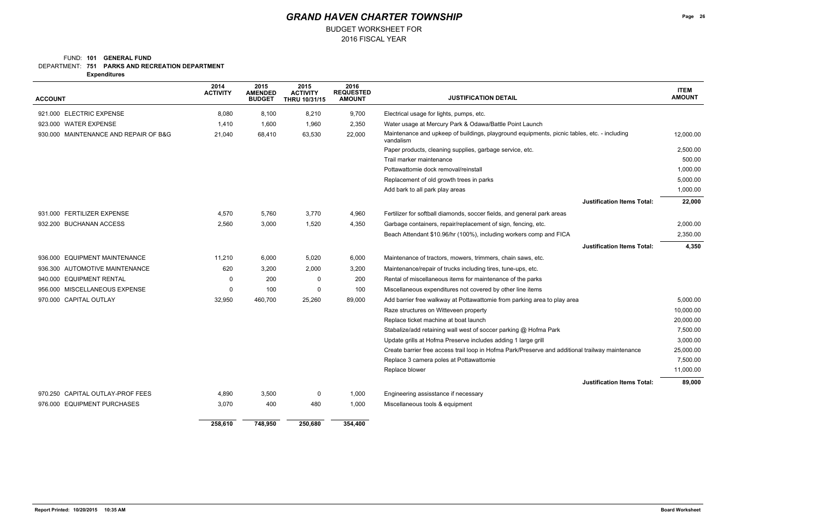### FUND: 101 **GENERAL FUND**

DEPARTMENT: **751 PARKS AND RECREATION DEPARTMENT** 

BUDGET WORKSHEET FOR

**Expenditures**

| <b>ACCOUNT</b>                        | 2014<br><b>ACTIVITY</b> | 2015<br><b>AMENDED</b><br><b>BUDGET</b> | 2015<br><b>ACTIVITY</b><br>THRU 10/31/15 | 2016<br><b>REQUESTED</b><br><b>AMOUNT</b> | <b>JUSTIFICATION DETAIL</b>                                                                              | <b>ITEM</b><br><b>AMOUNT</b> |
|---------------------------------------|-------------------------|-----------------------------------------|------------------------------------------|-------------------------------------------|----------------------------------------------------------------------------------------------------------|------------------------------|
| 921.000 ELECTRIC EXPENSE              | 8,080                   | 8,100                                   | 8,210                                    | 9,700                                     | Electrical usage for lights, pumps, etc.                                                                 |                              |
| 923.000 WATER EXPENSE                 | 1,410                   | 1,600                                   | 1,960                                    | 2,350                                     | Water usage at Mercury Park & Odawa/Battle Point Launch                                                  |                              |
| 930.000 MAINTENANCE AND REPAIR OF B&G | 21,040                  | 68,410                                  | 63,530                                   | 22,000                                    | Maintenance and upkeep of buildings, playground equipments, picnic tables, etc. - including<br>vandalism | 12,000.00                    |
|                                       |                         |                                         |                                          |                                           | Paper products, cleaning supplies, garbage service, etc.                                                 | 2,500.00                     |
|                                       |                         |                                         |                                          |                                           | Trail marker maintenance                                                                                 | 500.00                       |
|                                       |                         |                                         |                                          |                                           | Pottawattomie dock removal/reinstall                                                                     | 1,000.00                     |
|                                       |                         |                                         |                                          |                                           | Replacement of old growth trees in parks                                                                 | 5,000.00                     |
|                                       |                         |                                         |                                          |                                           | Add bark to all park play areas                                                                          | 1,000.00                     |
|                                       |                         |                                         |                                          |                                           | <b>Justification Items Total:</b>                                                                        | 22,000                       |
| 931.000 FERTILIZER EXPENSE            | 4,570                   | 5,760                                   | 3,770                                    | 4,960                                     | Fertilizer for softball diamonds, soccer fields, and general park areas                                  |                              |
| 932.200 BUCHANAN ACCESS               | 2,560                   | 3,000                                   | 1,520                                    | 4,350                                     | Garbage containers, repair/replacement of sign, fencing, etc.                                            | 2,000.00                     |
|                                       |                         |                                         |                                          |                                           | Beach Attendant \$10.96/hr (100%), including workers comp and FICA                                       | 2,350.00                     |
|                                       |                         |                                         |                                          |                                           | <b>Justification Items Total:</b>                                                                        | 4,350                        |
| 936.000 EQUIPMENT MAINTENANCE         | 11,210                  | 6,000                                   | 5,020                                    | 6,000                                     | Maintenance of tractors, mowers, trimmers, chain saws, etc.                                              |                              |
| 936.300 AUTOMOTIVE MAINTENANCE        | 620                     | 3,200                                   | 2,000                                    | 3,200                                     | Maintenance/repair of trucks including tires, tune-ups, etc.                                             |                              |
| 940.000 EQUIPMENT RENTAL              | $\Omega$                | 200                                     | 0                                        | 200                                       | Rental of miscellaneous items for maintenance of the parks                                               |                              |
| 956.000 MISCELLANEOUS EXPENSE         | $\Omega$                | 100                                     | $\mathbf 0$                              | 100                                       | Miscellaneous expenditures not covered by other line items                                               |                              |
| 970.000 CAPITAL OUTLAY                | 32,950                  | 460,700                                 | 25,260                                   | 89,000                                    | Add barrier free walkway at Pottawattomie from parking area to play area                                 | 5,000.00                     |
|                                       |                         |                                         |                                          |                                           | Raze structures on Witteveen property                                                                    | 10,000.00                    |
|                                       |                         |                                         |                                          |                                           | Replace ticket machine at boat launch                                                                    | 20,000.00                    |
|                                       |                         |                                         |                                          |                                           | Stabalize/add retaining wall west of soccer parking @ Hofma Park                                         | 7,500.00                     |
|                                       |                         |                                         |                                          |                                           | Update grills at Hofma Preserve includes adding 1 large grill                                            | 3,000.00                     |
|                                       |                         |                                         |                                          |                                           | Create barrier free access trail loop in Hofma Park/Preserve and additional trailway maintenance         | 25,000.00                    |
|                                       |                         |                                         |                                          |                                           | Replace 3 camera poles at Pottawattomie                                                                  | 7,500.00                     |
|                                       |                         |                                         |                                          |                                           | Replace blower                                                                                           | 11,000.00                    |
|                                       |                         |                                         |                                          |                                           | <b>Justification Items Total:</b>                                                                        | 89,000                       |
| 970.250 CAPITAL OUTLAY-PROF FEES      | 4,890                   | 3,500                                   | 0                                        | 1,000                                     | Engineering assisstance if necessary                                                                     |                              |
| 976.000 EQUIPMENT PURCHASES           | 3,070                   | 400                                     | 480                                      | 1,000                                     | Miscellaneous tools & equipment                                                                          |                              |
|                                       | 258,610                 | 748,950                                 | 250,680                                  | 354,400                                   |                                                                                                          |                              |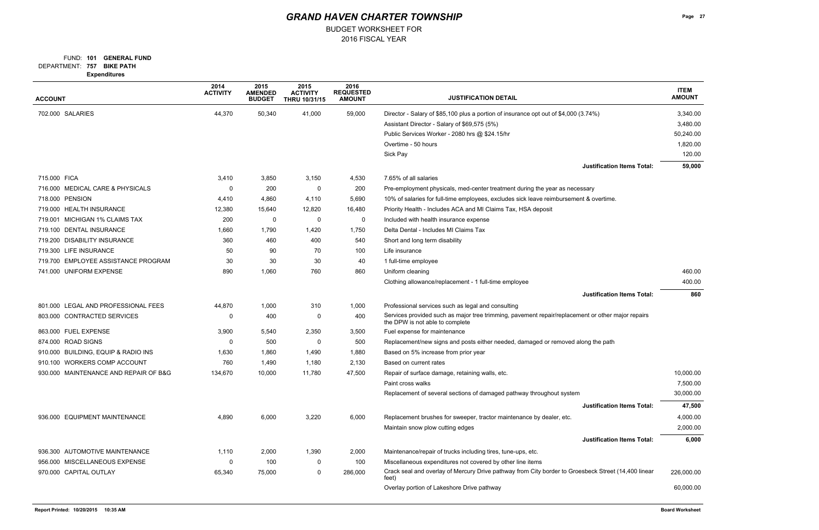FUND: 101 **GENERAL FUND** 

BUDGET WORKSHEET FOR

**757 BIKE PATH** DEPARTMENT:

**Expenditures**

| <b>ACCOUNT</b>                        | 2014<br><b>ACTIVITY</b> | 2015<br><b>AMENDED</b><br><b>BUDGET</b> | 2015<br><b>ACTIVITY</b><br>THRU 10/31/15 | 2016<br><b>REQUESTED</b><br><b>AMOUNT</b> | <b>JUSTIFICATION DETAIL</b>                                                                                                          | <b>ITEM</b><br><b>AMOUNT</b> |
|---------------------------------------|-------------------------|-----------------------------------------|------------------------------------------|-------------------------------------------|--------------------------------------------------------------------------------------------------------------------------------------|------------------------------|
| 702.000 SALARIES                      | 44,370                  | 50,340                                  | 41,000                                   | 59,000                                    | Director - Salary of \$85,100 plus a portion of insurance opt out of \$4,000 (3.74%)                                                 | 3,340.00                     |
|                                       |                         |                                         |                                          |                                           | Assistant Director - Salary of \$69,575 (5%)                                                                                         | 3,480.00                     |
|                                       |                         |                                         |                                          |                                           | Public Services Worker - 2080 hrs @ \$24.15/hr                                                                                       | 50,240.00                    |
|                                       |                         |                                         |                                          |                                           | Overtime - 50 hours                                                                                                                  | 1,820.00                     |
|                                       |                         |                                         |                                          |                                           | Sick Pay                                                                                                                             | 120.00                       |
|                                       |                         |                                         |                                          |                                           | <b>Justification Items Total:</b>                                                                                                    | 59,000                       |
| 715.000 FICA                          | 3,410                   | 3,850                                   | 3,150                                    | 4,530                                     | 7.65% of all salaries                                                                                                                |                              |
| 716.000 MEDICAL CARE & PHYSICALS      | 0                       | 200                                     | 0                                        | 200                                       | Pre-employment physicals, med-center treatment during the year as necessary                                                          |                              |
| 718.000 PENSION                       | 4,410                   | 4,860                                   | 4,110                                    | 5,690                                     | 10% of salaries for full-time employees, excludes sick leave reimbursement & overtime.                                               |                              |
| 719.000 HEALTH INSURANCE              | 12,380                  | 15,640                                  | 12,820                                   | 16,480                                    | Priority Health - Includes ACA and MI Claims Tax, HSA deposit                                                                        |                              |
| 719.001 MICHIGAN 1% CLAIMS TAX        | 200                     | 0                                       | $\Omega$                                 | 0                                         | Included with health insurance expense                                                                                               |                              |
| 719.100 DENTAL INSURANCE              | 1,660                   | 1,790                                   | 1,420                                    | 1,750                                     | Delta Dental - Includes MI Claims Tax                                                                                                |                              |
| 719.200 DISABILITY INSURANCE          | 360                     | 460                                     | 400                                      | 540                                       | Short and long term disability                                                                                                       |                              |
| 719.300 LIFE INSURANCE                | 50                      | 90                                      | 70                                       | 100                                       | Life insurance                                                                                                                       |                              |
| 719.700 EMPLOYEE ASSISTANCE PROGRAM   | 30                      | 30                                      | 30                                       | 40                                        | 1 full-time employee                                                                                                                 |                              |
| 741.000 UNIFORM EXPENSE               | 890                     | 1,060                                   | 760                                      | 860                                       | Uniform cleaning                                                                                                                     | 460.00                       |
|                                       |                         |                                         |                                          |                                           | Clothing allowance/replacement - 1 full-time employee                                                                                | 400.00                       |
|                                       |                         |                                         |                                          |                                           | <b>Justification Items Total:</b>                                                                                                    | 860                          |
| 801.000 LEGAL AND PROFESSIONAL FEES   | 44,870                  | 1,000                                   | 310                                      | 1,000                                     | Professional services such as legal and consulting                                                                                   |                              |
| 803.000 CONTRACTED SERVICES           | 0                       | 400                                     | 0                                        | 400                                       | Services provided such as major tree trimming, pavement repair/replacement or other major repairs<br>the DPW is not able to complete |                              |
| 863.000 FUEL EXPENSE                  | 3,900                   | 5,540                                   | 2,350                                    | 3,500                                     | Fuel expense for maintenance                                                                                                         |                              |
| 874.000 ROAD SIGNS                    | 0                       | 500                                     | 0                                        | 500                                       | Replacement/new signs and posts either needed, damaged or removed along the path                                                     |                              |
| 910.000 BUILDING, EQUIP & RADIO INS   | 1,630                   | 1,860                                   | 1,490                                    | 1,880                                     | Based on 5% increase from prior year                                                                                                 |                              |
| 910.100 WORKERS COMP ACCOUNT          | 760                     | 1,490                                   | 1,180                                    | 2,130                                     | Based on current rates                                                                                                               |                              |
| 930.000 MAINTENANCE AND REPAIR OF B&G | 134,670                 | 10,000                                  | 11,780                                   | 47,500                                    | Repair of surface damage, retaining walls, etc.                                                                                      | 10,000.00                    |
|                                       |                         |                                         |                                          |                                           | Paint cross walks                                                                                                                    | 7,500.00                     |
|                                       |                         |                                         |                                          |                                           | Replacement of several sections of damaged pathway throughout system                                                                 | 30,000.00                    |
|                                       |                         |                                         |                                          |                                           | <b>Justification Items Total:</b>                                                                                                    | 47,500                       |
| 936.000 EQUIPMENT MAINTENANCE         | 4,890                   | 6,000                                   | 3,220                                    | 6,000                                     | Replacement brushes for sweeper, tractor maintenance by dealer, etc.                                                                 | 4,000.00                     |
|                                       |                         |                                         |                                          |                                           | Maintain snow plow cutting edges                                                                                                     | 2,000.00                     |
|                                       |                         |                                         |                                          |                                           | <b>Justification Items Total:</b>                                                                                                    | 6,000                        |
| 936.300 AUTOMOTIVE MAINTENANCE        | 1,110                   | 2,000                                   | 1,390                                    | 2,000                                     | Maintenance/repair of trucks including tires, tune-ups, etc.                                                                         |                              |
| 956.000 MISCELLANEOUS EXPENSE         | 0                       | 100                                     | 0                                        | 100                                       | Miscellaneous expenditures not covered by other line items                                                                           |                              |
| 970.000 CAPITAL OUTLAY                | 65,340                  | 75,000                                  | $\mathbf 0$                              | 286,000                                   | Crack seal and overlay of Mercury Drive pathway from City border to Groesbeck Street (14,400 linear<br>feet)                         | 226,000.00                   |
|                                       |                         |                                         |                                          |                                           | Overlay portion of Lakeshore Drive pathway                                                                                           | 60,000.00                    |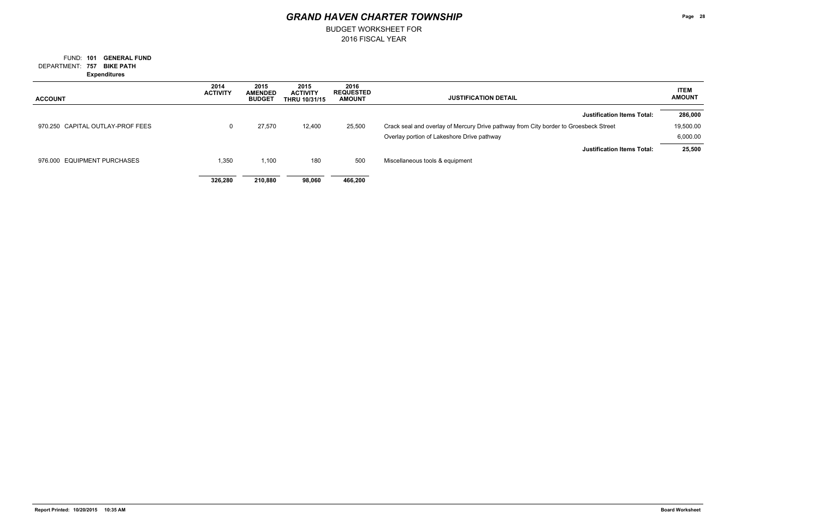BUDGET WORKSHEET FOR

**757 BIKE PATH** DEPARTMENT: FUND: 101 **GENERAL FUND Expenditures**

| <b>ACCOUNT</b>                   | 2014<br><b>ACTIVITY</b> | 2015<br><b>AMENDED</b><br><b>BUDGET</b> | 2015<br><b>ACTIVITY</b><br><b>THRU 10/31/15</b> | 2016<br><b>REQUESTED</b><br><b>AMOUNT</b> | <b>JUSTIFICATION DETAIL</b>                                                          | <b>ITEM</b><br><b>AMOUNT</b> |
|----------------------------------|-------------------------|-----------------------------------------|-------------------------------------------------|-------------------------------------------|--------------------------------------------------------------------------------------|------------------------------|
|                                  |                         |                                         |                                                 |                                           | <b>Justification Items Total:</b>                                                    | 286,000                      |
| 970.250 CAPITAL OUTLAY-PROF FEES | 0                       | 27,570                                  | 12,400                                          | 25,500                                    | Crack seal and overlay of Mercury Drive pathway from City border to Groesbeck Street | 19,500.00                    |
|                                  |                         |                                         |                                                 |                                           | Overlay portion of Lakeshore Drive pathway                                           | 6,000.00                     |
|                                  |                         |                                         |                                                 |                                           | <b>Justification Items Total:</b>                                                    | 25,500                       |
| 976.000 EQUIPMENT PURCHASES      | 1,350                   | 1,100                                   | 180                                             | 500                                       | Miscellaneous tools & equipment                                                      |                              |
|                                  | 326,280                 | 210.880                                 | 98,060                                          | 466.200                                   |                                                                                      |                              |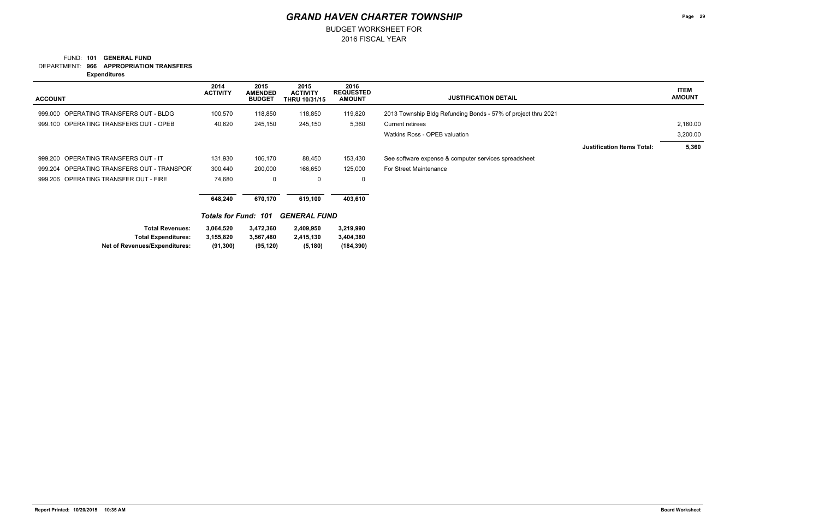### **966 APPROPRIATION TRANSFERS** DEPARTMENT: FUND: 101 **GENERAL FUND**

2016 FISCAL YEAR

BUDGET WORKSHEET FOR

**Expenditures**

| <b>ACCOUNT</b>                                                                               | 2014<br><b>ACTIVITY</b>             | 2015<br><b>AMENDED</b><br><b>BUDGET</b> | 2015<br><b>ACTIVITY</b><br><b>THRU 10/31/15</b> | 2016<br><b>REQUESTED</b><br><b>AMOUNT</b> | <b>JUSTIFICATION DETAIL</b>                                   |                                   | <b>ITEM</b><br><b>AMOUNT</b> |
|----------------------------------------------------------------------------------------------|-------------------------------------|-----------------------------------------|-------------------------------------------------|-------------------------------------------|---------------------------------------------------------------|-----------------------------------|------------------------------|
| OPERATING TRANSFERS OUT - BLDG<br>999.000                                                    | 100,570                             | 118,850                                 | 118,850                                         | 119,820                                   | 2013 Township Bldg Refunding Bonds - 57% of project thru 2021 |                                   |                              |
| 999.100 OPERATING TRANSFERS OUT - OPEB                                                       | 40,620                              | 245,150                                 | 245,150                                         | 5,360                                     | <b>Current retirees</b>                                       |                                   | 2,160.00                     |
|                                                                                              |                                     |                                         |                                                 |                                           | Watkins Ross - OPEB valuation                                 |                                   | 3,200.00                     |
|                                                                                              |                                     |                                         |                                                 |                                           |                                                               | <b>Justification Items Total:</b> | 5,360                        |
| 999.200 OPERATING TRANSFERS OUT - IT                                                         | 131,930                             | 106,170                                 | 88,450                                          | 153,430                                   | See software expense & computer services spreadsheet          |                                   |                              |
| OPERATING TRANSFERS OUT - TRANSPOR<br>999.204                                                | 300,440                             | 200,000                                 | 166,650                                         | 125,000                                   | For Street Maintenance                                        |                                   |                              |
| 999.206 OPERATING TRANSFER OUT - FIRE                                                        | 74,680                              | $\mathbf 0$                             | 0                                               | 0                                         |                                                               |                                   |                              |
|                                                                                              | 648,240                             | 670,170                                 | 619,100                                         | 403,610                                   |                                                               |                                   |                              |
|                                                                                              | <b>Totals for Fund:</b>             | 101                                     | <b>GENERAL FUND</b>                             |                                           |                                                               |                                   |                              |
| <b>Total Revenues:</b><br><b>Total Expenditures:</b><br><b>Net of Revenues/Expenditures:</b> | 3,064,520<br>3,155,820<br>(91, 300) | 3,472,360<br>3,567,480<br>(95, 120)     | 2,409,950<br>2,415,130<br>(5, 180)              | 3,219,990<br>3,404,380<br>(184, 390)      |                                                               |                                   |                              |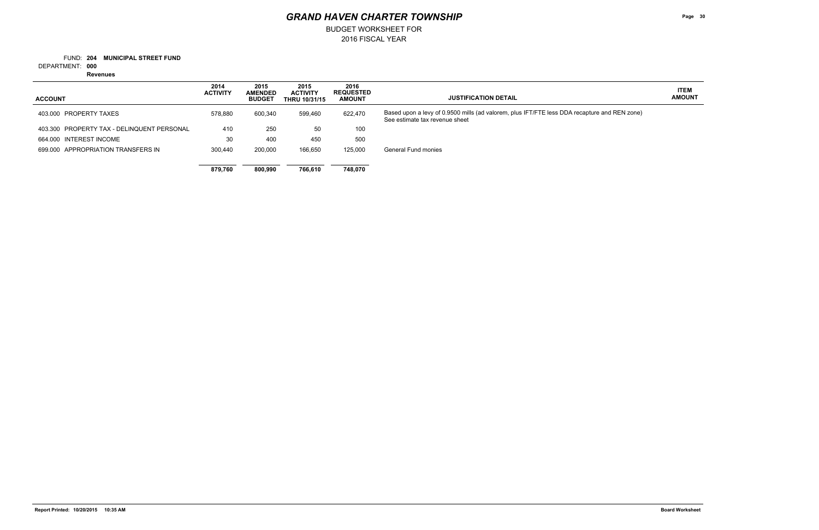BUDGET WORKSHEET FOR

**204 MUNICIPAL STREET FUND** FUND:

**000** DEPARTMENT:

**Revenues**

**Page 30**

### **ITEM AMOUNT**

and REN zone)

| <b>ACCOUNT</b>                             | 2014<br><b>ACTIVITY</b> | 2015<br><b>AMENDED</b><br><b>BUDGET</b> | 2015<br><b>ACTIVITY</b><br><b>THRU 10/31/15</b> | 2016<br><b>REQUESTED</b><br><b>AMOUNT</b> | <b>JUSTIFICATION DETAIL</b>                                                                                        |
|--------------------------------------------|-------------------------|-----------------------------------------|-------------------------------------------------|-------------------------------------------|--------------------------------------------------------------------------------------------------------------------|
| 403,000 PROPERTY TAXES                     | 578.880                 | 600,340                                 | 599,460                                         | 622,470                                   | Based upon a levy of 0.9500 mills (ad valorem, plus IFT/FTE less DDA recapture a<br>See estimate tax revenue sheet |
| 403.300 PROPERTY TAX - DELINQUENT PERSONAL | 410                     | 250                                     | 50                                              | 100                                       |                                                                                                                    |
| 664.000 INTEREST INCOME                    | 30                      | 400                                     | 450                                             | 500                                       |                                                                                                                    |
| 699,000 APPROPRIATION TRANSFERS IN         | 300.440                 | 200,000                                 | 166,650                                         | 125,000                                   | General Fund monies                                                                                                |
|                                            |                         |                                         |                                                 |                                           |                                                                                                                    |
|                                            | 879.760                 | 800.990                                 | 766.610                                         | 748.070                                   |                                                                                                                    |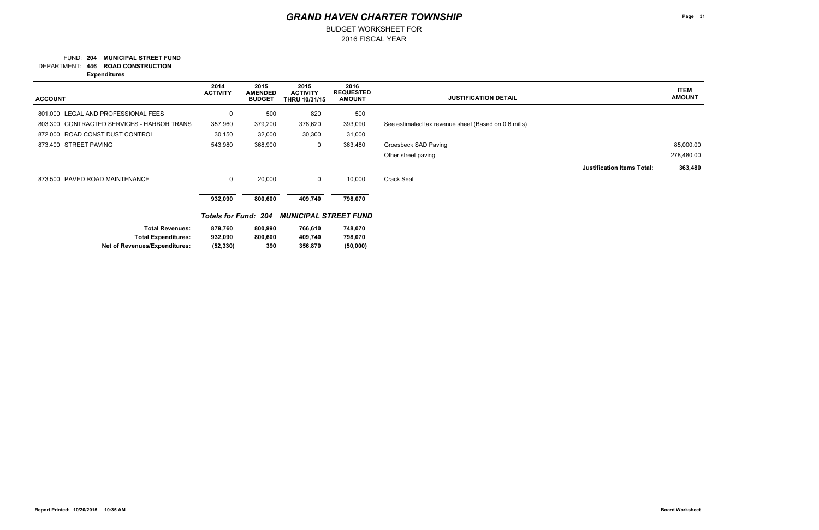BUDGET WORKSHEET FOR

### **204 MUNICIPAL STREET FUND** FUND:

**446 ROAD CONSTRUCTION** DEPARTMENT:

**Expenditures**

### **ITEM AMOUNT**

## *GRAND HAVEN CHARTER TOWNSHIP*

| <b>ACCOUNT</b>                             | 2014<br><b>ACTIVITY</b>     | 2015<br><b>AMENDED</b><br><b>BUDGET</b> | 2015<br><b>ACTIVITY</b><br><b>THRU 10/31/15</b> | 2016<br><b>REQUESTED</b><br><b>AMOUNT</b> | <b>JUSTIFICATION DETAIL</b>                          | <b>ITEM</b><br><b>AMOUNT</b> |
|--------------------------------------------|-----------------------------|-----------------------------------------|-------------------------------------------------|-------------------------------------------|------------------------------------------------------|------------------------------|
| 801.000 LEGAL AND PROFESSIONAL FEES        | 0                           | 500                                     | 820                                             | 500                                       |                                                      |                              |
| 803.300 CONTRACTED SERVICES - HARBOR TRANS | 357,960                     | 379,200                                 | 378,620                                         | 393,090                                   | See estimated tax revenue sheet (Based on 0.6 mills) |                              |
| 872.000 ROAD CONST DUST CONTROL            | 30,150                      | 32,000                                  | 30,300                                          | 31,000                                    |                                                      |                              |
| 873.400 STREET PAVING                      | 543,980                     | 368,900                                 | 0                                               | 363,480                                   | Groesbeck SAD Paving                                 | 85,000.00                    |
|                                            |                             |                                         |                                                 |                                           | Other street paving                                  | 278,480.00                   |
|                                            |                             |                                         |                                                 |                                           | <b>Justification Items Total:</b>                    | 363,480                      |
| 873.500 PAVED ROAD MAINTENANCE             | $\mathsf 0$                 | 20,000                                  | 0                                               | 10,000                                    | Crack Seal                                           |                              |
|                                            | 932,090                     | 800,600                                 | 409,740                                         | 798,070                                   |                                                      |                              |
|                                            | <b>Totals for Fund: 204</b> |                                         | <b>MUNICIPAL STREET FUND</b>                    |                                           |                                                      |                              |
| <b>Total Revenues:</b>                     | 879,760                     | 800,990                                 | 766,610                                         | 748,070                                   |                                                      |                              |
| <b>Total Expenditures:</b>                 | 932,090                     | 800,600                                 | 409,740                                         | 798,070                                   |                                                      |                              |
| Net of Revenues/Expenditures:              | (52, 330)                   | 390                                     | 356,870                                         | (50,000)                                  |                                                      |                              |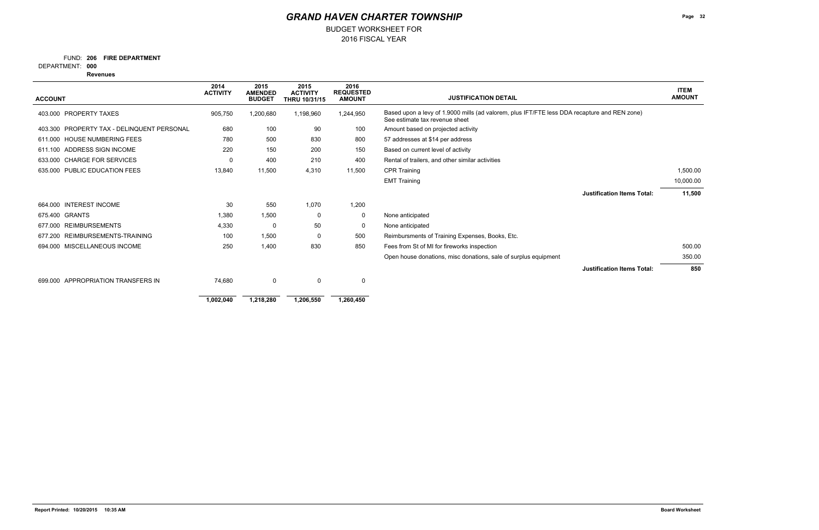FUND: 206 FIRE DEPARTMENT

BUDGET WORKSHEET FOR

**000** DEPARTMENT:

**Revenues**

|                                               | 2014<br><b>ACTIVITY</b> | 2015<br><b>AMENDED</b> | 2015<br><b>ACTIVITY</b> | 2016<br><b>REQUESTED</b> |                                                                                                                                | <b>ITEM</b><br><b>AMOUNT</b> |
|-----------------------------------------------|-------------------------|------------------------|-------------------------|--------------------------|--------------------------------------------------------------------------------------------------------------------------------|------------------------------|
| <b>ACCOUNT</b>                                |                         | <b>BUDGET</b>          | <b>THRU 10/31/15</b>    | <b>AMOUNT</b>            | <b>JUSTIFICATION DETAIL</b>                                                                                                    |                              |
| <b>PROPERTY TAXES</b><br>403.000              | 905,750                 | 1,200,680              | 1,198,960               | 1,244,950                | Based upon a levy of 1.9000 mills (ad valorem, plus IFT/FTE less DDA recapture and REN zone)<br>See estimate tax revenue sheet |                              |
| PROPERTY TAX - DELINQUENT PERSONAL<br>403.300 | 680                     | 100                    | 90                      | 100                      | Amount based on projected activity                                                                                             |                              |
| <b>HOUSE NUMBERING FEES</b><br>611.000        | 780                     | 500                    | 830                     | 800                      | 57 addresses at \$14 per address                                                                                               |                              |
| ADDRESS SIGN INCOME<br>611.100                | 220                     | 150                    | 200                     | 150                      | Based on current level of activity                                                                                             |                              |
| <b>CHARGE FOR SERVICES</b><br>633.000         | $\Omega$                | 400                    | 210                     | 400                      | Rental of trailers, and other similar activities                                                                               |                              |
| <b>PUBLIC EDUCATION FEES</b><br>635.000       | 13,840                  | 11,500                 | 4,310                   | 11,500                   | <b>CPR Training</b>                                                                                                            | 1,500.00                     |
|                                               |                         |                        |                         |                          | <b>EMT Training</b>                                                                                                            | 10,000.00                    |
|                                               |                         |                        |                         |                          | <b>Justification Items Total:</b>                                                                                              | 11,500                       |
| <b>INTEREST INCOME</b><br>664.000             | 30                      | 550                    | 1,070                   | 1,200                    |                                                                                                                                |                              |
| 675.400<br><b>GRANTS</b>                      | 1,380                   | 1,500                  | 0                       | 0                        | None anticipated                                                                                                               |                              |
| <b>REIMBURSEMENTS</b><br>677.000              | 4,330                   | -0                     | 50                      | 0                        | None anticipated                                                                                                               |                              |
| REIMBURSEMENTS-TRAINING<br>677.200            | 100                     | 1,500                  | 0                       | 500                      | Reimbursments of Training Expenses, Books, Etc.                                                                                |                              |
| MISCELLANEOUS INCOME<br>694.000               | 250                     | 1,400                  | 830                     | 850                      | Fees from St of MI for fireworks inspection                                                                                    | 500.00                       |
|                                               |                         |                        |                         |                          | Open house donations, misc donations, sale of surplus equipment                                                                | 350.00                       |
|                                               |                         |                        |                         |                          | <b>Justification Items Total:</b>                                                                                              | 850                          |
| APPROPRIATION TRANSFERS IN<br>699,000         | 74,680                  | $\mathbf 0$            | $\Omega$                | 0                        |                                                                                                                                |                              |
|                                               |                         |                        |                         |                          |                                                                                                                                |                              |
|                                               | 1,002,040               | 1,218,280              | 1,206,550               | 1,260,450                |                                                                                                                                |                              |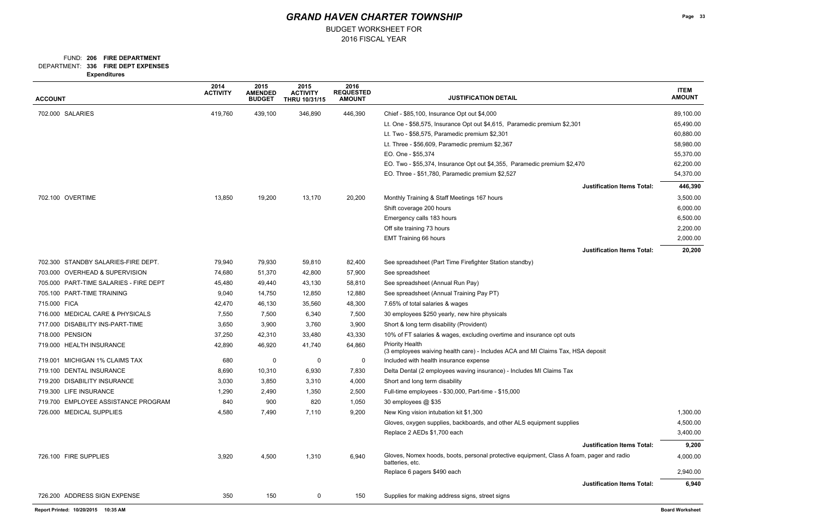### FUND: 206 FIRE DEPARTMENT

BUDGET WORKSHEET FOR

**336 FIRE DEPT EXPENSES** DEPARTMENT:

| <b>ACCOUNT</b>                         | 2014<br><b>ACTIVITY</b> | 2015<br><b>AMENDED</b><br><b>BUDGET</b> | 2015<br><b>ACTIVITY</b><br>THRU 10/31/15 | 2016<br><b>REQUESTED</b><br><b>AMOUNT</b> | <b>JUSTIFICATION DETAIL</b>                                                                                 | <b>ITEM</b><br><b>AMOUNT</b> |
|----------------------------------------|-------------------------|-----------------------------------------|------------------------------------------|-------------------------------------------|-------------------------------------------------------------------------------------------------------------|------------------------------|
| 702.000 SALARIES                       | 419,760                 | 439,100                                 | 346,890                                  | 446,390                                   | Chief - \$85,100, Insurance Opt out \$4,000                                                                 | 89,100.00                    |
|                                        |                         |                                         |                                          |                                           | Lt. One - \$58,575, Insurance Opt out \$4,615, Paramedic premium \$2,301                                    | 65,490.00                    |
|                                        |                         |                                         |                                          |                                           | Lt. Two - \$58,575, Paramedic premium \$2,301                                                               | 60,880.00                    |
|                                        |                         |                                         |                                          |                                           | Lt. Three - \$56,609, Paramedic premium \$2,367                                                             | 58,980.00                    |
|                                        |                         |                                         |                                          |                                           | EO. One - \$55,374                                                                                          | 55,370.00                    |
|                                        |                         |                                         |                                          |                                           | EO. Two - \$55,374, Insurance Opt out \$4,355, Paramedic premium \$2,470                                    | 62,200.00                    |
|                                        |                         |                                         |                                          |                                           | EO. Three - \$51,780, Paramedic premium \$2,527                                                             | 54,370.00                    |
|                                        |                         |                                         |                                          |                                           | <b>Justification Items Total:</b>                                                                           | 446,390                      |
| 702.100 OVERTIME                       | 13,850                  | 19,200                                  | 13,170                                   | 20,200                                    | Monthly Training & Staff Meetings 167 hours                                                                 | 3,500.00                     |
|                                        |                         |                                         |                                          |                                           | Shift coverage 200 hours                                                                                    | 6,000.00                     |
|                                        |                         |                                         |                                          |                                           | Emergency calls 183 hours                                                                                   | 6,500.00                     |
|                                        |                         |                                         |                                          |                                           | Off site training 73 hours                                                                                  | 2,200.00                     |
|                                        |                         |                                         |                                          |                                           | <b>EMT Training 66 hours</b>                                                                                | 2,000.00                     |
|                                        |                         |                                         |                                          |                                           | <b>Justification Items Total:</b>                                                                           | 20,200                       |
| 702.300 STANDBY SALARIES-FIRE DEPT.    | 79,940                  | 79,930                                  | 59,810                                   | 82,400                                    | See spreadsheet (Part Time Firefighter Station standby)                                                     |                              |
| 703.000 OVERHEAD & SUPERVISION         | 74,680                  | 51,370                                  | 42,800                                   | 57,900                                    | See spreadsheet                                                                                             |                              |
| 705.000 PART-TIME SALARIES - FIRE DEPT | 45,480                  | 49,440                                  | 43,130                                   | 58,810                                    | See spreadsheet (Annual Run Pay)                                                                            |                              |
| 705.100 PART-TIME TRAINING             | 9,040                   | 14,750                                  | 12,850                                   | 12,880                                    | See spreadsheet (Annual Training Pay PT)                                                                    |                              |
| 715.000 FICA                           | 42,470                  | 46,130                                  | 35,560                                   | 48,300                                    | 7.65% of total salaries & wages                                                                             |                              |
| 716.000 MEDICAL CARE & PHYSICALS       | 7,550                   | 7,500                                   | 6,340                                    | 7,500                                     | 30 employees \$250 yearly, new hire physicals                                                               |                              |
| 717.000 DISABILITY INS-PART-TIME       | 3,650                   | 3,900                                   | 3,760                                    | 3,900                                     | Short & long term disability (Provident)                                                                    |                              |
| 718.000 PENSION                        | 37,250                  | 42,310                                  | 33,480                                   | 43,330                                    | 10% of FT salaries & wages, excluding overtime and insurance opt outs                                       |                              |
| 719.000 HEALTH INSURANCE               | 42,890                  | 46,920                                  | 41,740                                   | 64,860                                    | <b>Priority Health</b><br>(3 employees waiving health care) - Includes ACA and MI Claims Tax, HSA deposit   |                              |
| 719.001 MICHIGAN 1% CLAIMS TAX         | 680                     | 0                                       | 0                                        | 0                                         | Included with health insurance expense                                                                      |                              |
| 719.100 DENTAL INSURANCE               | 8,690                   | 10,310                                  | 6,930                                    | 7,830                                     | Delta Dental (2 employees waving insurance) - Includes MI Claims Tax                                        |                              |
| 719.200 DISABILITY INSURANCE           | 3,030                   | 3,850                                   | 3,310                                    | 4,000                                     | Short and long term disability                                                                              |                              |
| 719.300 LIFE INSURANCE                 | 1,290                   | 2,490                                   | 1,350                                    | 2,500                                     | Full-time employees - \$30,000, Part-time - \$15,000                                                        |                              |
| 719.700 EMPLOYEE ASSISTANCE PROGRAM    | 840                     | 900                                     | 820                                      | 1,050                                     | 30 employees @ \$35                                                                                         |                              |
| 726.000 MEDICAL SUPPLIES               | 4,580                   | 7,490                                   | 7,110                                    | 9,200                                     | New King vision intubation kit \$1,300                                                                      | 1,300.00                     |
|                                        |                         |                                         |                                          |                                           | Gloves, oxygen supplies, backboards, and other ALS equipment supplies                                       | 4,500.00                     |
|                                        |                         |                                         |                                          |                                           | Replace 2 AEDs \$1,700 each                                                                                 | 3,400.00                     |
|                                        |                         |                                         |                                          |                                           | <b>Justification Items Total:</b>                                                                           | 9,200                        |
| 726.100 FIRE SUPPLIES                  | 3,920                   | 4,500                                   | 1,310                                    | 6,940                                     | Gloves, Nomex hoods, boots, personal protective equipment, Class A foam, pager and radio<br>batteries, etc. | 4,000.00                     |
|                                        |                         |                                         |                                          |                                           | Replace 6 pagers \$490 each                                                                                 | 2,940.00                     |
|                                        |                         |                                         |                                          |                                           | <b>Justification Items Total:</b>                                                                           | 6,940                        |
| 726.200 ADDRESS SIGN EXPENSE           | 350                     | 150                                     | $\mathbf{0}$                             | 150                                       | Supplies for making address signs, street signs                                                             |                              |
| Report Printed: 10/20/2015 10:35 AM    |                         |                                         |                                          |                                           |                                                                                                             | <b>Board Worksheet</b>       |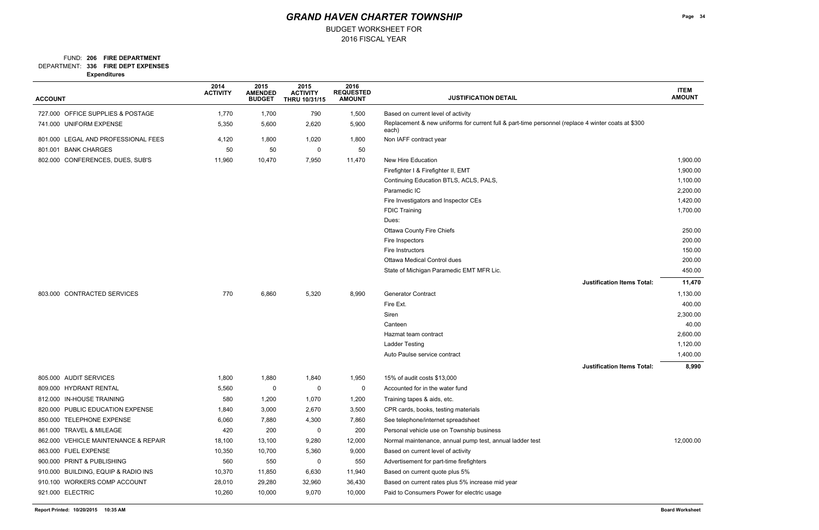### FUND: 206 FIRE DEPARTMENT

BUDGET WORKSHEET FOR

**336 FIRE DEPT EXPENSES** DEPARTMENT:

**Expenditures**

| <b>ACCOUNT</b>                       | 2014<br><b>ACTIVITY</b> | 2015<br><b>AMENDED</b><br><b>BUDGET</b> | 2015<br><b>ACTIVITY</b><br><b>THRU 10/31/15</b> | 2016<br><b>REQUESTED</b><br><b>AMOUNT</b> | <b>JUSTIFICATION DETAIL</b>                                                                                 | <b>ITEM</b><br><b>AMOUNT</b> |
|--------------------------------------|-------------------------|-----------------------------------------|-------------------------------------------------|-------------------------------------------|-------------------------------------------------------------------------------------------------------------|------------------------------|
| 727.000 OFFICE SUPPLIES & POSTAGE    | 1,770                   | 1,700                                   | 790                                             | 1,500                                     | Based on current level of activity                                                                          |                              |
| 741.000 UNIFORM EXPENSE              | 5,350                   | 5,600                                   | 2,620                                           | 5,900                                     | Replacement & new uniforms for current full & part-time personnel (replace 4 winter coats at \$300<br>each) |                              |
| 801.000 LEGAL AND PROFESSIONAL FEES  | 4,120                   | 1,800                                   | 1,020                                           | 1,800                                     | Non IAFF contract year                                                                                      |                              |
| 801.001 BANK CHARGES                 | 50                      | 50                                      | 0                                               | 50                                        |                                                                                                             |                              |
| 802.000 CONFERENCES, DUES, SUB'S     | 11,960                  | 10,470                                  | 7,950                                           | 11,470                                    | New Hire Education                                                                                          | 1,900.00                     |
|                                      |                         |                                         |                                                 |                                           | Firefighter I & Firefighter II, EMT                                                                         | 1,900.00                     |
|                                      |                         |                                         |                                                 |                                           | Continuing Education BTLS, ACLS, PALS,                                                                      | 1,100.00                     |
|                                      |                         |                                         |                                                 |                                           | Paramedic IC                                                                                                | 2,200.00                     |
|                                      |                         |                                         |                                                 |                                           | Fire Investigators and Inspector CEs                                                                        | 1,420.00                     |
|                                      |                         |                                         |                                                 |                                           | <b>FDIC Training</b>                                                                                        | 1,700.00                     |
|                                      |                         |                                         |                                                 |                                           | Dues:                                                                                                       |                              |
|                                      |                         |                                         |                                                 |                                           | <b>Ottawa County Fire Chiefs</b>                                                                            | 250.00                       |
|                                      |                         |                                         |                                                 |                                           | Fire Inspectors                                                                                             | 200.00                       |
|                                      |                         |                                         |                                                 |                                           | Fire Instructors                                                                                            | 150.00                       |
|                                      |                         |                                         |                                                 |                                           | Ottawa Medical Control dues                                                                                 | 200.00                       |
|                                      |                         |                                         |                                                 |                                           | State of Michigan Paramedic EMT MFR Lic.                                                                    | 450.00                       |
|                                      |                         |                                         |                                                 |                                           | <b>Justification Items Total:</b>                                                                           | 11,470                       |
| 803.000 CONTRACTED SERVICES          | 770                     | 6,860                                   | 5,320                                           | 8,990                                     | Generator Contract                                                                                          | 1,130.00                     |
|                                      |                         |                                         |                                                 |                                           | Fire Ext.                                                                                                   | 400.00                       |
|                                      |                         |                                         |                                                 |                                           | Siren                                                                                                       | 2,300.00                     |
|                                      |                         |                                         |                                                 |                                           | Canteen                                                                                                     | 40.00                        |
|                                      |                         |                                         |                                                 |                                           | Hazmat team contract                                                                                        | 2,600.00                     |
|                                      |                         |                                         |                                                 |                                           | <b>Ladder Testing</b>                                                                                       | 1,120.00                     |
|                                      |                         |                                         |                                                 |                                           | Auto Paulse service contract                                                                                | 1,400.00                     |
|                                      |                         |                                         |                                                 |                                           | <b>Justification Items Total:</b>                                                                           | 8,990                        |
| 805.000 AUDIT SERVICES               | 1,800                   | 1,880                                   | 1,840                                           | 1,950                                     | 15% of audit costs \$13,000                                                                                 |                              |
| 809.000 HYDRANT RENTAL               | 5,560                   | 0                                       | 0                                               | 0                                         | Accounted for in the water fund                                                                             |                              |
| 812.000 IN-HOUSE TRAINING            | 580                     | 1,200                                   | 1,070                                           | 1,200                                     | Training tapes & aids, etc.                                                                                 |                              |
| 820.000 PUBLIC EDUCATION EXPENSE     | 1,840                   | 3,000                                   | 2,670                                           | 3,500                                     | CPR cards, books, testing materials                                                                         |                              |
| 850.000 TELEPHONE EXPENSE            | 6,060                   | 7,880                                   | 4,300                                           | 7,860                                     | See telephone/internet spreadsheet                                                                          |                              |
| 861.000 TRAVEL & MILEAGE             | 420                     | 200                                     | -0                                              | 200                                       | Personal vehicle use on Township business                                                                   |                              |
| 862.000 VEHICLE MAINTENANCE & REPAIR | 18,100                  | 13,100                                  | 9,280                                           | 12,000                                    | Normal maintenance, annual pump test, annual ladder test                                                    | 12,000.00                    |
| 863.000 FUEL EXPENSE                 | 10,350                  | 10,700                                  | 5,360                                           | 9,000                                     | Based on current level of activity                                                                          |                              |
| 900.000 PRINT & PUBLISHING           | 560                     | 550                                     | 0                                               | 550                                       | Advertisement for part-time firefighters                                                                    |                              |
| 910.000 BUILDING, EQUIP & RADIO INS  | 10,370                  | 11,850                                  | 6,630                                           | 11,940                                    | Based on current quote plus 5%                                                                              |                              |
| 910.100 WORKERS COMP ACCOUNT         | 28,010                  | 29,280                                  | 32,960                                          | 36,430                                    | Based on current rates plus 5% increase mid year                                                            |                              |
| 921.000 ELECTRIC                     | 10,260                  | 10,000                                  | 9,070                                           | 10,000                                    | Paid to Consumers Power for electric usage                                                                  |                              |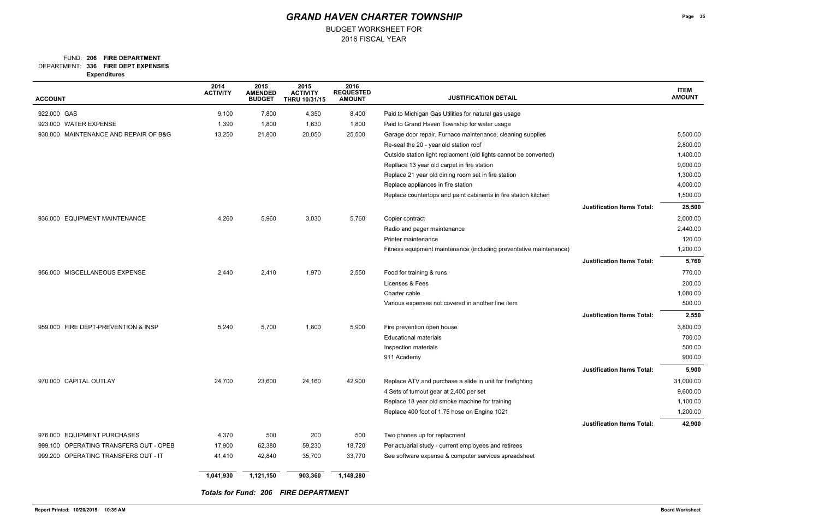### FUND: 206 FIRE DEPARTMENT

BUDGET WORKSHEET FOR

**336 FIRE DEPT EXPENSES** DEPARTMENT:

**Expenditures**

| <b>ACCOUNT</b>                         | 2014<br><b>ACTIVITY</b> | 2015<br><b>AMENDED</b><br><b>BUDGET</b> | 2015<br><b>ACTIVITY</b><br>THRU 10/31/15    | 2016<br><b>REQUESTED</b><br><b>AMOUNT</b> | <b>JUSTIFICATION DETAIL</b>                                        |                                   | <b>ITEM</b><br><b>AMOUNT</b> |
|----------------------------------------|-------------------------|-----------------------------------------|---------------------------------------------|-------------------------------------------|--------------------------------------------------------------------|-----------------------------------|------------------------------|
| 922.000 GAS                            | 9,100                   | 7,800                                   | 4,350                                       | 8,400                                     | Paid to Michigan Gas Utilities for natural gas usage               |                                   |                              |
| 923.000 WATER EXPENSE                  | 1,390                   | 1,800                                   | 1,630                                       | 1,800                                     | Paid to Grand Haven Township for water usage                       |                                   |                              |
| 930.000 MAINTENANCE AND REPAIR OF B&G  | 13,250                  | 21,800                                  | 20,050                                      | 25,500                                    | Garage door repair, Furnace maintenance, cleaning supplies         |                                   | 5,500.00                     |
|                                        |                         |                                         |                                             |                                           | Re-seal the 20 - year old station roof                             |                                   | 2,800.00                     |
|                                        |                         |                                         |                                             |                                           | Outside station light replacment (old lights cannot be converted)  |                                   | 1,400.00                     |
|                                        |                         |                                         |                                             |                                           | Repllace 13 year old carpet in fire station                        |                                   | 9,000.00                     |
|                                        |                         |                                         |                                             |                                           | Replace 21 year old dining room set in fire station                |                                   | 1,300.00                     |
|                                        |                         |                                         |                                             |                                           | Replace appliances in fire station                                 |                                   | 4,000.00                     |
|                                        |                         |                                         |                                             |                                           | Replace countertops and paint cabinents in fire station kitchen    |                                   | 1,500.00                     |
|                                        |                         |                                         |                                             |                                           |                                                                    | <b>Justification Items Total:</b> | 25,500                       |
| 936.000 EQUIPMENT MAINTENANCE          | 4,260                   | 5,960                                   | 3,030                                       | 5,760                                     | Copier contract                                                    |                                   | 2,000.00                     |
|                                        |                         |                                         |                                             |                                           | Radio and pager maintenance                                        |                                   | 2,440.00                     |
|                                        |                         |                                         |                                             |                                           | Printer maintenance                                                |                                   | 120.00                       |
|                                        |                         |                                         |                                             |                                           | Fitness equipment maintenance (including preventative maintenance) |                                   | 1,200.00                     |
|                                        |                         |                                         |                                             |                                           |                                                                    | <b>Justification Items Total:</b> | 5,760                        |
| 956.000 MISCELLANEOUS EXPENSE          | 2,440                   | 2,410                                   | 1,970                                       | 2,550                                     | Food for training & runs                                           |                                   | 770.00                       |
|                                        |                         |                                         |                                             |                                           | Licenses & Fees                                                    |                                   | 200.00                       |
|                                        |                         |                                         |                                             |                                           | Charter cable                                                      |                                   | 1,080.00                     |
|                                        |                         |                                         |                                             |                                           | Various expenses not covered in another line item                  |                                   | 500.00                       |
|                                        |                         |                                         |                                             |                                           |                                                                    | <b>Justification Items Total:</b> | 2,550                        |
| 959.000 FIRE DEPT-PREVENTION & INSP    | 5,240                   | 5,700                                   | 1,800                                       | 5,900                                     | Fire prevention open house                                         |                                   | 3,800.00                     |
|                                        |                         |                                         |                                             |                                           | <b>Educational materials</b>                                       |                                   | 700.00                       |
|                                        |                         |                                         |                                             |                                           | Inspection materials                                               |                                   | 500.00                       |
|                                        |                         |                                         |                                             |                                           | 911 Academy                                                        |                                   | 900.00                       |
|                                        |                         |                                         |                                             |                                           |                                                                    | <b>Justification Items Total:</b> | 5,900                        |
| 970.000 CAPITAL OUTLAY                 | 24,700                  | 23,600                                  | 24,160                                      | 42,900                                    | Replace ATV and purchase a slide in unit for firefighting          |                                   | 31,000.00                    |
|                                        |                         |                                         |                                             |                                           | 4 Sets of turnout gear at 2,400 per set                            |                                   | 9,600.00                     |
|                                        |                         |                                         |                                             |                                           | Replace 18 year old smoke machine for training                     |                                   | 1,100.00                     |
|                                        |                         |                                         |                                             |                                           | Replace 400 foot of 1.75 hose on Engine 1021                       |                                   | 1,200.00                     |
|                                        |                         |                                         |                                             |                                           |                                                                    | <b>Justification Items Total:</b> | 42,900                       |
| 976.000 EQUIPMENT PURCHASES            | 4,370                   | 500                                     | 200                                         | 500                                       | Two phones up for replacment                                       |                                   |                              |
| 999.100 OPERATING TRANSFERS OUT - OPEB | 17,900                  | 62,380                                  | 59,230                                      | 18,720                                    | Per actuarial study - current employees and retirees               |                                   |                              |
| 999.200 OPERATING TRANSFERS OUT - IT   | 41,410                  | 42,840                                  | 35,700                                      | 33,770                                    | See software expense & computer services spreadsheet               |                                   |                              |
|                                        | 1,041,930               | 1,121,150                               | 903,360                                     | 1,148,280                                 |                                                                    |                                   |                              |
|                                        |                         |                                         | <b>Totals for Fund: 206 FIRE DEPARTMENT</b> |                                           |                                                                    |                                   |                              |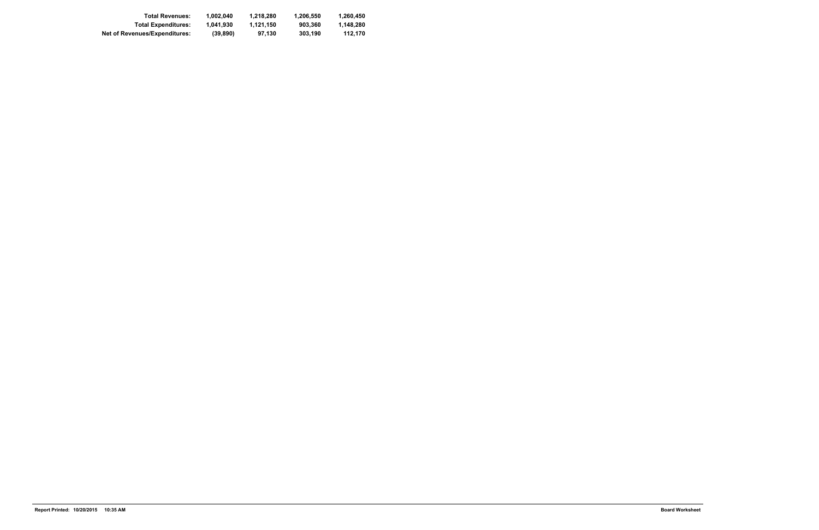| <b>Total Revenues:</b>        | 1.002.040 | 1.218.280 | 1.206.550 | 1.260.450 |
|-------------------------------|-----------|-----------|-----------|-----------|
| <b>Total Expenditures:</b>    | 1.041.930 | 1.121.150 | 903.360   | 1.148.280 |
| Net of Revenues/Expenditures: | (39, 890) | 97.130    | 303.190   | 112.170   |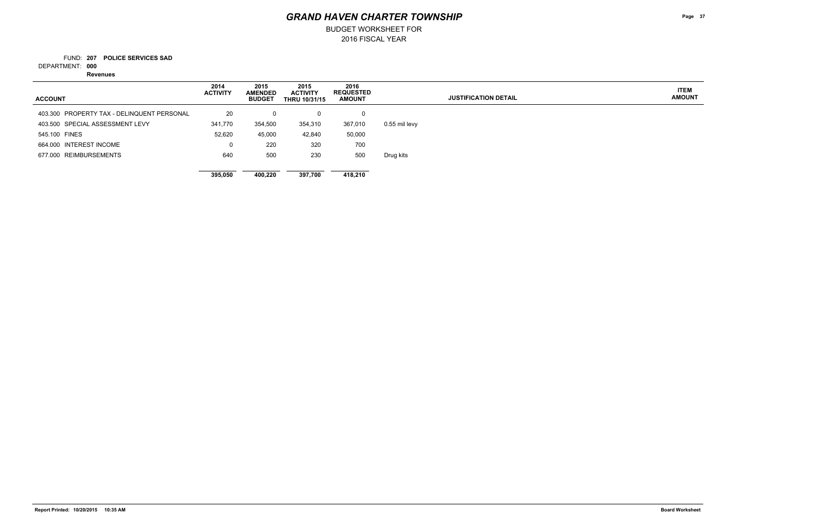BUDGET WORKSHEET FOR

**207 POLICE SERVICES SAD** FUND:

**000** DEPARTMENT:

**Revenues**

**Page 37**

**ITEM AMOUNT**

| <b>ACCOUNT</b>                             | 2014<br><b>ACTIVITY</b> | 2015<br><b>AMENDED</b><br><b>BUDGET</b> | 2015<br><b>ACTIVITY</b><br><b>THRU 10/31/15</b> | 2016<br><b>REQUESTED</b><br><b>AMOUNT</b> | <b>JUSTIFICATION DETAIL</b> |
|--------------------------------------------|-------------------------|-----------------------------------------|-------------------------------------------------|-------------------------------------------|-----------------------------|
| 403.300 PROPERTY TAX - DELINQUENT PERSONAL | 20                      | 0                                       | 0                                               | 0                                         |                             |
| 403.500 SPECIAL ASSESSMENT LEVY            | 341,770                 | 354,500                                 | 354,310                                         | 367,010                                   | 0.55 mil levy               |
| 545.100 FINES                              | 52,620                  | 45,000                                  | 42,840                                          | 50,000                                    |                             |
| 664.000 INTEREST INCOME                    | 0                       | 220                                     | 320                                             | 700                                       |                             |
| 677.000 REIMBURSEMENTS                     | 640                     | 500                                     | 230                                             | 500                                       | Drug kits                   |
|                                            | 395,050                 | 400.220                                 | 397,700                                         | 418,210                                   |                             |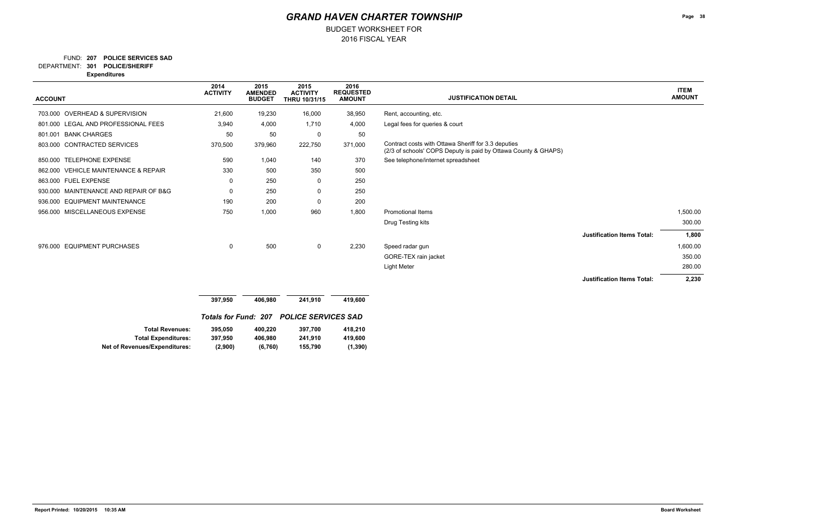BUDGET WORKSHEET FOR

### **207 POLICE SERVICES SAD** FUND:

**301 POLICE/SHERIFF** DEPARTMENT:

**Expenditures**

| <b>ACCOUNT</b>                                     | 2014<br><b>ACTIVITY</b>     | 2015<br><b>AMENDED</b><br><b>BUDGET</b> | 2015<br><b>ACTIVITY</b><br>THRU 10/31/15 | 2016<br><b>REQUESTED</b><br><b>AMOUNT</b> | <b>JUSTIFICATION DETAIL</b>                                                                                           | <b>ITEM</b><br><b>AMOUNT</b> |
|----------------------------------------------------|-----------------------------|-----------------------------------------|------------------------------------------|-------------------------------------------|-----------------------------------------------------------------------------------------------------------------------|------------------------------|
|                                                    |                             |                                         |                                          |                                           |                                                                                                                       |                              |
| 703.000 OVERHEAD & SUPERVISION                     | 21,600                      | 19,230                                  | 16,000                                   | 38,950                                    | Rent, accounting, etc.                                                                                                |                              |
| 801.000 LEGAL AND PROFESSIONAL FEES                | 3,940                       | 4,000                                   | 1,710                                    | 4,000                                     | Legal fees for queries & court                                                                                        |                              |
| <b>BANK CHARGES</b><br>801.001                     | 50                          | 50                                      | 0                                        | 50                                        |                                                                                                                       |                              |
| <b>CONTRACTED SERVICES</b><br>803.000              | 370,500                     | 379,960                                 | 222,750                                  | 371,000                                   | Contract costs with Ottawa Sheriff for 3.3 deputies<br>(2/3 of schools' COPS Deputy is paid by Ottawa County & GHAPS) |                              |
| 850.000 TELEPHONE EXPENSE                          | 590                         | 1,040                                   | 140                                      | 370                                       | See telephone/internet spreadsheet                                                                                    |                              |
| <b>VEHICLE MAINTENANCE &amp; REPAIR</b><br>862.000 | 330                         | 500                                     | 350                                      | 500                                       |                                                                                                                       |                              |
| 863.000 FUEL EXPENSE                               | 0                           | 250                                     | 0                                        | 250                                       |                                                                                                                       |                              |
| 930.000 MAINTENANCE AND REPAIR OF B&G              | 0                           | 250                                     | 0                                        | 250                                       |                                                                                                                       |                              |
| 936.000 EQUIPMENT MAINTENANCE                      | 190                         | 200                                     | 0                                        | 200                                       |                                                                                                                       |                              |
| MISCELLANEOUS EXPENSE<br>956.000                   | 750                         | 1,000                                   | 960                                      | 1,800                                     | <b>Promotional Items</b>                                                                                              | 1,500.00                     |
|                                                    |                             |                                         |                                          |                                           | Drug Testing kits                                                                                                     | 300.00                       |
|                                                    |                             |                                         |                                          |                                           | <b>Justification Items Total:</b>                                                                                     | 1,800                        |
| 976.000 EQUIPMENT PURCHASES                        | 0                           | 500                                     | $\mathbf 0$                              | 2,230                                     | Speed radar gun                                                                                                       | 1,600.00                     |
|                                                    |                             |                                         |                                          |                                           | GORE-TEX rain jacket                                                                                                  | 350.00                       |
|                                                    |                             |                                         |                                          |                                           | <b>Light Meter</b>                                                                                                    | 280.00                       |
|                                                    |                             |                                         |                                          |                                           | <b>Justification Items Total:</b>                                                                                     | 2,230                        |
|                                                    |                             |                                         |                                          |                                           |                                                                                                                       |                              |
|                                                    | 397,950                     | 406,980                                 | 241,910                                  | 419,600                                   |                                                                                                                       |                              |
|                                                    | <b>Totals for Fund: 207</b> |                                         | <b>POLICE SERVICES SAD</b>               |                                           |                                                                                                                       |                              |

| <b>Total Revenues:</b>               | 395,050 | 400.220 | 397.700 | 418.210  |
|--------------------------------------|---------|---------|---------|----------|
| <b>Total Expenditures:</b>           | 397.950 | 406.980 | 241.910 | 419.600  |
| <b>Net of Revenues/Expenditures:</b> | (2,900) | (6,760) | 155.790 | (1, 390) |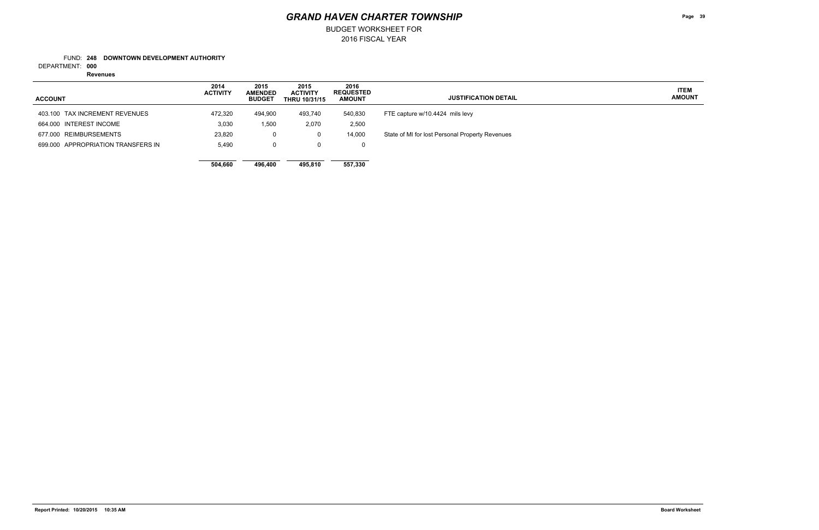2016 FISCAL YEAR BUDGET WORKSHEET FOR

### **248 DOWNTOWN DEVELOPMENT AUTHORITY** FUND:

**000** DEPARTMENT:

**Revenues**

**Page 39**

**ITEM AMOUNT**

| <b>ACCOUNT</b>                     | 2014<br><b>ACTIVITY</b> | 2015<br><b>AMENDED</b><br><b>BUDGET</b> | 2015<br><b>ACTIVITY</b><br><b>THRU 10/31/15</b> | 2016<br><b>REQUESTED</b><br><b>AMOUNT</b> | <b>JUSTIFICATION DETAIL</b>                     |
|------------------------------------|-------------------------|-----------------------------------------|-------------------------------------------------|-------------------------------------------|-------------------------------------------------|
| 403.100 TAX INCREMENT REVENUES     | 472,320                 | 494,900                                 | 493,740                                         | 540,830                                   | FTE capture w/10.4424 mils levy                 |
| 664.000 INTEREST INCOME            | 3,030                   | 1,500                                   | 2,070                                           | 2,500                                     |                                                 |
| 677.000 REIMBURSEMENTS             | 23,820                  | 0                                       | 0                                               | 14,000                                    | State of MI for lost Personal Property Revenues |
| 699,000 APPROPRIATION TRANSFERS IN | 5,490                   | 0                                       | $\mathbf{0}$                                    | 0                                         |                                                 |
|                                    |                         |                                         |                                                 |                                           |                                                 |
|                                    | 504,660                 | 496,400                                 | 495,810                                         | 557,330                                   |                                                 |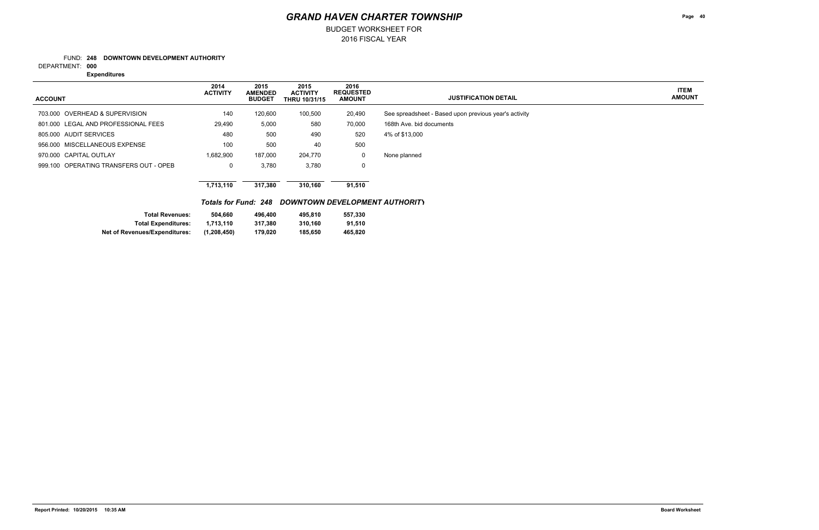2016 FISCAL YEAR BUDGET WORKSHEET FOR

### **248 DOWNTOWN DEVELOPMENT AUTHORITY** FUND:

**000** DEPARTMENT:

**Expenditures**

**Page 40**

**ITEM AMOUNT**

### *GRAND HAVEN CHARTER TOWNSHIP*

| <b>ACCOUNT</b>                         | 2014<br><b>ACTIVITY</b> | 2015<br><b>AMENDED</b><br><b>BUDGET</b> | 2015<br><b>ACTIVITY</b><br><b>THRU 10/31/15</b> | 2016<br><b>REQUESTED</b><br><b>AMOUNT</b> | <b>JUSTIFICATION DETAIL</b>                           |
|----------------------------------------|-------------------------|-----------------------------------------|-------------------------------------------------|-------------------------------------------|-------------------------------------------------------|
|                                        |                         |                                         |                                                 |                                           |                                                       |
| 703.000 OVERHEAD & SUPERVISION         | 140                     | 120,600                                 | 100,500                                         | 20,490                                    | See spreadsheet - Based upon previous year's activity |
| 801.000 LEGAL AND PROFESSIONAL FEES    | 29,490                  | 5,000                                   | 580                                             | 70,000                                    | 168th Ave. bid documents                              |
| 805,000 AUDIT SERVICES                 | 480                     | 500                                     | 490                                             | 520                                       | 4% of \$13,000                                        |
| 956.000 MISCELLANEOUS EXPENSE          | 100                     | 500                                     | 40                                              | 500                                       |                                                       |
| 970.000 CAPITAL OUTLAY                 | 1,682,900               | 187,000                                 | 204,770                                         | 0                                         | None planned                                          |
| 999.100 OPERATING TRANSFERS OUT - OPEB | 0                       | 3,780                                   | 3,780                                           | 0                                         |                                                       |
|                                        |                         |                                         |                                                 |                                           |                                                       |
|                                        | 1,713,110               | 317,380                                 | 310.160                                         | 91,510                                    |                                                       |

### *Totals for Fund: 248 DOWNTOWN DEVELOPMENT AUTHORITY*

| <b>Total Revenues:</b>               | 504.660       | 496.400 | 495.810 | 557.330 |
|--------------------------------------|---------------|---------|---------|---------|
| <b>Total Expenditures:</b>           | 1.713.110     | 317.380 | 310.160 | 91.510  |
| <b>Net of Revenues/Expenditures:</b> | (1, 208, 450) | 179.020 | 185.650 | 465.820 |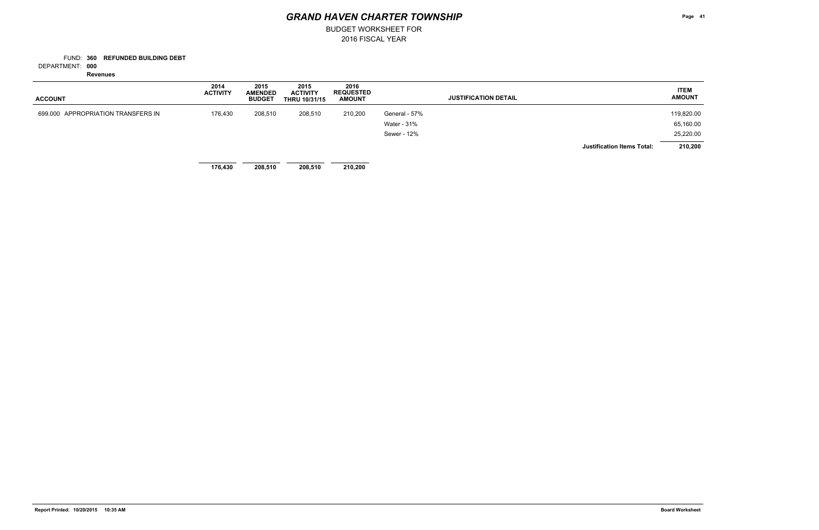BUDGET WORKSHEET FOR

**360 REFUNDED BUILDING DEBT** FUND:

**000** DEPARTMENT:

**Revenues**

| <b>ACCOUNT</b>                     | 2014<br><b>ACTIVITY</b> | 2015<br><b>AMENDED</b><br><b>BUDGET</b> | 2015<br><b>ACTIVITY</b><br><b>THRU 10/31/15</b> | 2016<br><b>REQUESTED</b><br><b>AMOUNT</b> |               | <b>JUSTIFICATION DETAIL</b> |                                   | <b>ITEM</b><br><b>AMOUNT</b> |
|------------------------------------|-------------------------|-----------------------------------------|-------------------------------------------------|-------------------------------------------|---------------|-----------------------------|-----------------------------------|------------------------------|
| 699.000 APPROPRIATION TRANSFERS IN | 176,430                 | 208,510                                 | 208,510                                         | 210,200                                   | General - 57% |                             |                                   | 119,820.00                   |
|                                    |                         |                                         |                                                 |                                           | Water - 31%   |                             |                                   | 65,160.00                    |
|                                    |                         |                                         |                                                 |                                           | Sewer - 12%   |                             |                                   | 25,220.00                    |
|                                    |                         |                                         |                                                 |                                           |               |                             | <b>Justification Items Total:</b> | 210,200                      |
|                                    | 176,430                 | 208,510                                 | 208,510                                         | 210,200                                   |               |                             |                                   |                              |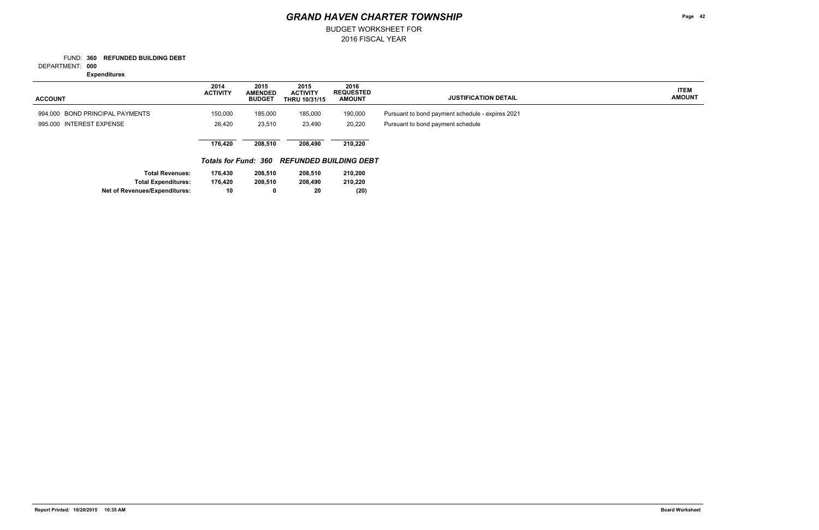2016 FISCAL YEAR BUDGET WORKSHEET FOR

**360 REFUNDED BUILDING DEBT** FUND:

**000** DEPARTMENT:

**Expenditures**

**Page 42**

**ITEM AMOUNT**

| <b>ACCOUNT</b>                       | 2014<br><b>ACTIVITY</b> | 2015<br><b>AMENDED</b><br><b>BUDGET</b> | 2015<br><b>ACTIVITY</b><br><b>THRU 10/31/15</b> | 2016<br><b>REQUESTED</b><br><b>AMOUNT</b>   | <b>JUSTIFICATION DETAIL</b>                      |
|--------------------------------------|-------------------------|-----------------------------------------|-------------------------------------------------|---------------------------------------------|--------------------------------------------------|
| 994.000 BOND PRINCIPAL PAYMENTS      | 150,000                 | 185,000                                 | 185,000                                         | 190,000                                     | Pursuant to bond payment schedule - expires 2021 |
| 995,000 INTEREST EXPENSE             | 26,420                  | 23,510                                  | 23,490                                          | 20,220                                      | Pursuant to bond payment schedule                |
|                                      | 176,420                 | 208,510                                 | 208,490                                         | 210,220                                     |                                                  |
|                                      |                         |                                         |                                                 | Totals for Fund: 360 REFUNDED BUILDING DEBT |                                                  |
| <b>Total Revenues:</b>               | 176,430                 | 208,510                                 | 208,510                                         | 210,200                                     |                                                  |
| <b>Total Expenditures:</b>           | 176,420                 | 208,510                                 | 208,490                                         | 210,220                                     |                                                  |
| <b>Net of Revenues/Expenditures:</b> | 10                      | $\mathbf 0$                             | 20                                              | (20)                                        |                                                  |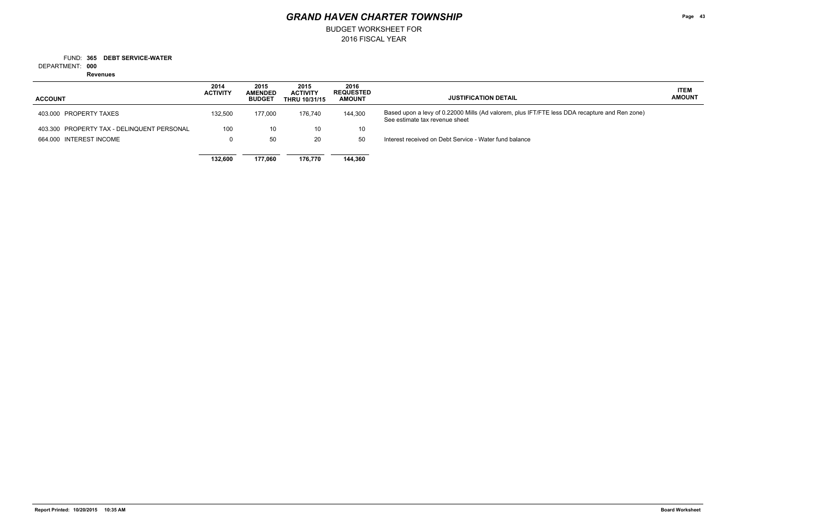BUDGET WORKSHEET FOR

**365 DEBT SERVICE-WATER** FUND:

**000** DEPARTMENT:

**Revenues**

**Page 43**

### **ITEM AMOUNT**

and Ren zone)

| <b>ACCOUNT</b>                             | 2014<br><b>ACTIVITY</b> | 2015<br><b>AMENDED</b><br><b>BUDGET</b> | 2015<br><b>ACTIVITY</b><br><b>THRU 10/31/15</b> | 2016<br><b>REQUESTED</b><br><b>AMOUNT</b> | <b>JUSTIFICATION DETAIL</b>                                                                                       |
|--------------------------------------------|-------------------------|-----------------------------------------|-------------------------------------------------|-------------------------------------------|-------------------------------------------------------------------------------------------------------------------|
| 403,000 PROPERTY TAXES                     | 132,500                 | 177.000                                 | 176.740                                         | 144,300                                   | Based upon a levy of 0.22000 Mills (Ad valorem, plus IFT/FTE less DDA recapture<br>See estimate tax revenue sheet |
| 403.300 PROPERTY TAX - DELINQUENT PERSONAL | 100                     | 10                                      | 10                                              | 10                                        |                                                                                                                   |
| 664.000 INTEREST INCOME                    |                         | 50                                      | 20                                              | 50                                        | Interest received on Debt Service - Water fund balance                                                            |
|                                            | 132.600                 | 177.060                                 | 176.770                                         | 144,360                                   |                                                                                                                   |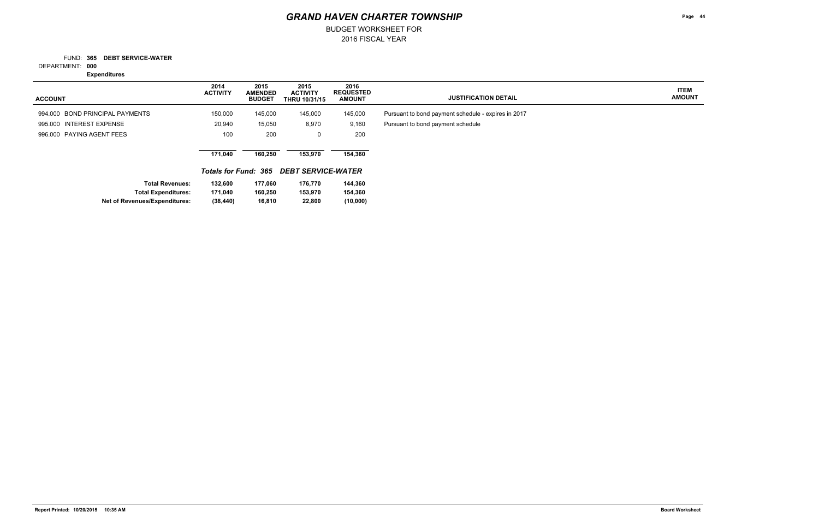2016 FISCAL YEAR BUDGET WORKSHEET FOR

**365 DEBT SERVICE-WATER** FUND:

**000** DEPARTMENT:

**Expenditures**

**Page 44**

**ITEM AMOUNT**

| <b>ACCOUNT</b>                       | 2014<br><b>ACTIVITY</b> | 2015<br><b>AMENDED</b><br><b>BUDGET</b> | 2015<br><b>ACTIVITY</b><br><b>THRU 10/31/15</b> | 2016<br><b>REQUESTED</b><br><b>AMOUNT</b> | <b>JUSTIFICATION DETAIL</b>                         |
|--------------------------------------|-------------------------|-----------------------------------------|-------------------------------------------------|-------------------------------------------|-----------------------------------------------------|
| 994.000 BOND PRINCIPAL PAYMENTS      | 150,000                 | 145,000                                 | 145,000                                         | 145,000                                   | Pursuant to bond payment schedule - expires in 2017 |
| 995.000 INTEREST EXPENSE             | 20,940                  | 15,050                                  | 8,970                                           | 9,160                                     | Pursuant to bond payment schedule                   |
| 996,000 PAYING AGENT FEES            | 100                     | 200                                     | 0                                               | 200                                       |                                                     |
|                                      | 171.040                 | 160,250                                 | 153.970                                         | 154,360                                   |                                                     |
|                                      |                         |                                         | <b>Totals for Fund: 365 DEBT SERVICE-WATER</b>  |                                           |                                                     |
| <b>Total Revenues:</b>               | 132,600                 | 177,060                                 | 176,770                                         | 144,360                                   |                                                     |
| <b>Total Expenditures:</b>           | 171,040                 | 160,250                                 | 153,970                                         | 154,360                                   |                                                     |
| <b>Net of Revenues/Expenditures:</b> | (38, 440)               | 16,810                                  | 22,800                                          | (10,000)                                  |                                                     |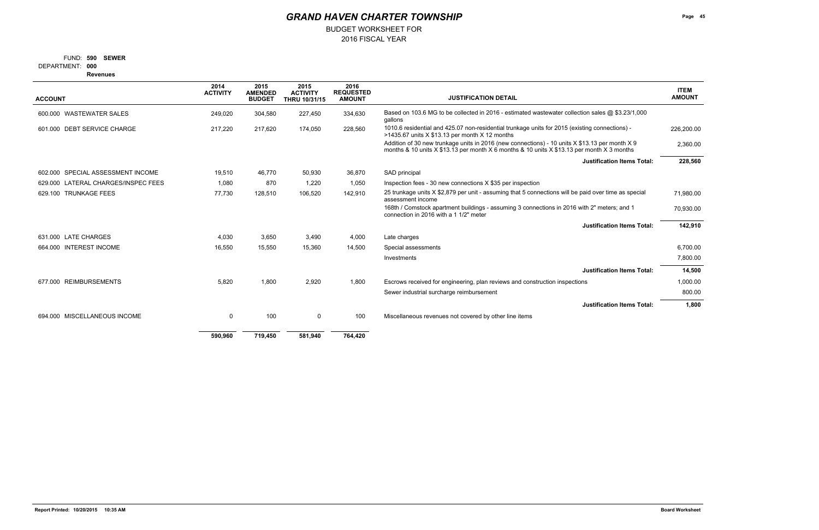## BUDGET WORKSHEET FOR

### **590 SEWER** FUND:

**000** DEPARTMENT:

**Revenues**

|                                        | 2014<br><b>ACTIVITY</b> | 2015<br><b>AMENDED</b> | 2015<br><b>ACTIVITY</b> | 2016<br><b>REQUESTED</b> |                                                                                                                                                                                              | <b>ITEM</b>   |
|----------------------------------------|-------------------------|------------------------|-------------------------|--------------------------|----------------------------------------------------------------------------------------------------------------------------------------------------------------------------------------------|---------------|
| <b>ACCOUNT</b>                         |                         | <b>BUDGET</b>          | THRU 10/31/15           | <b>AMOUNT</b>            | <b>JUSTIFICATION DETAIL</b>                                                                                                                                                                  | <b>AMOUNT</b> |
| 600,000 WASTEWATER SALES               | 249,020                 | 304,580                | 227,450                 | 334,630                  | Based on 103.6 MG to be collected in 2016 - estimated wastewater collection sales @ \$3.23/1,000<br>gallons                                                                                  |               |
| 601.000 DEBT SERVICE CHARGE            | 217,220                 | 217.620                | 174,050                 | 228,560                  | 1010.6 residential and 425.07 non-residential trunkage units for 2015 (existing connections) -<br>>1435.67 units $X $13.13$ per month $X 12$ months                                          | 226,200.00    |
|                                        |                         |                        |                         |                          | Addition of 30 new trunkage units in 2016 (new connections) - 10 units X \$13.13 per month X 9<br>months & 10 units X \$13.13 per month X 6 months & 10 units X \$13.13 per month X 3 months | 2,360.00      |
|                                        |                         |                        |                         |                          | <b>Justification Items Total:</b>                                                                                                                                                            | 228,560       |
| 602.000 SPECIAL ASSESSMENT INCOME      | 19,510                  | 46.770                 | 50,930                  | 36,870                   | SAD principal                                                                                                                                                                                |               |
| LATERAL CHARGES/INSPEC FEES<br>629.000 | 1,080                   | 870                    | 1,220                   | 1,050                    | Inspection fees - 30 new connections X \$35 per inspection                                                                                                                                   |               |
| <b>TRUNKAGE FEES</b><br>629.100        | 77,730                  | 128,510                | 106,520                 | 142,910                  | 25 trunkage units X \$2,879 per unit - assuming that 5 connections will be paid over time as special<br>assessment income                                                                    | 71,980.00     |
|                                        |                         |                        |                         |                          | 168th / Comstock apartment buildings - assuming 3 connections in 2016 with 2" meters; and 1<br>connection in 2016 with a 1 1/2" meter                                                        | 70,930.00     |
|                                        |                         |                        |                         |                          | <b>Justification Items Total:</b>                                                                                                                                                            | 142,910       |
| 631.000 LATE CHARGES                   | 4,030                   | 3,650                  | 3,490                   | 4,000                    | Late charges                                                                                                                                                                                 |               |
| <b>INTEREST INCOME</b><br>664.000      | 16,550                  | 15,550                 | 15,360                  | 14,500                   | Special assessments                                                                                                                                                                          | 6,700.00      |
|                                        |                         |                        |                         |                          | Investments                                                                                                                                                                                  | 7,800.00      |
|                                        |                         |                        |                         |                          | <b>Justification Items Total:</b>                                                                                                                                                            | 14,500        |
| <b>REIMBURSEMENTS</b><br>677.000       | 5,820                   | 1,800                  | 2,920                   | 1,800                    | Escrows received for engineering, plan reviews and construction inspections                                                                                                                  | 1,000.00      |
|                                        |                         |                        |                         |                          | Sewer industrial surcharge reimbursement                                                                                                                                                     | 800.00        |
|                                        |                         |                        |                         |                          | <b>Justification Items Total:</b>                                                                                                                                                            | 1,800         |
| MISCELLANEOUS INCOME<br>694.000        | 0                       | 100                    | 0                       | 100                      | Miscellaneous revenues not covered by other line items                                                                                                                                       |               |
|                                        | 590,960                 | 719,450                | 581,940                 | 764,420                  |                                                                                                                                                                                              |               |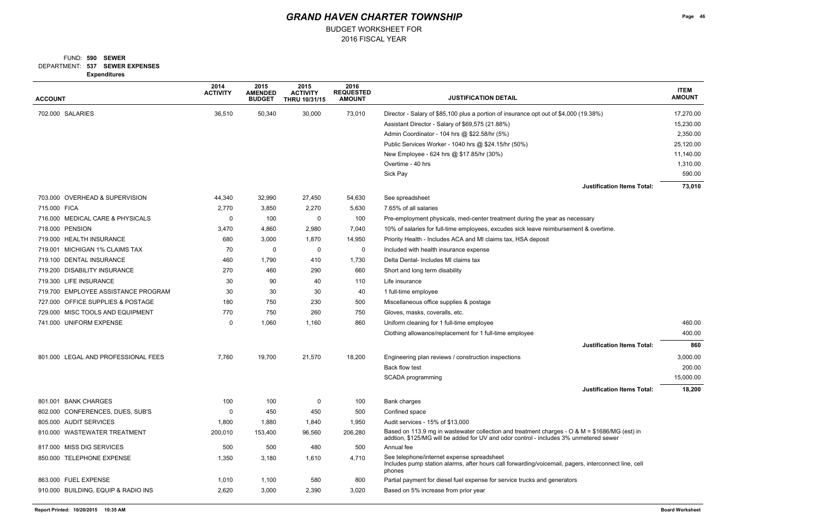BUDGET WORKSHEET FOR

### **537 SEWER EXPENSES** DEPARTMENT: **590 SEWER** FUND:

**Expenditures**

| <b>ACCOUNT</b>                      | 2014<br><b>ACTIVITY</b> | 2015<br><b>AMENDED</b><br><b>BUDGET</b> | 2015<br><b>ACTIVITY</b><br>THRU 10/31/15 | 2016<br><b>REQUESTED</b><br><b>AMOUNT</b> | <b>JUSTIFICATION DETAIL</b>                                                                                                                                                            | <b>ITEM</b><br><b>AMOUNT</b> |
|-------------------------------------|-------------------------|-----------------------------------------|------------------------------------------|-------------------------------------------|----------------------------------------------------------------------------------------------------------------------------------------------------------------------------------------|------------------------------|
| 702.000 SALARIES                    | 36,510                  | 50,340                                  | 30,000                                   | 73,010                                    | Director - Salary of \$85,100 plus a portion of insurance opt out of \$4,000 (19.38%)                                                                                                  | 17,270.00                    |
|                                     |                         |                                         |                                          |                                           | Assistant Director - Salary of \$69,575 (21.88%)                                                                                                                                       | 15,230.00                    |
|                                     |                         |                                         |                                          |                                           | Admin Coordinator - 104 hrs @ \$22.58/hr (5%)                                                                                                                                          | 2,350.00                     |
|                                     |                         |                                         |                                          |                                           | Public Services Worker - 1040 hrs @ \$24.15/hr (50%)                                                                                                                                   | 25,120.00                    |
|                                     |                         |                                         |                                          |                                           | New Employee - 624 hrs @ \$17.85/hr (30%)                                                                                                                                              | 11,140.00                    |
|                                     |                         |                                         |                                          |                                           | Overtime - 40 hrs                                                                                                                                                                      | 1,310.00                     |
|                                     |                         |                                         |                                          |                                           | Sick Pay                                                                                                                                                                               | 590.00                       |
|                                     |                         |                                         |                                          |                                           | <b>Justification Items Total:</b>                                                                                                                                                      | 73,010                       |
| 703.000 OVERHEAD & SUPERVISION      | 44,340                  | 32,990                                  | 27,450                                   | 54,630                                    | See spreadsheet                                                                                                                                                                        |                              |
| 715.000 FICA                        | 2,770                   | 3,850                                   | 2,270                                    | 5,630                                     | 7.65% of all salaries                                                                                                                                                                  |                              |
| 716.000 MEDICAL CARE & PHYSICALS    | 0                       | 100                                     | 0                                        | 100                                       | Pre-employment physicals, med-center treatment during the year as necessary                                                                                                            |                              |
| 718.000 PENSION                     | 3,470                   | 4,860                                   | 2,980                                    | 7,040                                     | 10% of salaries for full-time employees, excudes sick leave reimbursement & overtime.                                                                                                  |                              |
| 719.000 HEALTH INSURANCE            | 680                     | 3,000                                   | 1,870                                    | 14,950                                    | Priority Health - Includes ACA and MI claims tax, HSA deposit                                                                                                                          |                              |
| 719.001 MICHIGAN 1% CLAIMS TAX      | 70                      | 0                                       | 0                                        | 0                                         | Included with health insurance expense                                                                                                                                                 |                              |
| 719.100 DENTAL INSURANCE            | 460                     | 1,790                                   | 410                                      | 1,730                                     | Delta Dental- Includes MI claims tax                                                                                                                                                   |                              |
| 719.200 DISABILITY INSURANCE        | 270                     | 460                                     | 290                                      | 660                                       | Short and long term disability                                                                                                                                                         |                              |
| 719.300 LIFE INSURANCE              | 30                      | 90                                      | 40                                       | 110                                       | Life insurance                                                                                                                                                                         |                              |
| 719.700 EMPLOYEE ASSISTANCE PROGRAM | 30                      | 30                                      | 30                                       | 40                                        | 1 full-time employee                                                                                                                                                                   |                              |
| 727.000 OFFICE SUPPLIES & POSTAGE   | 180                     | 750                                     | 230                                      | 500                                       | Miscellaneous office supplies & postage                                                                                                                                                |                              |
| 729.000 MISC TOOLS AND EQUIPMENT    | 770                     | 750                                     | 260                                      | 750                                       | Gloves, masks, coveralls, etc.                                                                                                                                                         |                              |
| 741.000 UNIFORM EXPENSE             | 0                       | 1,060                                   | 1,160                                    | 860                                       | Uniform cleaning for 1 full-time employee                                                                                                                                              | 460.00                       |
|                                     |                         |                                         |                                          |                                           | Clothing allowance/replacement for 1 full-time employee                                                                                                                                | 400.00                       |
|                                     |                         |                                         |                                          |                                           | <b>Justification Items Total:</b>                                                                                                                                                      | 860                          |
| 801.000 LEGAL AND PROFESSIONAL FEES | 7,760                   | 19,700                                  | 21,570                                   | 18,200                                    | Engineering plan reviews / construction inspections                                                                                                                                    | 3,000.00                     |
|                                     |                         |                                         |                                          |                                           | Back flow test                                                                                                                                                                         | 200.00                       |
|                                     |                         |                                         |                                          |                                           | SCADA programming                                                                                                                                                                      | 15,000.00                    |
|                                     |                         |                                         |                                          |                                           | <b>Justification Items Total:</b>                                                                                                                                                      | 18,200                       |
| 801.001 BANK CHARGES                | 100                     | 100                                     | $\mathbf 0$                              | 100                                       | Bank charges                                                                                                                                                                           |                              |
| 802.000 CONFERENCES, DUES, SUB'S    | 0                       | 450                                     | 450                                      | 500                                       | Confined space                                                                                                                                                                         |                              |
| 805.000 AUDIT SERVICES              | 1,800                   | 1,880                                   | 1,840                                    | 1,950                                     | Audit services - 15% of \$13,000                                                                                                                                                       |                              |
| 810.000 WASTEWATER TREATMENT        | 200,010                 | 153,400                                 | 96,560                                   | 206,280                                   | Based on 113.9 mg in wastewater collection and treatment charges - O & M = \$1686/MG (est) in<br>addtion, \$125/MG will be added for UV and odor control - includes 3% unmetered sewer |                              |
| 817.000 MISS DIG SERVICES           | 500                     | 500                                     | 480                                      | 500                                       | Annual fee                                                                                                                                                                             |                              |
| 850.000 TELEPHONE EXPENSE           | 1,350                   | 3,180                                   | 1,610                                    | 4,710                                     | See telephone/internet expense spreadsheet<br>Includes pump station alarms, after hours call forwarding/voicemail, pagers, interconnect line, cell<br>phones                           |                              |
| 863.000 FUEL EXPENSE                | 1,010                   | 1,100                                   | 580                                      | 800                                       | Partial payment for diesel fuel expense for service trucks and generators                                                                                                              |                              |
| 910.000 BUILDING, EQUIP & RADIO INS | 2,620                   | 3,000                                   | 2,390                                    | 3,020                                     | Based on 5% increase from prior year                                                                                                                                                   |                              |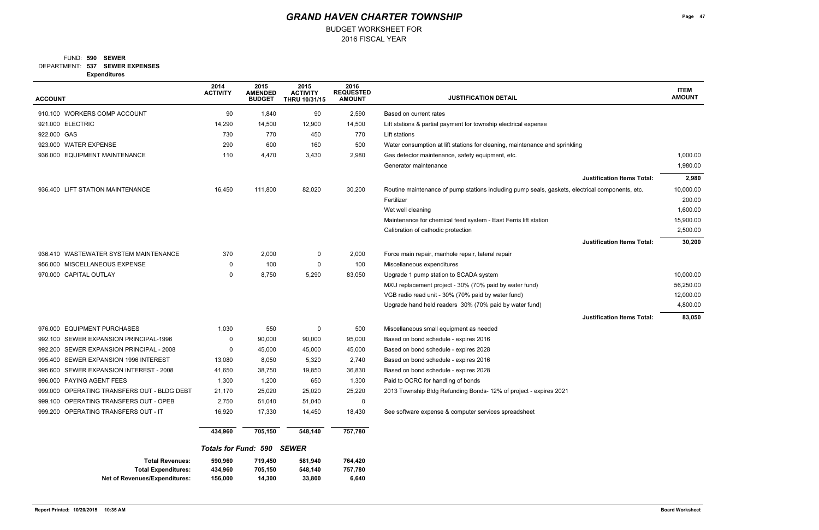BUDGET WORKSHEET FOR

### **537 SEWER EXPENSES** DEPARTMENT: **590 SEWER** FUND:

**Expenditures**

| <b>ACCOUNT</b>                                                                        | 2014<br><b>ACTIVITY</b>       | 2015<br><b>AMENDED</b><br><b>BUDGET</b> | 2015<br><b>ACTIVITY</b><br><b>THRU 10/31/15</b> | 2016<br><b>REQUESTED</b><br><b>AMOUNT</b> | <b>JUSTIFICATION DETAIL</b>                                                                     | <b>ITEM</b><br><b>AMOUNT</b> |
|---------------------------------------------------------------------------------------|-------------------------------|-----------------------------------------|-------------------------------------------------|-------------------------------------------|-------------------------------------------------------------------------------------------------|------------------------------|
| 910.100 WORKERS COMP ACCOUNT                                                          | 90                            | 1,840                                   | 90                                              | 2,590                                     | Based on current rates                                                                          |                              |
| 921.000 ELECTRIC                                                                      | 14,290                        | 14,500                                  | 12,900                                          | 14,500                                    | Lift stations & partial payment for township electrical expense                                 |                              |
| 922.000 GAS                                                                           | 730                           | 770                                     | 450                                             | 770                                       | Lift stations                                                                                   |                              |
| 923.000 WATER EXPENSE                                                                 | 290                           | 600                                     | 160                                             | 500                                       | Water consumption at lift stations for cleaning, maintenance and sprinkling                     |                              |
| 936.000 EQUIPMENT MAINTENANCE                                                         | 110                           | 4,470                                   | 3,430                                           | 2,980                                     | Gas detector maintenance, safety equipment, etc.                                                | 1,000.00                     |
|                                                                                       |                               |                                         |                                                 |                                           | Generator maintenance                                                                           | 1,980.00                     |
|                                                                                       |                               |                                         |                                                 |                                           | <b>Justification Items Total:</b>                                                               | 2,980                        |
| 936.400 LIFT STATION MAINTENANCE                                                      | 16,450                        | 111,800                                 | 82,020                                          | 30,200                                    | Routine maintenance of pump stations including pump seals, gaskets, electrical components, etc. | 10,000.00                    |
|                                                                                       |                               |                                         |                                                 |                                           | Fertilizer                                                                                      | 200.00                       |
|                                                                                       |                               |                                         |                                                 |                                           | Wet well cleaning                                                                               | 1,600.00                     |
|                                                                                       |                               |                                         |                                                 |                                           | Maintenance for chemical feed system - East Ferris lift station                                 | 15,900.00                    |
|                                                                                       |                               |                                         |                                                 |                                           | Calibration of cathodic protection                                                              | 2,500.00                     |
|                                                                                       |                               |                                         |                                                 |                                           | <b>Justification Items Total:</b>                                                               | 30,200                       |
| 936.410 WASTEWATER SYSTEM MAINTENANCE                                                 | 370                           | 2,000                                   | 0                                               | 2,000                                     | Force main repair, manhole repair, lateral repair                                               |                              |
| 956.000 MISCELLANEOUS EXPENSE                                                         | 0                             | 100                                     | 0                                               | 100                                       | Miscellaneous expenditures                                                                      |                              |
| 970.000 CAPITAL OUTLAY                                                                | 0                             | 8,750                                   | 5,290                                           | 83,050                                    | Upgrade 1 pump station to SCADA system                                                          | 10,000.00                    |
|                                                                                       |                               |                                         |                                                 |                                           | MXU replacement project - 30% (70% paid by water fund)                                          | 56,250.00                    |
|                                                                                       |                               |                                         |                                                 |                                           | VGB radio read unit - 30% (70% paid by water fund)                                              | 12,000.00                    |
|                                                                                       |                               |                                         |                                                 |                                           | Upgrade hand held readers 30% (70% paid by water fund)                                          | 4,800.00                     |
|                                                                                       |                               |                                         |                                                 |                                           | <b>Justification Items Total:</b>                                                               | 83,050                       |
| 976.000 EQUIPMENT PURCHASES                                                           | 1,030                         | 550                                     | 0                                               | 500                                       | Miscellaneous small equipment as needed                                                         |                              |
| 992.100 SEWER EXPANSION PRINCIPAL-1996                                                | 0                             | 90,000                                  | 90,000                                          | 95,000                                    | Based on bond schedule - expires 2016                                                           |                              |
| 992.200 SEWER EXPANSION PRINCIPAL - 2008                                              | 0                             | 45,000                                  | 45,000                                          | 45,000                                    | Based on bond schedule - expires 2028                                                           |                              |
| 995.400 SEWER EXPANSION 1996 INTEREST                                                 | 13,080                        | 8,050                                   | 5,320                                           | 2,740                                     | Based on bond schedule - expires 2016                                                           |                              |
| 995.600 SEWER EXPANSION INTEREST - 2008                                               | 41,650                        | 38,750                                  | 19,850                                          | 36,830                                    | Based on bond schedule - expires 2028                                                           |                              |
| 996,000 PAYING AGENT FEES                                                             | 1,300                         | 1,200                                   | 650                                             | 1,300                                     | Paid to OCRC for handling of bonds                                                              |                              |
| 999.000 OPERATING TRANSFERS OUT - BLDG DEBT                                           | 21,170                        | 25,020                                  | 25,020                                          | 25,220                                    | 2013 Township Bldg Refunding Bonds- 12% of project - expires 2021                               |                              |
| 999.100 OPERATING TRANSFERS OUT - OPEB                                                | 2,750                         | 51,040                                  | 51,040                                          | $\mathbf 0$                               |                                                                                                 |                              |
| 999.200 OPERATING TRANSFERS OUT - IT                                                  | 16,920                        | 17,330                                  | 14,450                                          | 18,430                                    | See software expense & computer services spreadsheet                                            |                              |
|                                                                                       | 434,960                       | 705,150                                 | 548,140                                         | 757,780                                   |                                                                                                 |                              |
|                                                                                       |                               | <b>Totals for Fund: 590 SEWER</b>       |                                                 |                                           |                                                                                                 |                              |
| <b>Total Revenues:</b><br><b>Total Expenditures:</b><br>Net of Revenues/Expenditures: | 590,960<br>434,960<br>156,000 | 719,450<br>705,150<br>14,300            | 581,940<br>548,140<br>33,800                    | 764,420<br>757,780<br>6,640               |                                                                                                 |                              |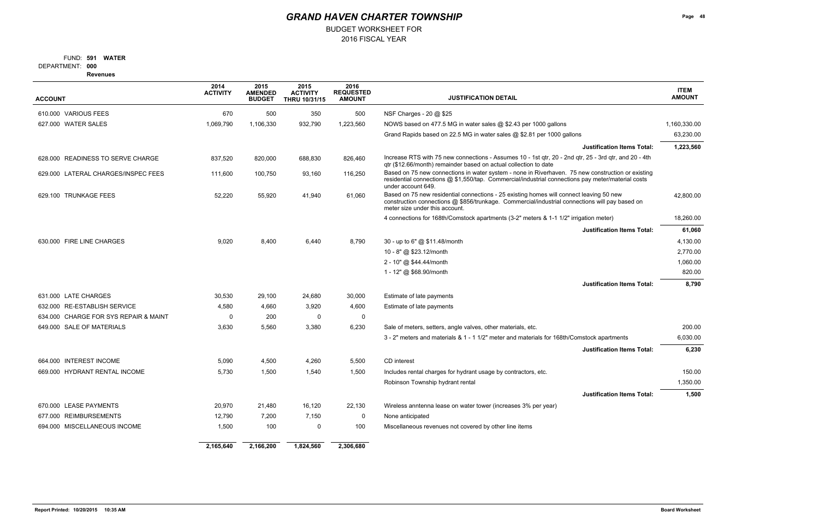## BUDGET WORKSHEET FOR

### **591 WATER** FUND:

**000** DEPARTMENT:

**Revenues**

| <b>ACCOUNT</b>                        | 2014<br><b>ACTIVITY</b> | 2015<br><b>AMENDED</b><br><b>BUDGET</b> | 2015<br><b>ACTIVITY</b><br>THRU 10/31/15 | 2016<br><b>REQUESTED</b><br><b>AMOUNT</b> | <b>JUSTIFICATION DETAIL</b>                                                                                                                                                                                                  | <b>ITEM</b><br><b>AMOUNT</b> |
|---------------------------------------|-------------------------|-----------------------------------------|------------------------------------------|-------------------------------------------|------------------------------------------------------------------------------------------------------------------------------------------------------------------------------------------------------------------------------|------------------------------|
| 610.000 VARIOUS FEES                  | 670                     | 500                                     | 350                                      | 500                                       | NSF Charges - 20 @ \$25                                                                                                                                                                                                      |                              |
| 627.000 WATER SALES                   | 1,069,790               | 1,106,330                               | 932,790                                  | 1,223,560                                 | NOWS based on 477.5 MG in water sales @ \$2.43 per 1000 gallons                                                                                                                                                              | 1,160,330.00                 |
|                                       |                         |                                         |                                          |                                           | Grand Rapids based on 22.5 MG in water sales @ \$2.81 per 1000 gallons                                                                                                                                                       | 63,230.00                    |
|                                       |                         |                                         |                                          |                                           | <b>Justification Items Total:</b>                                                                                                                                                                                            | 1,223,560                    |
| 628.000 READINESS TO SERVE CHARGE     | 837,520                 | 820,000                                 | 688,830                                  | 826,460                                   | Increase RTS with 75 new connections - Assumes 10 - 1st qtr, 20 - 2nd qtr, 25 - 3rd qtr, and 20 - 4th<br>qtr (\$12.66/month) remainder based on actual collection to date                                                    |                              |
| 629.000 LATERAL CHARGES/INSPEC FEES   | 111,600                 | 100,750                                 | 93,160                                   | 116,250                                   | Based on 75 new connections in water system - none in Riverhaven. 75 new construction or existing<br>residential connections @ \$1,550/tap. Commercial/industrial connections pay meter/material costs<br>under account 649. |                              |
| 629.100 TRUNKAGE FEES                 | 52,220                  | 55,920                                  | 41,940                                   | 61,060                                    | Based on 75 new residential connections - 25 existing homes will connect leaving 50 new<br>construction connections @ \$856/trunkage. Commercial/industrial connections will pay based on<br>meter size under this account.  | 42,800.00                    |
|                                       |                         |                                         |                                          |                                           | 4 connections for 168th/Comstock apartments (3-2" meters & 1-1 1/2" irrigation meter)                                                                                                                                        | 18,260.00                    |
|                                       |                         |                                         |                                          |                                           | <b>Justification Items Total:</b>                                                                                                                                                                                            | 61,060                       |
| 630.000 FIRE LINE CHARGES             | 9,020                   | 8,400                                   | 6,440                                    | 8,790                                     | 30 - up to 6" @ \$11.48/month                                                                                                                                                                                                | 4,130.00                     |
|                                       |                         |                                         |                                          |                                           | 10 - 8" @ \$23.12/month                                                                                                                                                                                                      | 2,770.00                     |
|                                       |                         |                                         |                                          |                                           | 2 - 10" @ \$44.44/month                                                                                                                                                                                                      | 1,060.00                     |
|                                       |                         |                                         |                                          |                                           | 1 - 12" @ \$68.90/month                                                                                                                                                                                                      | 820.00                       |
|                                       |                         |                                         |                                          |                                           | <b>Justification Items Total:</b>                                                                                                                                                                                            | 8,790                        |
| 631.000 LATE CHARGES                  | 30,530                  | 29,100                                  | 24,680                                   | 30,000                                    | Estimate of late payments                                                                                                                                                                                                    |                              |
| 632.000 RE-ESTABLISH SERVICE          | 4,580                   | 4,660                                   | 3,920                                    | 4,600                                     | Estimate of late payments                                                                                                                                                                                                    |                              |
| 634.000 CHARGE FOR SYS REPAIR & MAINT | 0                       | 200                                     | 0                                        | $\mathbf 0$                               |                                                                                                                                                                                                                              |                              |
| 649.000 SALE OF MATERIALS             | 3,630                   | 5,560                                   | 3,380                                    | 6,230                                     | Sale of meters, setters, angle valves, other materials, etc.                                                                                                                                                                 | 200.00                       |
|                                       |                         |                                         |                                          |                                           | 3 - 2" meters and materials & 1 - 1 1/2" meter and materials for 168th/Comstock apartments                                                                                                                                   | 6,030.00                     |
|                                       |                         |                                         |                                          |                                           | <b>Justification Items Total:</b>                                                                                                                                                                                            | 6,230                        |
| 664.000 INTEREST INCOME               | 5,090                   | 4,500                                   | 4,260                                    | 5,500                                     | CD interest                                                                                                                                                                                                                  |                              |
| 669.000 HYDRANT RENTAL INCOME         | 5,730                   | 1,500                                   | 1,540                                    | 1,500                                     | Includes rental charges for hydrant usage by contractors, etc.                                                                                                                                                               | 150.00                       |
|                                       |                         |                                         |                                          |                                           | Robinson Township hydrant rental                                                                                                                                                                                             | 1,350.00                     |
|                                       |                         |                                         |                                          |                                           | <b>Justification Items Total:</b>                                                                                                                                                                                            | 1,500                        |
| 670.000 LEASE PAYMENTS                | 20,970                  | 21,480                                  | 16,120                                   | 22,130                                    | Wireless anntenna lease on water tower (increases 3% per year)                                                                                                                                                               |                              |
| <b>REIMBURSEMENTS</b><br>677.000      | 12,790                  | 7,200                                   | 7,150                                    | $\mathbf 0$                               | None anticipated                                                                                                                                                                                                             |                              |
| 694.000 MISCELLANEOUS INCOME          | 1,500                   | 100                                     | 0                                        | 100                                       | Miscellaneous revenues not covered by other line items                                                                                                                                                                       |                              |
|                                       | 2,165,640               | 2,166,200                               | 1,824,560                                | 2,306,680                                 |                                                                                                                                                                                                                              |                              |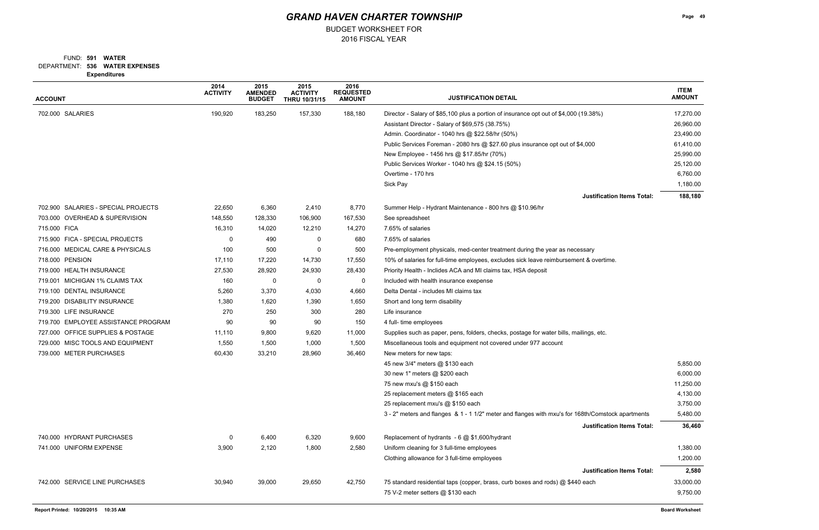BUDGET WORKSHEET FOR

### **536 WATER EXPENSES** DEPARTMENT: **591 WATER** FUND:

**Expenditures**

| <b>ACCOUNT</b>                      | 2014<br><b>ACTIVITY</b> | 2015<br><b>AMENDED</b><br><b>BUDGET</b> | 2015<br><b>ACTIVITY</b><br>THRU 10/31/15 | 2016<br><b>REQUESTED</b><br><b>AMOUNT</b> | <b>JUSTIFICATION DETAIL</b>                                                                       | <b>ITEM</b><br><b>AMOUNT</b> |
|-------------------------------------|-------------------------|-----------------------------------------|------------------------------------------|-------------------------------------------|---------------------------------------------------------------------------------------------------|------------------------------|
| 702.000 SALARIES                    | 190,920                 | 183,250                                 | 157,330                                  | 188,180                                   | Director - Salary of \$85,100 plus a portion of insurance opt out of \$4,000 (19.38%)             | 17,270.00                    |
|                                     |                         |                                         |                                          |                                           | Assistant Director - Salary of \$69,575 (38.75%)                                                  | 26,960.00                    |
|                                     |                         |                                         |                                          |                                           | Admin. Coordinator - 1040 hrs @ \$22.58/hr (50%)                                                  | 23,490.00                    |
|                                     |                         |                                         |                                          |                                           | Public Services Foreman - 2080 hrs @ \$27.60 plus insurance opt out of \$4,000                    | 61,410.00                    |
|                                     |                         |                                         |                                          |                                           | New Employee - 1456 hrs @ \$17.85/hr (70%)                                                        | 25,990.00                    |
|                                     |                         |                                         |                                          |                                           | Public Services Worker - 1040 hrs @ \$24.15 (50%)                                                 | 25,120.00                    |
|                                     |                         |                                         |                                          |                                           | Overtime - 170 hrs                                                                                | 6,760.00                     |
|                                     |                         |                                         |                                          |                                           | Sick Pay                                                                                          | 1,180.00                     |
|                                     |                         |                                         |                                          |                                           | <b>Justification Items Total:</b>                                                                 | 188,180                      |
| 702.900 SALARIES - SPECIAL PROJECTS | 22,650                  | 6,360                                   | 2,410                                    | 8,770                                     | Summer Help - Hydrant Maintenance - 800 hrs @ \$10.96/hr                                          |                              |
| 703.000 OVERHEAD & SUPERVISION      | 148,550                 | 128,330                                 | 106,900                                  | 167,530                                   | See spreadsheet                                                                                   |                              |
| 715.000 FICA                        | 16,310                  | 14,020                                  | 12,210                                   | 14,270                                    | 7.65% of salaries                                                                                 |                              |
| 715.900 FICA - SPECIAL PROJECTS     | 0                       | 490                                     | 0                                        | 680                                       | 7.65% of salaries                                                                                 |                              |
| 716.000 MEDICAL CARE & PHYSICALS    | 100                     | 500                                     | 0                                        | 500                                       | Pre-employment physicals, med-center treatment during the year as necessary                       |                              |
| 718,000 PENSION                     | 17,110                  | 17,220                                  | 14,730                                   | 17,550                                    | 10% of salaries for full-time employees, excludes sick leave reimbursement & overtime.            |                              |
| 719.000 HEALTH INSURANCE            | 27,530                  | 28,920                                  | 24,930                                   | 28,430                                    | Priority Health - Inclides ACA and MI claims tax, HSA deposit                                     |                              |
| 719.001 MICHIGAN 1% CLAIMS TAX      | 160                     | 0                                       | 0                                        | 0                                         | Included with health insurance exepense                                                           |                              |
| 719.100 DENTAL INSURANCE            | 5,260                   | 3,370                                   | 4,030                                    | 4,660                                     | Delta Dental - includes MI claims tax                                                             |                              |
| 719.200 DISABILITY INSURANCE        | 1,380                   | 1,620                                   | 1,390                                    | 1,650                                     | Short and long term disability                                                                    |                              |
| 719.300 LIFE INSURANCE              | 270                     | 250                                     | 300                                      | 280                                       | Life insurance                                                                                    |                              |
| 719.700 EMPLOYEE ASSISTANCE PROGRAM | 90                      | 90                                      | 90                                       | 150                                       | 4 full- time employees                                                                            |                              |
| 727.000 OFFICE SUPPLIES & POSTAGE   | 11,110                  | 9,800                                   | 9,620                                    | 11,000                                    | Supplies such as paper, pens, folders, checks, postage for water bills, mailings, etc.            |                              |
| 729.000 MISC TOOLS AND EQUIPMENT    | 1,550                   | 1,500                                   | 1,000                                    | 1,500                                     | Miscellaneous tools and equipment not covered under 977 account                                   |                              |
| 739.000 METER PURCHASES             | 60,430                  | 33,210                                  | 28,960                                   | 36,460                                    | New meters for new taps:                                                                          |                              |
|                                     |                         |                                         |                                          |                                           | 45 new 3/4" meters @ \$130 each                                                                   | 5,850.00                     |
|                                     |                         |                                         |                                          |                                           | 30 new 1" meters @ \$200 each                                                                     | 6,000.00                     |
|                                     |                         |                                         |                                          |                                           | 75 new mxu's @ \$150 each                                                                         | 11,250.00                    |
|                                     |                         |                                         |                                          |                                           | 25 replacement meters @ \$165 each                                                                | 4,130.00                     |
|                                     |                         |                                         |                                          |                                           | 25 replacement mxu's @ \$150 each                                                                 | 3,750.00                     |
|                                     |                         |                                         |                                          |                                           | 3 - 2" meters and flanges & 1 - 1 1/2" meter and flanges with mxu's for 168th/Comstock apartments | 5,480.00                     |
|                                     |                         |                                         |                                          |                                           | <b>Justification Items Total:</b>                                                                 | 36,460                       |
| 740.000 HYDRANT PURCHASES           | 0                       | 6,400                                   | 6,320                                    | 9,600                                     | Replacement of hydrants - 6 @ \$1,600/hydrant                                                     |                              |
| 741.000 UNIFORM EXPENSE             | 3,900                   | 2,120                                   | 1,800                                    | 2,580                                     | Uniform cleaning for 3 full-time employees                                                        | 1,380.00                     |
|                                     |                         |                                         |                                          |                                           | Clothing allowance for 3 full-time employees                                                      | 1,200.00                     |
|                                     |                         |                                         |                                          |                                           | <b>Justification Items Total:</b>                                                                 | 2,580                        |
| 742.000 SERVICE LINE PURCHASES      | 30,940                  | 39,000                                  | 29,650                                   | 42,750                                    | 75 standard residential taps (copper, brass, curb boxes and rods) @ \$440 each                    | 33,000.00                    |
|                                     |                         |                                         |                                          |                                           | 75 V-2 meter setters @ \$130 each                                                                 | 9,750.00                     |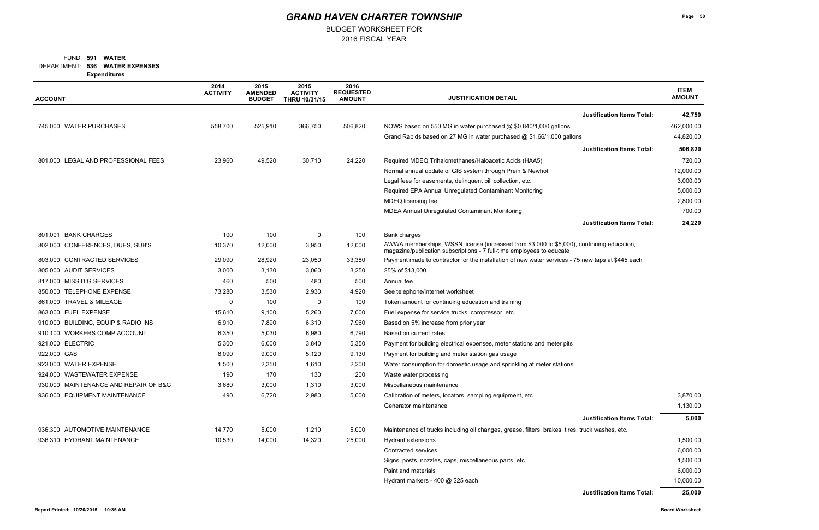BUDGET WORKSHEET FOR

### **536 WATER EXPENSES** DEPARTMENT: **591 WATER** FUND:

**Expenditures**

| <b>ACCOUNT</b>                        | 2014<br><b>ACTIVITY</b> | 2015<br><b>AMENDED</b><br><b>BUDGET</b> | 2015<br><b>ACTIVITY</b><br>THRU 10/31/15 | 2016<br><b>REQUESTED</b><br><b>AMOUNT</b> | <b>JUSTIFICATION DETAIL</b>                                                                                                                                        | <b>ITEM</b><br><b>AMOUNT</b> |
|---------------------------------------|-------------------------|-----------------------------------------|------------------------------------------|-------------------------------------------|--------------------------------------------------------------------------------------------------------------------------------------------------------------------|------------------------------|
|                                       |                         |                                         |                                          |                                           | <b>Justification Items Total:</b>                                                                                                                                  | 42,750                       |
| 745.000 WATER PURCHASES               | 558,700                 | 525,910                                 | 366,750                                  | 506,820                                   | NOWS based on 550 MG in water purchased @ \$0.840/1,000 gallons                                                                                                    | 462,000.00                   |
|                                       |                         |                                         |                                          |                                           | Grand Rapids based on 27 MG in water purchased @ \$1.66/1,000 gallons                                                                                              | 44,820.00                    |
|                                       |                         |                                         |                                          |                                           | <b>Justification Items Total:</b>                                                                                                                                  | 506,820                      |
| 801.000 LEGAL AND PROFESSIONAL FEES   | 23,960                  | 49,520                                  | 30,710                                   | 24,220                                    | Required MDEQ Trihalomethanes/Haloacetic Acids (HAA5)                                                                                                              | 720.00                       |
|                                       |                         |                                         |                                          |                                           | Normal annual update of GIS system through Prein & Newhof                                                                                                          | 12,000.00                    |
|                                       |                         |                                         |                                          |                                           | Legal fees for easements, delinquent bill collection, etc.                                                                                                         | 3,000.00                     |
|                                       |                         |                                         |                                          |                                           | Required EPA Annual Unregulated Contaminant Monitoring                                                                                                             | 5,000.00                     |
|                                       |                         |                                         |                                          |                                           | MDEQ licensing fee                                                                                                                                                 | 2,800.00                     |
|                                       |                         |                                         |                                          |                                           | MDEA Annual Unregulated Contaminant Monitoring                                                                                                                     | 700.00                       |
|                                       |                         |                                         |                                          |                                           | <b>Justification Items Total:</b>                                                                                                                                  | 24,220                       |
| 801.001 BANK CHARGES                  | 100                     | 100                                     | 0                                        | 100                                       | Bank charges                                                                                                                                                       |                              |
| 802.000 CONFERENCES, DUES, SUB'S      | 10,370                  | 12,000                                  | 3,950                                    | 12,000                                    | AWWA memberships, WSSN license (increased from \$3,000 to \$5,000), continuing education,<br>magazine/publication subscriptions - 7 full-time employees to educate |                              |
| 803.000 CONTRACTED SERVICES           | 29,090                  | 28,920                                  | 23,050                                   | 33,380                                    | Payment made to contractor for the installation of new water services - 75 new taps at \$445 each                                                                  |                              |
| 805.000 AUDIT SERVICES                | 3,000                   | 3,130                                   | 3,060                                    | 3,250                                     | 25% of \$13,000                                                                                                                                                    |                              |
| 817.000 MISS DIG SERVICES             | 460                     | 500                                     | 480                                      | 500                                       | Annual fee                                                                                                                                                         |                              |
| 850.000 TELEPHONE EXPENSE             | 73,280                  | 3,530                                   | 2,930                                    | 4,920                                     | See telephone/internet worksheet                                                                                                                                   |                              |
| 861.000 TRAVEL & MILEAGE              | $\Omega$                | 100                                     | 0                                        | 100                                       | Token amount for continuing education and training                                                                                                                 |                              |
| 863.000 FUEL EXPENSE                  | 15,610                  | 9,100                                   | 5,260                                    | 7,000                                     | Fuel expense for service trucks, compressor, etc.                                                                                                                  |                              |
| 910.000 BUILDING, EQUIP & RADIO INS   | 6,910                   | 7,890                                   | 6,310                                    | 7,960                                     | Based on 5% increase from prior year                                                                                                                               |                              |
| 910.100 WORKERS COMP ACCOUNT          | 6,350                   | 5,030                                   | 6,980                                    | 6,790                                     | Based on current rates                                                                                                                                             |                              |
| 921.000 ELECTRIC                      | 5,300                   | 6,000                                   | 3,840                                    | 5,350                                     | Payment for building electrical expenses, meter stations and meter pits                                                                                            |                              |
| 922.000 GAS                           | 8,090                   | 9,000                                   | 5,120                                    | 9,130                                     | Payment for building and meter station gas usage                                                                                                                   |                              |
| 923.000 WATER EXPENSE                 | 1,500                   | 2,350                                   | 1,610                                    | 2,200                                     | Water consumption for domestic usage and sprinkling at meter stations                                                                                              |                              |
| 924.000 WASTEWATER EXPENSE            | 190                     | 170                                     | 130                                      | 200                                       | Waste water processing                                                                                                                                             |                              |
| 930.000 MAINTENANCE AND REPAIR OF B&G | 3,680                   | 3,000                                   | 1,310                                    | 3,000                                     | Miscellaneous maintenance                                                                                                                                          |                              |
| 936.000 EQUIPMENT MAINTENANCE         | 490                     | 6,720                                   | 2,980                                    | 5,000                                     | Calibration of meters, locators, sampling equipment, etc.                                                                                                          | 3,870.00                     |
|                                       |                         |                                         |                                          |                                           | Generator maintenance                                                                                                                                              | 1,130.00                     |
|                                       |                         |                                         |                                          |                                           | <b>Justification Items Total:</b>                                                                                                                                  | 5,000                        |
| 936.300 AUTOMOTIVE MAINTENANCE        | 14,770                  | 5,000                                   | 1,210                                    | 5,000                                     | Maintenance of trucks including oil changes, grease, filters, brakes, tires, truck washes, etc.                                                                    |                              |
| 936.310 HYDRANT MAINTENANCE           | 10,530                  | 14,000                                  | 14,320                                   | 25,000                                    | <b>Hydrant extensions</b>                                                                                                                                          | 1,500.00                     |
|                                       |                         |                                         |                                          |                                           | Contracted services                                                                                                                                                | 6,000.00                     |
|                                       |                         |                                         |                                          |                                           | Signs, posts, nozzles, caps, miscellaneous parts, etc.                                                                                                             | 1,500.00                     |
|                                       |                         |                                         |                                          |                                           | Paint and materials                                                                                                                                                | 6,000.00                     |
|                                       |                         |                                         |                                          |                                           | Hydrant markers - 400 @ \$25 each                                                                                                                                  | 10,000.00                    |
|                                       |                         |                                         |                                          |                                           | <b>Justification Items Total:</b>                                                                                                                                  | 25,000                       |
| Report Printed: 10/20/2015 10:35 AM   |                         |                                         |                                          |                                           |                                                                                                                                                                    | <b>Board Worksheet</b>       |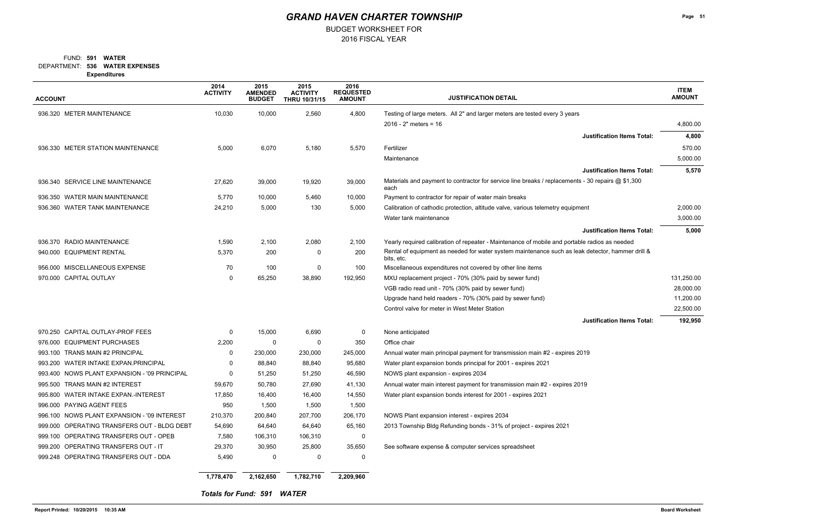BUDGET WORKSHEET FOR

### **536 WATER EXPENSES** DEPARTMENT: **591 WATER** FUND:

**Expenditures**

## *GRAND HAVEN CHARTER TOWNSHIP*

| <b>ACCOUNT</b>                               | 2014<br><b>ACTIVITY</b> | 2015<br><b>AMENDED</b><br><b>BUDGET</b> | 2015<br><b>ACTIVITY</b><br><b>THRU 10/31/15</b> | 2016<br><b>REQUESTED</b><br><b>AMOUNT</b> | <b>JUSTIFICATION DETAIL</b>                                                                                    | <b>ITEM</b><br><b>AMOUNT</b> |
|----------------------------------------------|-------------------------|-----------------------------------------|-------------------------------------------------|-------------------------------------------|----------------------------------------------------------------------------------------------------------------|------------------------------|
| 936.320 METER MAINTENANCE                    | 10,030                  | 10,000                                  | 2,560                                           | 4,800                                     | Testing of large meters. All 2" and larger meters are tested every 3 years                                     |                              |
|                                              |                         |                                         |                                                 |                                           | $2016 - 2"$ meters = 16                                                                                        | 4,800.00                     |
|                                              |                         |                                         |                                                 |                                           | <b>Justification Items Total:</b>                                                                              | 4,800                        |
| 936.330 METER STATION MAINTENANCE            | 5,000                   | 6,070                                   | 5,180                                           | 5,570                                     | Fertilizer                                                                                                     | 570.00                       |
|                                              |                         |                                         |                                                 |                                           | Maintenance                                                                                                    | 5,000.00                     |
|                                              |                         |                                         |                                                 |                                           | <b>Justification Items Total:</b>                                                                              | 5,570                        |
| 936.340 SERVICE LINE MAINTENANCE             | 27,620                  | 39,000                                  | 19,920                                          | 39,000                                    | Materials and payment to contractor for service line breaks / replacements - 30 repairs @ \$1,300<br>each      |                              |
| 936.350 WATER MAIN MAINTENANCE               | 5,770                   | 10,000                                  | 5,460                                           | 10,000                                    | Payment to contractor for repair of water main breaks                                                          |                              |
| 936.360 WATER TANK MAINTENANCE               | 24,210                  | 5,000                                   | 130                                             | 5,000                                     | Calibration of cathodic protection, altitude valve, various telemetry equipment                                | 2,000.00                     |
|                                              |                         |                                         |                                                 |                                           | Water tank maintenance                                                                                         | 3,000.00                     |
|                                              |                         |                                         |                                                 |                                           | <b>Justification Items Total:</b>                                                                              | 5,000                        |
| 936.370 RADIO MAINTENANCE                    | 1,590                   | 2,100                                   | 2,080                                           | 2,100                                     | Yearly required calibration of repeater - Maintenance of mobile and portable radios as needed                  |                              |
| 940.000 EQUIPMENT RENTAL                     | 5,370                   | 200                                     | 0                                               | 200                                       | Rental of equipment as needed for water system maintenance such as leak detector, hammer drill &<br>bits, etc. |                              |
| 956.000 MISCELLANEOUS EXPENSE                | 70                      | 100                                     | 0                                               | 100                                       | Miscellaneous expenditures not covered by other line items                                                     |                              |
| 970.000 CAPITAL OUTLAY                       | $\Omega$                | 65,250                                  | 38,890                                          | 192,950                                   | MXU replacement project - 70% (30% paid by sewer fund)                                                         | 131,250.00                   |
|                                              |                         |                                         |                                                 |                                           | VGB radio read unit - 70% (30% paid by sewer fund)                                                             | 28,000.00                    |
|                                              |                         |                                         |                                                 |                                           | Upgrade hand held readers - 70% (30% paid by sewer fund)                                                       | 11,200.00                    |
|                                              |                         |                                         |                                                 |                                           | Control valve for meter in West Meter Station                                                                  | 22,500.00                    |
|                                              |                         |                                         |                                                 |                                           | <b>Justification Items Total:</b>                                                                              | 192,950                      |
| 970.250 CAPITAL OUTLAY-PROF FEES             | $\mathbf 0$             | 15,000                                  | 6,690                                           | 0                                         | None anticipated                                                                                               |                              |
| <b>EQUIPMENT PURCHASES</b><br>976.000        | 2,200                   | 0                                       | 0                                               | 350                                       | Office chair                                                                                                   |                              |
| TRANS MAIN #2 PRINCIPAL<br>993.100           | 0                       | 230,000                                 | 230,000                                         | 245,000                                   | Annual water main principal payment for transmission main #2 - expires 2019                                    |                              |
| 993.200 WATER INTAKE EXPAN.PRINCIPAL         | $\mathbf 0$             | 88,840                                  | 88,840                                          | 95,680                                    | Water plant expansion bonds principal for 2001 - expires 2021                                                  |                              |
| 993.400 NOWS PLANT EXPANSION - '09 PRINCIPAL | 0                       | 51,250                                  | 51,250                                          | 46,590                                    | NOWS plant expansion - expires 2034                                                                            |                              |
| 995.500 TRANS MAIN #2 INTEREST               | 59,670                  | 50,780                                  | 27,690                                          | 41,130                                    | Annual water main interest payment for transmission main #2 - expires 2019                                     |                              |
| 995.800 WATER INTAKE EXPAN.-INTEREST         | 17,850                  | 16,400                                  | 16,400                                          | 14,550                                    | Water plant expansion bonds interest for 2001 - expires 2021                                                   |                              |
| 996.000 PAYING AGENT FEES                    | 950                     | 1,500                                   | 1,500                                           | 1,500                                     |                                                                                                                |                              |
| 996.100 NOWS PLANT EXPANSION - '09 INTEREST  | 210,370                 | 200,840                                 | 207,700                                         | 206,170                                   | NOWS Plant expansion interest - expires 2034                                                                   |                              |
| 999.000 OPERATING TRANSFERS OUT - BLDG DEBT  | 54,690                  | 64,640                                  | 64,640                                          | 65,160                                    | 2013 Township Bldg Refunding bonds - 31% of project - expires 2021                                             |                              |
| 999.100 OPERATING TRANSFERS OUT - OPEB       | 7,580                   | 106,310                                 | 106,310                                         | 0                                         |                                                                                                                |                              |
| 999.200 OPERATING TRANSFERS OUT - IT         | 29,370                  | 30,950                                  | 25,800                                          | 35,650                                    | See software expense & computer services spreadsheet                                                           |                              |
| 999.248 OPERATING TRANSFERS OUT - DDA        | 5,490                   | 0                                       | 0                                               | 0                                         |                                                                                                                |                              |
|                                              | 1,778,470               | 2,162,650                               | 1,782,710                                       | 2,209,960                                 |                                                                                                                |                              |

*Totals for Fund: 591 WATER*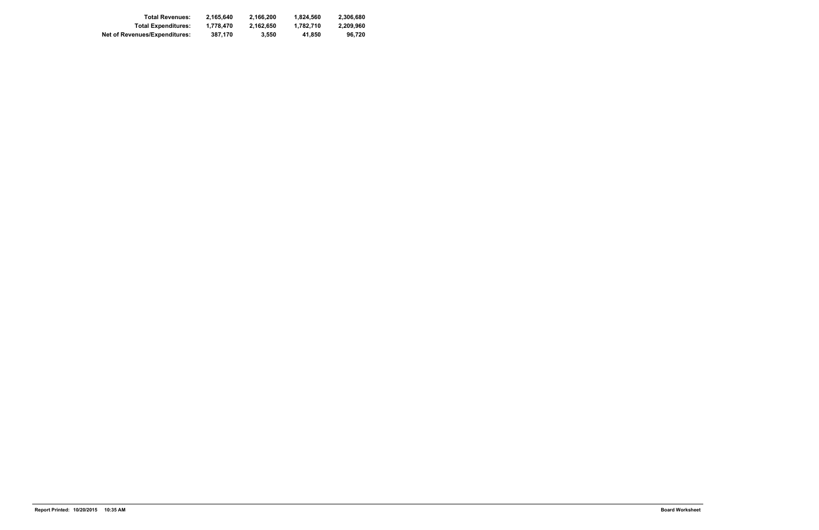| <b>Total Revenues:</b>               | 2.165.640 | 2.166.200 | 1.824.560 | 2.306.680 |
|--------------------------------------|-----------|-----------|-----------|-----------|
| <b>Total Expenditures:</b>           | 1.778.470 | 2.162.650 | 1.782.710 | 2.209.960 |
| <b>Net of Revenues/Expenditures:</b> | 387.170   | 3.550     | 41.850    | 96.720    |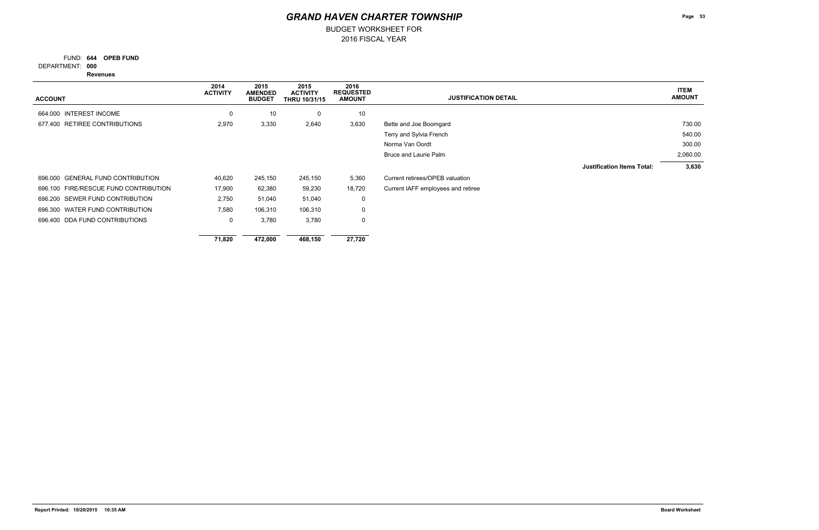FUND: 644 OPEB FUND

BUDGET WORKSHEET FOR

**000** DEPARTMENT:

**Revenues**

| <b>ACCOUNT</b>                              | 2014<br><b>ACTIVITY</b> | 2015<br><b>AMENDED</b><br><b>BUDGET</b> | 2015<br><b>ACTIVITY</b><br><b>THRU 10/31/15</b> | 2016<br><b>REQUESTED</b><br><b>AMOUNT</b> | <b>JUSTIFICATION DETAIL</b>        | <b>ITEM</b><br><b>AMOUNT</b> |
|---------------------------------------------|-------------------------|-----------------------------------------|-------------------------------------------------|-------------------------------------------|------------------------------------|------------------------------|
| 664.000 INTEREST INCOME                     |                         |                                         |                                                 |                                           |                                    |                              |
|                                             | 0                       | 10                                      | $\mathbf 0$                                     | $10$                                      |                                    |                              |
| RETIREE CONTRIBUTIONS<br>677.400            | 2,970                   | 3,330                                   | 2,640                                           | 3,630                                     | Bette and Joe Boomgard             | 730.00                       |
|                                             |                         |                                         |                                                 |                                           | Terry and Sylvia French            | 540.00                       |
|                                             |                         |                                         |                                                 |                                           | Norma Van Oordt                    | 300.00                       |
|                                             |                         |                                         |                                                 |                                           | Bruce and Laurie Palm              | 2,060.00                     |
|                                             |                         |                                         |                                                 |                                           | <b>Justification Items Total:</b>  | 3,630                        |
| <b>GENERAL FUND CONTRIBUTION</b><br>696.000 | 40,620                  | 245,150                                 | 245,150                                         | 5,360                                     | Current retirees/OPEB valuation    |                              |
| 696.100 FIRE/RESCUE FUND CONTRIBUTION       | 17,900                  | 62,380                                  | 59,230                                          | 18,720                                    | Current IAFF employees and retiree |                              |
| 696.200 SEWER FUND CONTRIBUTION             | 2,750                   | 51,040                                  | 51,040                                          | $\mathbf 0$                               |                                    |                              |
| 696.300 WATER FUND CONTRIBUTION             | 7,580                   | 106,310                                 | 106,310                                         | $\mathbf 0$                               |                                    |                              |
| 696.400 DDA FUND CONTRIBUTIONS              | $\mathbf{0}$            | 3,780                                   | 3,780                                           | 0                                         |                                    |                              |
|                                             | 71,820                  | 472,000                                 | 468,150                                         | 27,720                                    |                                    |                              |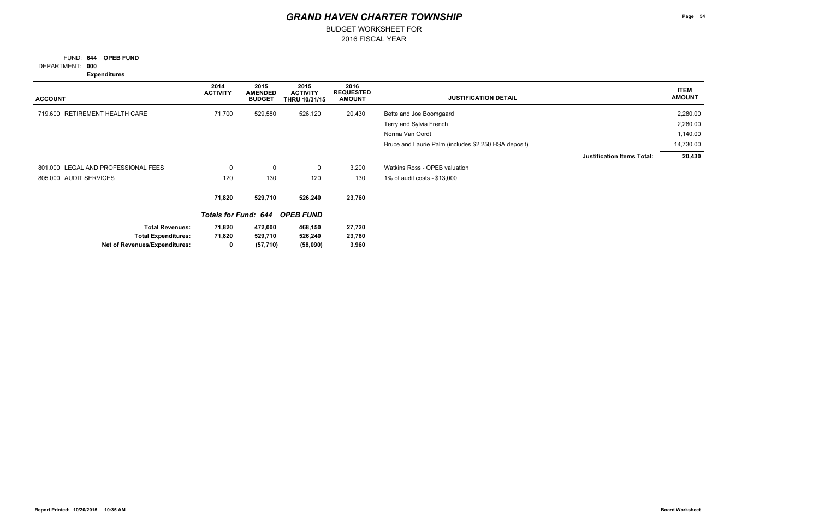FUND: 644 OPEB FUND

BUDGET WORKSHEET FOR

**000** DEPARTMENT:

**Expenditures**

| <b>ACCOUNT</b>                      | 2014<br><b>ACTIVITY</b>     | 2015<br><b>AMENDED</b><br><b>BUDGET</b> | 2015<br><b>ACTIVITY</b><br><b>THRU 10/31/15</b> | 2016<br><b>REQUESTED</b><br><b>AMOUNT</b> | <b>JUSTIFICATION DETAIL</b>                          | <b>ITEM</b><br><b>AMOUNT</b> |
|-------------------------------------|-----------------------------|-----------------------------------------|-------------------------------------------------|-------------------------------------------|------------------------------------------------------|------------------------------|
| RETIREMENT HEALTH CARE<br>719.600   | 71,700                      | 529,580                                 | 526,120                                         | 20,430                                    | Bette and Joe Boomgaard                              | 2,280.00                     |
|                                     |                             |                                         |                                                 |                                           | Terry and Sylvia French                              | 2,280.00                     |
|                                     |                             |                                         |                                                 |                                           | Norma Van Oordt                                      | 1,140.00                     |
|                                     |                             |                                         |                                                 |                                           | Bruce and Laurie Palm (includes \$2,250 HSA deposit) | 14,730.00                    |
|                                     |                             |                                         |                                                 |                                           | <b>Justification Items Total:</b>                    | 20,430                       |
| 801.000 LEGAL AND PROFESSIONAL FEES | 0                           | $\mathbf 0$                             | $\mathbf 0$                                     | 3,200                                     | Watkins Ross - OPEB valuation                        |                              |
| 805.000 AUDIT SERVICES              | 120                         | 130                                     | 120                                             | 130                                       | 1% of audit costs - \$13,000                         |                              |
|                                     | 71,820                      | 529,710                                 | 526,240                                         | 23,760                                    |                                                      |                              |
|                                     | <b>Totals for Fund: 644</b> |                                         | <b>OPEB FUND</b>                                |                                           |                                                      |                              |
| <b>Total Revenues:</b>              | 71,820                      | 472,000                                 | 468,150                                         | 27,720                                    |                                                      |                              |
| <b>Total Expenditures:</b>          | 71,820                      | 529,710                                 | 526,240                                         | 23,760                                    |                                                      |                              |
| Net of Revenues/Expenditures:       | 0                           | (57, 710)                               | (58,090)                                        | 3,960                                     |                                                      |                              |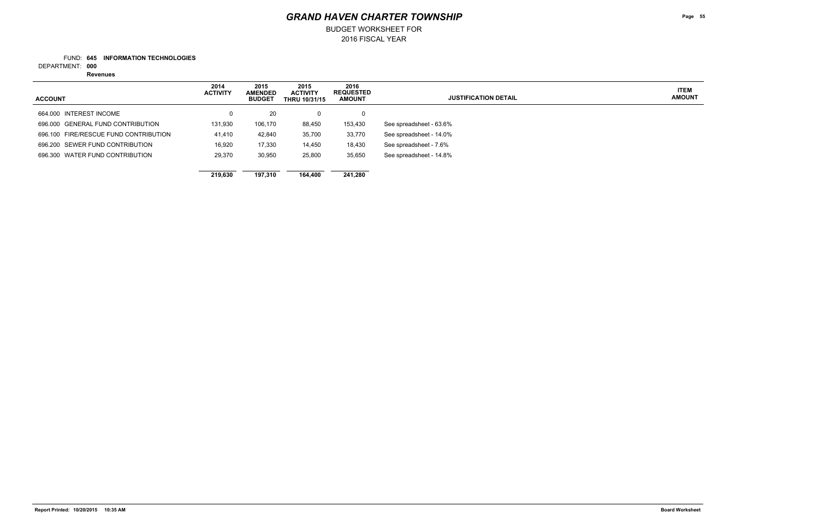BUDGET WORKSHEET FOR

### **645 INFORMATION TECHNOLOGIES** FUND:

**000** DEPARTMENT:

**Revenues**

**Page 55**

**ITEM AMOUNT**

| <b>ACCOUNT</b>                        | 2014<br><b>ACTIVITY</b> | 2015<br><b>AMENDED</b><br><b>BUDGET</b> | 2015<br><b>ACTIVITY</b><br><b>THRU 10/31/15</b> | 2016<br><b>REQUESTED</b><br><b>AMOUNT</b> | <b>JUSTIFICATION DETAIL</b> |  |
|---------------------------------------|-------------------------|-----------------------------------------|-------------------------------------------------|-------------------------------------------|-----------------------------|--|
| 664.000 INTEREST INCOME               | 0                       | 20                                      | 0                                               | 0                                         |                             |  |
| 696,000 GENERAL FUND CONTRIBUTION     | 131,930                 | 106,170                                 | 88,450                                          | 153,430                                   | See spreadsheet - 63.6%     |  |
| 696.100 FIRE/RESCUE FUND CONTRIBUTION | 41,410                  | 42,840                                  | 35,700                                          | 33,770                                    | See spreadsheet - 14.0%     |  |
| 696.200 SEWER FUND CONTRIBUTION       | 16,920                  | 17,330                                  | 14,450                                          | 18,430                                    | See spreadsheet - 7.6%      |  |
| 696.300 WATER FUND CONTRIBUTION       | 29.370                  | 30,950                                  | 25,800                                          | 35,650                                    | See spreadsheet - 14.8%     |  |
|                                       |                         |                                         |                                                 |                                           |                             |  |
|                                       | 219.630                 | 197.310                                 | 164.400                                         | 241.280                                   |                             |  |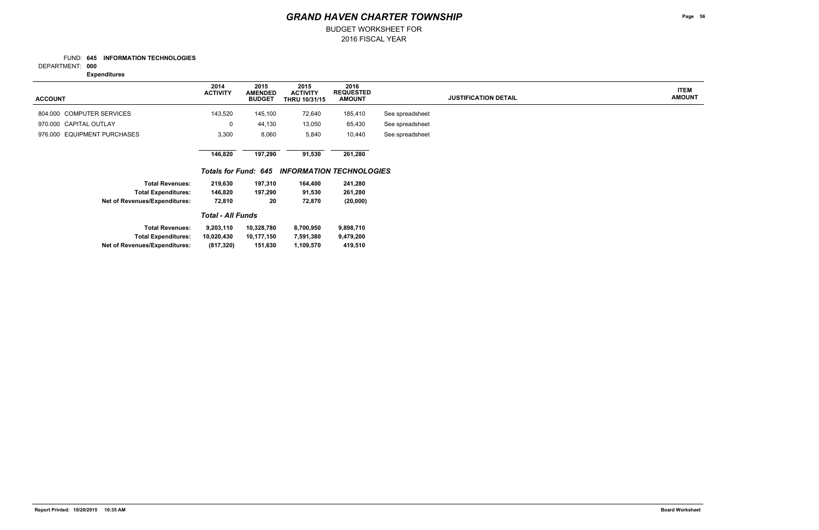2016 FISCAL YEAR BUDGET WORKSHEET FOR

### **645 INFORMATION TECHNOLOGIES** FUND:

**000** DEPARTMENT:

**Expenditures**

**Page 56**

**ITEM AMOUNT**

| <b>ACCOUNT</b>                       | 2014<br><b>ACTIVITY</b> | 2015<br><b>AMENDED</b><br><b>BUDGET</b> | 2015<br><b>ACTIVITY</b><br><b>THRU 10/31/15</b> | 2016<br><b>REQUESTED</b><br><b>AMOUNT</b> |                 | <b>JUSTIFICATION DETAIL</b> |
|--------------------------------------|-------------------------|-----------------------------------------|-------------------------------------------------|-------------------------------------------|-----------------|-----------------------------|
| 804.000 COMPUTER SERVICES            | 143,520                 | 145,100                                 | 72,640                                          | 185,410                                   | See spreadsheet |                             |
| 970.000 CAPITAL OUTLAY               | 0                       | 44,130                                  | 13,050                                          | 65,430                                    | See spreadsheet |                             |
| 976.000 EQUIPMENT PURCHASES          | 3,300                   | 8,060                                   | 5,840                                           | 10,440                                    | See spreadsheet |                             |
|                                      | 146,820                 | 197,290                                 | 91,530                                          | 261,280                                   |                 |                             |
|                                      | Totals for Fund: 645    |                                         | <b>INFORMATION TECHNOLOGIES</b>                 |                                           |                 |                             |
| <b>Total Revenues:</b>               | 219,630                 | 197,310                                 | 164,400                                         | 241,280                                   |                 |                             |
| <b>Total Expenditures:</b>           | 146,820                 | 197,290                                 | 91,530                                          | 261,280                                   |                 |                             |
| <b>Net of Revenues/Expenditures:</b> | 72,810                  | 20                                      | 72,870                                          | (20,000)                                  |                 |                             |
|                                      |                         |                                         |                                                 |                                           |                 |                             |
| <b>Total Revenues:</b>               | 9,203,110               | 10,328,780                              | 8,700,950                                       | 9,898,710                                 |                 |                             |
| <b>Total Expenditures:</b>           | 10,020,430              | 10,177,150                              | 7,591,380                                       | 9,479,200                                 |                 |                             |
| <b>Net of Revenues/Expenditures:</b> | (817, 320)              | 151,630                                 | 1,109,570                                       | 419,510                                   |                 |                             |